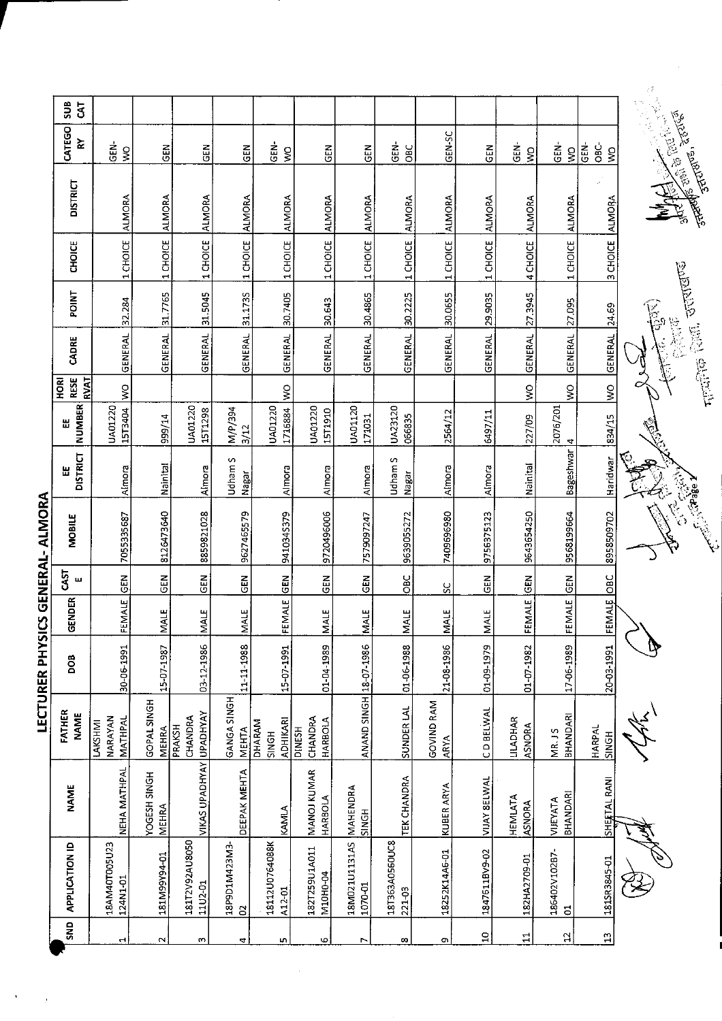| sus<br>$\mathbf{G}$                       |                               |                              |                           |                             |                                           |                                     |                          |                         |                                  |                  |                          |                                  |                        |                                                                                                                                                                                                                                                                                                                                                                          |
|-------------------------------------------|-------------------------------|------------------------------|---------------------------|-----------------------------|-------------------------------------------|-------------------------------------|--------------------------|-------------------------|----------------------------------|------------------|--------------------------|----------------------------------|------------------------|--------------------------------------------------------------------------------------------------------------------------------------------------------------------------------------------------------------------------------------------------------------------------------------------------------------------------------------------------------------------------|
| CATEGO<br>≿                               | ទី<br>ច<br>$\mathbb S$        | $\tilde{\epsilon}$           | GEN                       | $rac{2}{5}$                 | <u>der</u><br>$\mathsf{S}$                | <b>GEN</b>                          | $rac{2}{5}$              | GEN-<br>OBC             | GEN-SC                           | GEN              | Ğ.<br>$\boldsymbol{\xi}$ | ĠEN-<br>$\boldsymbol{\S}$        | ĠEN-<br>ე<br>მე<br>Ş   |                                                                                                                                                                                                                                                                                                                                                                          |
| <b>DISTRICT</b>                           | <b>ALMORA</b>                 | <b>ALMORA</b>                | <b>ALMORA</b>             | <b>ALMORA</b>               | <b>ALMORA</b>                             | <b>ALMORA</b>                       | <b>ALMORA</b>            | <b>ALMORA</b>           | <b>ALMORA</b>                    | <b>ALMORA</b>    | <b>ALMORA</b>            | <b>ALMORA</b>                    | z<br><b>ALMORA</b>     | <b>CONTRACTOR DESCRIPTION OF STRAIGHTER</b>                                                                                                                                                                                                                                                                                                                              |
| CHOICE                                    | 1 CHOICE                      | 1 CHOICE                     | 1 CHOICE                  | 1 CHOICE                    | 1 CHOICE                                  | 1 CHOICE                            | 1 CHOICE                 | 1 CHOICE                | 1 CHOICE                         | 1 CHOICE         | 4 CHOICE                 | 1 CHOICE                         | 3 CHOICE               |                                                                                                                                                                                                                                                                                                                                                                          |
| <b>POINT</b>                              | 32.284                        | 31.7765                      | 31.5045                   | 31.1735                     | 30.7405                                   | 30.643                              | 30.4865                  | 30.2225                 | 30.0655                          | 29.9035          | 27.3945                  | 27.095                           | 24.69                  | <b>CELLINGTON</b><br>$\begin{picture}(40,40) \put(0,0){\line(1,0){10}} \put(15,0){\line(1,0){10}} \put(15,0){\line(1,0){10}} \put(15,0){\line(1,0){10}} \put(15,0){\line(1,0){10}} \put(15,0){\line(1,0){10}} \put(15,0){\line(1,0){10}} \put(15,0){\line(1,0){10}} \put(15,0){\line(1,0){10}} \put(15,0){\line(1,0){10}} \put(15,0){\line(1,0){10}} \put(15,0){\line(1$ |
| CADRE                                     | <b>GENERAL</b>                | GENERAL                      | <b>GENERAL</b>            | GENERAL                     | <b>GENERAL</b>                            | <b>GENERAL</b>                      | <b>GENERAL</b>           | <b>GENERAL</b>          | GENERAL                          | GENERAL          | <b>GENERAL</b>           | <b>GENERAL</b>                   | <b>GENERAL</b>         | 2000000<br>$\frac{1}{2}$ (1) $\frac{1}{2}$ (1) $\frac{1}{2}$ (1) $\frac{1}{2}$ (1) $\frac{1}{2}$ (1) $\frac{1}{2}$ (1) $\frac{1}{2}$ (1) $\frac{1}{2}$ (1) $\frac{1}{2}$ (1) $\frac{1}{2}$ (1) $\frac{1}{2}$ (1) $\frac{1}{2}$ (1) $\frac{1}{2}$ (1) $\frac{1}{2}$ (1) $\frac{1}{2}$ (1) $\frac{1}{2}$ (                                                                 |
| <b>RESE</b><br><b>RVAT</b><br><b>HORI</b> | $\frac{1}{2}$                 |                              |                           |                             | $\frac{1}{2}$                             |                                     |                          |                         |                                  |                  | $\frac{8}{5}$            | Ş                                | $\frac{8}{2}$          |                                                                                                                                                                                                                                                                                                                                                                          |
| <b>NUMBER</b><br>出                        | <b>UA01220</b><br>15T3404     | 999/14                       | <b>UA01220</b><br>15T1298 | N/P/394<br>3/12             | UA01220<br>1716884                        | UA01220<br>1571910                  | UA01120<br>120021        | UA23120<br>066835       | 2564/12                          | 6497/11          | 227/09                   | 2076/201                         | 834/15                 |                                                                                                                                                                                                                                                                                                                                                                          |
| <b>DISTRICT</b><br>쁩                      | Almora                        | Nainital                     | Almora                    | Udham S<br>Nagar            | Almora                                    | Almora                              | Almora                   | <b>Udham S</b><br>Nagar | Almora                           | Almora           | Nainital                 | Bageshwar 4                      | Haridwar               | $\tilde{\gamma}_5$                                                                                                                                                                                                                                                                                                                                                       |
| <b>MOBILE</b>                             | 7055335687                    | 8126473640                   | 8859821028                | 9627465579                  | 9410345379                                | 9720496006                          | 7579097247               | 9639055272              | 7409696980                       | 9756375123       | 9643654250               | 9568199564                       | 8958509702             | <b>C. Reader</b>                                                                                                                                                                                                                                                                                                                                                         |
| <b>GST</b><br>Щ                           |                               | るじ                           | GEN                       | GEN                         | <b>GEN</b>                                | <b>GEN</b>                          | GEN                      | OBC                     | SC                               | 즶                | <b>IGEN</b>              | $rac{2}{6}$                      | <b>OBC</b>             |                                                                                                                                                                                                                                                                                                                                                                          |
| GENDER                                    | FEMALE GEN                    | <b>MALE</b>                  | <b>NALE</b>               | <b>IMALE</b>                | <b>FEMALE</b>                             | <b>MALE</b>                         | MALE                     | MALE                    | MALE                             | <b>MALE</b>      | FEMALE                   | FEMALE                           | FEMALE                 |                                                                                                                                                                                                                                                                                                                                                                          |
| DОВ                                       | 30-06-1991                    | 15-07-1987                   | 03-12-1986                | 11-11-1988                  | 15-07-1991                                | 01-04-1989                          |                          | 01-06-1988              | 21-08-1986                       | 01-09-1979       | 01-07 1982               | 17-06-1989                       | 20-03-1991             | Þ                                                                                                                                                                                                                                                                                                                                                                        |
| <b>FATHER</b><br><b>NAME</b>              | NARAYAN<br>MATHPAL<br>LAKSHMI | GOPAL SINGH<br><b>MEHRA</b>  | CHANDRA<br>PRAKSH         | GANGA SINGH<br><b>MEHTA</b> | <b>ADHIKARI</b><br>DHARAM<br><b>HDNIS</b> | CHANDRA<br>HARBOLA<br><b>PINESH</b> | ANAND SINGH 18-07-1986   | SUNDER LAL              | <b>GOVIND RAM</b><br><b>ARYA</b> | <b>CD BELWAL</b> | LILADHAR<br>ASNORA       | <b>BHANDARI</b><br><b>MR. JS</b> | HARPAL<br><b>HONIS</b> |                                                                                                                                                                                                                                                                                                                                                                          |
| <b>NAME</b>                               | NEHA MATHPAL                  | YOGESH SINGH<br><b>MEHRA</b> | VIKAS UPADHYAY UPADHYAY   | DEEPAK MEHTA                | KAMILA                                    | MANOJ KUMAR<br>HARBOLA              | MAHENDRA<br><b>SINGH</b> | TEK CHANDRA             | KUBER ARYA                       | VIJAY SELWAL     | HEMILATA<br>ASNORA       | BHANDARI<br>VIJEYATA             | SHEFTAL RANI           |                                                                                                                                                                                                                                                                                                                                                                          |
| <b>APPLICATION ID</b>                     | 18AM40T005U23<br>124N1-01     | 181M99Y94-01                 | 181T2V92AU8050<br>1102-01 | EMEZPM106d81<br>$\approx$   | 18112U0764088K<br>A12-01                  | 182T259U1A011<br>M10H0-04           | 18M021U1131AS<br>1070-01 | 181363A056UC8<br>221-03 | 18252K14A5-01                    | 1847611BV9-02    | 182HA2709-01             | 186402V102B7-<br>$\overline{5}$  | 181SR3845-01           |                                                                                                                                                                                                                                                                                                                                                                          |
| SND                                       | $\overline{\phantom{0}}$      | $\sim$                       | S                         | 4                           | w                                         | ω                                   | Z                        | œ                       | G)                               | $\Xi$            | $\Xi$                    | $\mathfrak{a}$                   | $\frac{2}{1}$          |                                                                                                                                                                                                                                                                                                                                                                          |

LECTURER PHYSICS GENERAL- ALMORA

ł.

 $\frac{1}{2}$ 



Š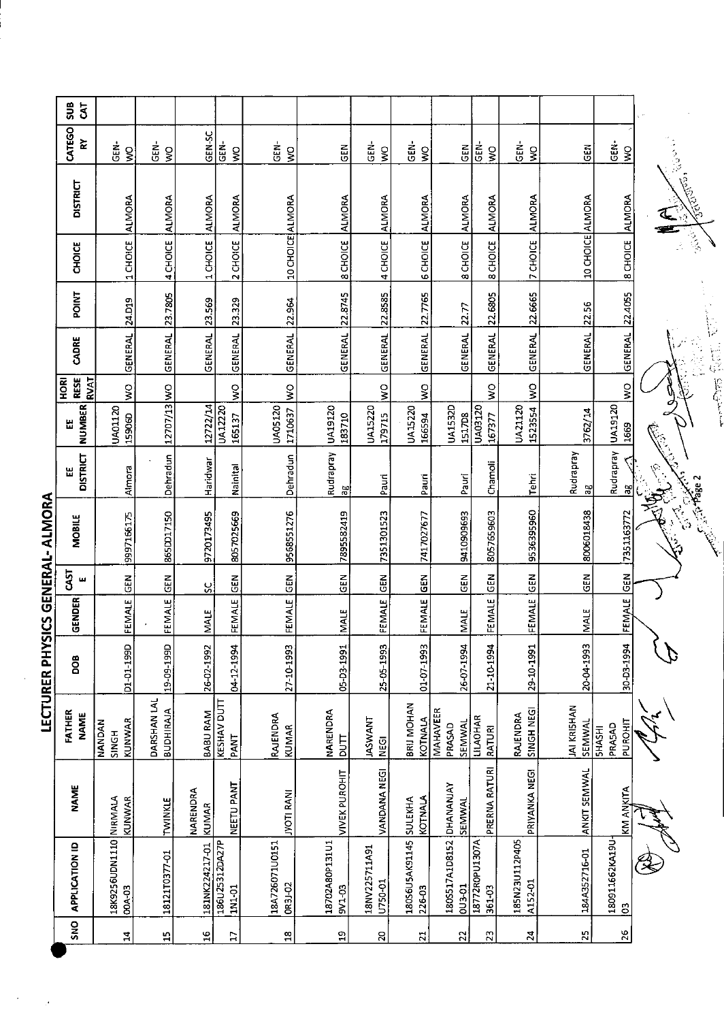| SUB<br>$5^{\circ}$                |                                      |                                 |                          |                          |                           |                          |                               |                                    |                                      |                           |                             |                       |                                    |   |
|-----------------------------------|--------------------------------------|---------------------------------|--------------------------|--------------------------|---------------------------|--------------------------|-------------------------------|------------------------------------|--------------------------------------|---------------------------|-----------------------------|-----------------------|------------------------------------|---|
| CATEGO<br>놅                       | ĠEN-<br>$\widetilde{\boldsymbol{s}}$ | ĠEN-<br>$\boldsymbol{S}$        | GEN-SC                   | GEN-<br>Ş                | GEN-<br>$\mathsf{S}$      | GEN                      | 。<br>GEN-<br>$\frac{1}{2}$    | $\frac{1}{5}$<br>$\boldsymbol{\S}$ | $rac{2}{5}$                          | GEN-<br>$\frac{1}{2}$     | $rac{1}{5}$<br>$\gtrapprox$ | $\tilde{5}$           | GEN-<br>$\tilde{\mathbf{z}}$       |   |
| <b>DISTRICT</b>                   | <b>ALMORA</b>                        | <b>ALMORA</b>                   | <b>ALMORA</b>            | <b>ALMORA</b>            |                           | <b>ALMORA</b>            | <b>ALMORA</b>                 | <b>ALMORA</b>                      | <b>ALMORA</b>                        | <b>ALMORA</b>             | <b>ALMORA</b>               |                       | <b>ALMORA</b>                      | ្ |
| <b>CHOICE</b>                     | 1 CHOICE                             | 4 CHOICE                        | 1 CHOICE                 | 2 CHOICE                 | 10 CHOICE ALMORA          | 8 CHOICE                 | 4 CHOICE                      | <b>6 CHOICE</b>                    | 8 CHOICE                             | <b>8 CHOICE</b>           | 7 CHOICE                    | 10 CHOICE ALMORA      | 8 CHOICE                           |   |
| <b>POINT</b>                      | 24.D19                               | 23.7805                         | 23.569                   | 23.329                   |                           |                          | 22.8585                       |                                    | 22.77                                | 22.6805                   | 22.6665                     | 22.56                 | 22.4055                            |   |
| CADRE                             | <b>GENERAL</b>                       | <b>GENERAL</b>                  | <b>GENERAL</b>           | <b>GENERAL</b>           | GENERAL 22.964            | GENERAL 22.8745          | GENERAL                       | GENERAL 22.7765                    | <b>GENERAL</b>                       | GENERAL                   | GENERAL                     | <b>GENERAL</b>        | <b>GENERAL</b>                     |   |
| RESE<br><b>RVAT</b><br><b>ROK</b> | $\frac{8}{5}$                        |                                 |                          | $\zeta$                  | $\leq$                    |                          | $\frac{1}{2}$                 | $\frac{1}{2}$                      |                                      | $\frac{1}{2}$             | $\overline{\mathbf{S}}$     |                       | $\frac{1}{2}$                      | y |
| <b>NUMBER</b><br>Ш                | <b>UA01120</b><br>15906D             | 12707/13 WO                     | 12722/14                 | UA12220<br>165137        | <b>UA05120</b><br>1710637 | UA19120<br>183710        | <b>UA15220</b><br>179715      | <b>UA15220</b><br>166594           | <b>UA1532D</b><br>1517D8             | UA03120<br>167377         | <b>UA21120</b><br>1523554   | 3/62/14               | UA19120<br>1669                    |   |
| <b>DISTRICT</b><br>出              | Almora                               | Dehradun                        | Haridwar                 | Kainital                 | Dehradun                  | Rudrapray<br>Ρg          | Pauri                         | Pauri                              | Pauri                                | Chamoli                   | Tehri                       | Rudrapray<br>æ        | Rudrapray<br>æ                     |   |
| MOBILE                            | 9997166175                           | 865DD17150                      | 9720173495               | 8057025669               | 9568551276                | 7895582419               | 7351301523                    | 7417027677                         | 9410909693                           | 8057659603                | 9536395960                  | 8006018438            | 7351163772                         | 氢 |
| CAST<br>ш                         | $rac{1}{2}$                          | <b>GEN</b>                      | ပ္တ                      | <b>GEN</b>               |                           | <b>GEN</b>               | $rac{1}{2}$                   | GEN                                | $\frac{2}{5}$                        | <b>GEN</b>                | $rac{2}{5}$                 | GEN                   | $\tilde{c}$                        |   |
| GENDER                            | FEMALE                               | FEMALE                          | <b>MALE</b>              | FEMALE                   | FEMALE GEN                | MALE                     | FEMALE                        | FEMALE                             | <b>MALE</b>                          | FEMALE                    | FEMALE                      | <b>MALE</b>           | FEMALE                             |   |
| <b>BOG</b>                        | 01-01-199D                           | 19-09-199D                      | 26-02-1992               | 04-12-1994               | 27-10-1993                | 05-D3-1991               | 25-05-1993                    | 01-07-1993                         | 26-07-1994                           | 21-10-1994                | 29-10-1991                  | 20-04-1993            | 30-D3-1994                         |   |
| FATHER<br><b>NAME</b>             | KUNWAR<br><b>NANDAN</b><br>SINGH     | DARSHAN LAL<br><b>BUDHIRAJA</b> | BABU RAM                 | KESHAV DUTT<br>PANT      | RAJENDRA<br>KUMAR         | NARENDRA<br><b>TTUO</b>  | <b>TNAWANT</b><br><b>NEGI</b> | BRIJ MOHAN<br>KOTNALA              | <b>MAHAVER</b><br>SEMWAL<br>PRASAD   | <b>LILAOHAR</b><br>RATURI | SINGH NEGI<br>RAJENDRA      | JAI KRISHAN<br>SEMWAL | PUROHIT<br>PRASAD<br><b>SHASHI</b> |   |
| <b>NAME</b>                       | KUNWAR                               | TWINKLE                         | NARENDRA<br><b>KUMAR</b> | NEETU PANT               | IVOTI RANI                | <b>VIVEK PUROHIT</b>     | VANDANA NEGI                  | KOTNALA                            | DHANANJAY<br>SEMWAL                  | PRERNA RATURI             | PRIYANKA NEGI               | ANKIT SEMWAL          | KM ANKITA                          |   |
| <b>APPLICATION ID</b>             | 18K9256UDN1110 NIRMALA<br>004-03     | 18121T0377-01                   | 181NK224217-01           | 186U25312DA27P<br>1N1-01 | 18A726071U0151<br>OR3J-02 | 18702A80P131U1<br>9V1-03 | 18NV225711A91<br>U750-01      | 18056U5AK91145 SULEKHA<br>226-03   | 180S517A1D8152<br>pu <sub>3-01</sub> | 18772R0PU1307A<br>361-03  | 185N23U112P405<br>A152-01   | 184A352716-01         | 180911662KA19U<br>$\mathbf{S}$     |   |
| SNO                               | $\mathbf{z}$                         | $\mathbf{r}$                    | $\frac{6}{1}$            | $\mathbb{Z}$             | $\frac{8}{18}$            | $\mathbf{a}$             | $\Omega$                      | $\overline{z}$                     | $\overline{2}$                       | $\overline{23}$           | $\boldsymbol{z}$            | 25                    | $\overline{26}$                    |   |

LECTURER PHYSICS GENERAL- ALMORA

 $\frac{1}{2}$ 

Î,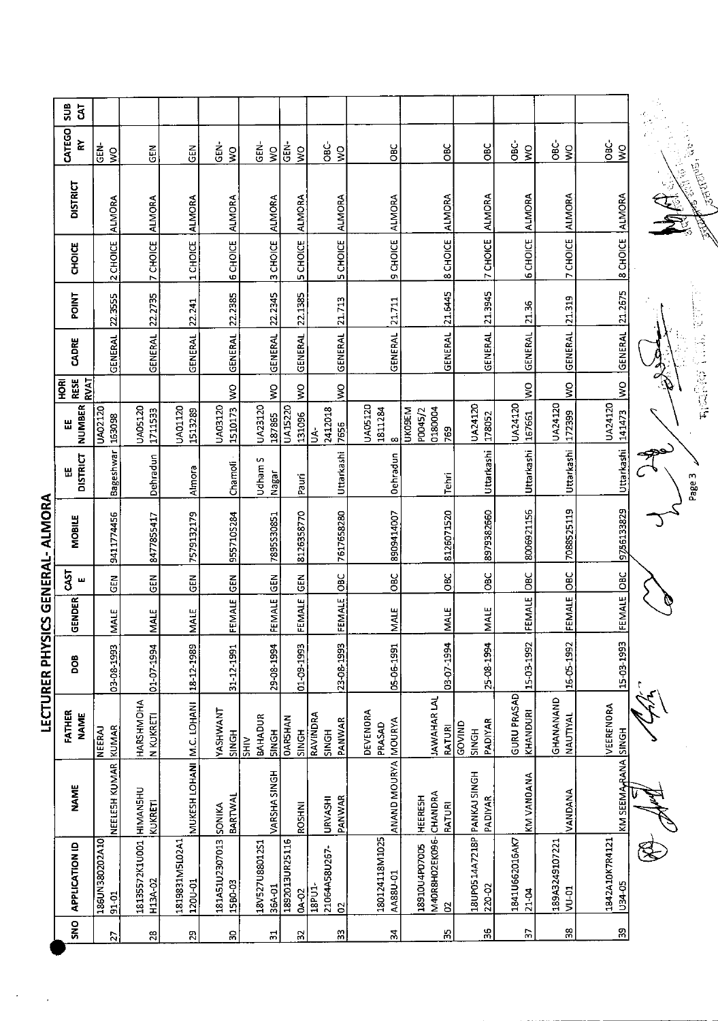|                                  | SUB<br>5 <sup>7</sup>          |                           |                                    |                           |                                  |                                        |                                |                                         |                                       |                                            |                                       |                             |                         |                                     | $\frac{1}{\sqrt{2}}$ . |
|----------------------------------|--------------------------------|---------------------------|------------------------------------|---------------------------|----------------------------------|----------------------------------------|--------------------------------|-----------------------------------------|---------------------------------------|--------------------------------------------|---------------------------------------|-----------------------------|-------------------------|-------------------------------------|------------------------|
|                                  | CATEGO<br>č                    | d<br>15<br>$\zeta$        | GEN                                | $rac{1}{6}$               | GEN-<br>$\frac{1}{2}$            | 。<br>영<br>$\frac{1}{2}$                | GEN-<br>$\frac{1}{2}$          | -<br>OBC-<br>$\frac{1}{2}$              | OВC                                   | OBC                                        | OBC                                   | ن<br>80<br>$\frac{1}{2}$    | OBC-<br>$\frac{1}{2}$   | $rac{c}{\sqrt{2}}$<br>$\frac{1}{2}$ | ्<br>नास, देखि         |
|                                  | <b>DISTRICT</b>                | ALMORA                    | <b>ALMORA</b>                      | <b>ALMORA</b>             | <b>ALMORA</b>                    | ALMORA                                 | <b>ALMORA</b>                  | <b>ALMORA</b>                           |                                       |                                            | ALMORA                                | ALMORA                      |                         |                                     |                        |
|                                  | CHOICE                         | 2 CHOICE                  | 7 CHOICE                           | 1 CHOICE                  | 6 CHOICE                         | 3 CHOICE                               | <b>5 CHOICE</b>                | <b>5 CHOICE</b>                         | 9 CHOICE ALMORA                       | <b>B CHOICE</b> ALMORA                     | 7 CHOICE                              | <b>6 CHOICE</b>             | 7 CHOICE ALMORA         | 8 CHOICE ALMORA                     |                        |
|                                  | POINT                          |                           | 22.2735                            | 22.241                    | 22.2385                          | 22.2345                                | 22.1385                        |                                         |                                       |                                            | 21.3945                               | 21.36                       |                         |                                     |                        |
|                                  | CADRE                          | GENERAL 22.3555           | GENERAL                            | GENERAL                   | GENERAL                          | <b>GENERAL</b>                         | GENERAL                        | <b>GENERAL</b> 21.713                   | GENERAL 21.711                        | GENERAL 21.6445                            | GENERAL                               | <b>GENERAL</b>              | GENERAL 21.319          | <b>GENERAL</b> 21.2675              |                        |
|                                  | <b>RESE</b><br>RVAT<br>ЯQ<br>Р |                           |                                    |                           | $\frac{8}{2}$                    | Ş                                      | $\frac{8}{5}$                  | ş                                       |                                       |                                            |                                       | $\frac{1}{2}$               | $\geq$                  | $\frac{8}{2}$                       |                        |
|                                  | <b>NUMBER</b><br>쎲             | UA02120<br>163098         | UA05120<br>1711533                 | <b>UA01120</b><br>1513289 | 1510173<br>UA03120               | UA23120<br>187865                      | <b>UA15220</b><br>131096       | 2412018<br>7656<br>$\overline{5}$       | <b>UA05120</b><br>1811284<br>$\infty$ | 0180004<br><b>UKOSEM</b><br>P0045/2<br>769 | UA24120<br>178052                     | UA24120<br>157661           | UA24120<br>172399       | UA24120<br>[141473]                 |                        |
|                                  | <b>DISTRICT</b><br>볪           | Bageshwar                 | Dehradun                           | Almora                    | Chamoli                          | Udham S<br>Nagar                       | Pauri                          | Uttarkashi                              | <b>Dehradun</b>                       | Tehri                                      | Uttarkashi                            | Uttarkashi                  | Uttarkashi              | Uttarkashi                          | Page 3                 |
| LECTURER PHYSICS GENERAL- ALMORA | MOBILE                         | 9411774456                | 8477855417                         | 7579132179                | 9557105284                       | 7895S30851                             | 8126358770                     | 7617658280                              | 8909414007                            | 8126071520                                 | 8979382660                            | 8006921156                  | 7088525119              | 9756133829                          |                        |
|                                  | 5T<br>щ                        | GEN                       | GEN                                | $rac{1}{5}$               | <b>SEN</b>                       | <b>GEN</b>                             | $rac{2}{5}$                    |                                         | OBC                                   | $rac{BC}{2}$                               | OBC                                   | DBC                         |                         |                                     |                        |
|                                  | GENDER                         | MALE                      | <b>NIALE</b>                       | <b>MALE</b>               | FEMALE                           | <b>FEMALE</b>                          | FEMALE                         | FEMALE OBC                              | MALE                                  | <b>MALE</b>                                | MALE                                  | <b>FEMALE</b>               | FEMALE OBC              | FEMALE OBC                          |                        |
|                                  | 8pd                            | 03-08-1993                | 01-07-1994                         | 18 12 1989                | 31-12-1991                       | 29-08-1994                             | 01-09-1993                     | 23-08-1993                              | 05-06-1991                            | 03-07-1994                                 | 25-08-1994                            | 15-03-1992                  | 16-05-1992              | 15-03-1993                          |                        |
|                                  | FATHER<br><b>NAME</b>          | KUMAR<br><b>NEERAJ</b>    | HARSHMOHA<br>N KUKRETI             |                           | YASHWANT<br><b>HDNIS</b>         | BAHADUR<br><b>HDNNS</b><br><b>SHIV</b> | <b>DARSHAN</b><br><b>SINGH</b> | RAVINDRA<br>PANWAR<br>SINGH             | DEVENORA<br>PRASAD                    | JAWAHAR LAL<br>RATURI                      | PADIYAR<br>GOVIND<br>SINGH            | GURU PRASAD<br>KHANDURI     | GHANANAND<br>NAUTIYAL   | VEERENORA                           |                        |
|                                  | <b>NAME</b>                    | NEELESH KUMAR             | <b>KUKRETI</b>                     | MUKESH LOHANI M.C. LOHANI | <b>BARTWAI</b>                   | VARSHA SINGH                           | <b>ROSHNI</b>                  | PANWAR<br><b>URVASHI</b>                | ANAND MOURYA MOURYA                   | CHANDRA<br><b>HEERESH</b><br>RATURI        | PADIYAR                               | KM VANOANA                  | VANDANA                 | KM SEEMA <sub>T</sub> RANA SINGH    |                        |
|                                  | <b>APPLICATION ID</b>          | 01A20208ENJ981<br>$91-01$ | 18135572K1U001 HIMANSHU<br>H13A-02 | 1819831M5L02A1<br>120U-01 | 181A51U2307013 SONIKA<br>1580-03 | 18V527U8801251<br>36A-01               | 1892013UR25116<br>0A-02        | 21064A58U267-<br>18PU1-<br>$\mathbf{S}$ | 180124118M1025<br>AA88U-01            | M40R8H02EK096-<br>18910U4P07005<br>S       | 18UPO514A7218P PANKAJ SINGH<br>220-02 | 1841U662016AK7<br>$21 - 04$ | 189A3249107221<br>VU-01 | 1842A10K7R4121<br>U34-05            |                        |
|                                  | SN <sub>O</sub>                | 27                        | 28                                 | $\mathbf{z}$              | 5                                | 51                                     | $\approx$                      | $\frac{2}{3}$                           | 54                                    | S,                                         | ပ္က                                   | Ľ.                          | $\frac{8}{2}$           | $\mathbb{S}$                        |                        |

 $\ddot{\phantom{0}}$ 

Level and the first case

T. Januard Resolution

y<br>T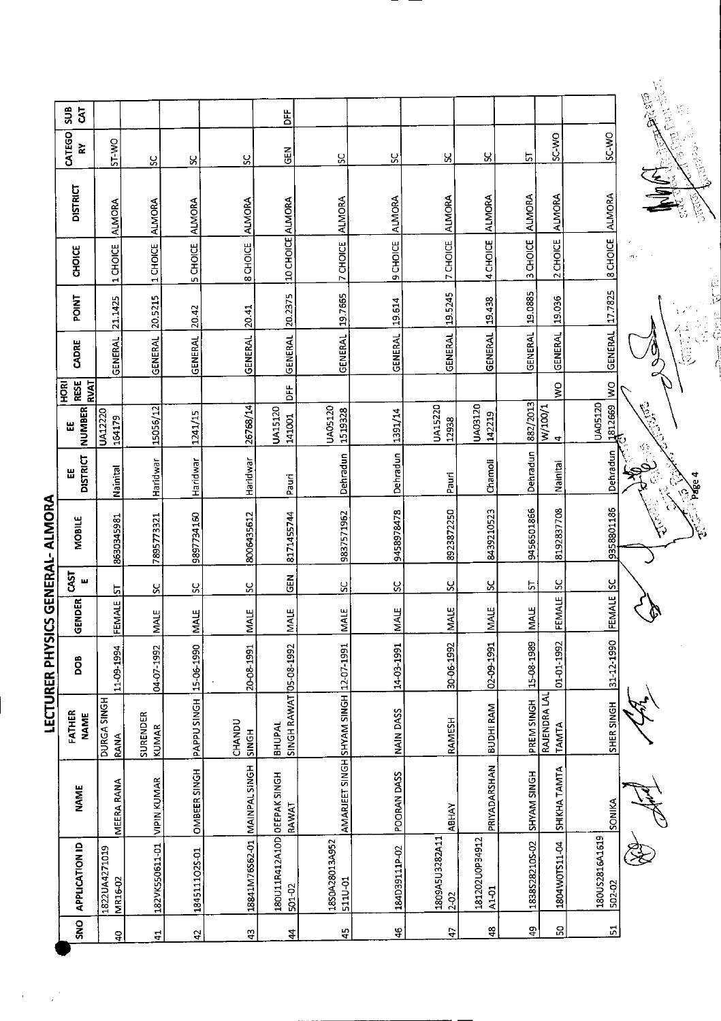|                   | SUB<br>$\overline{3}$              |                                 |                          |                   |                              | Ë                                         |                                       |                |                          |                             |                |                              |                                | <b>Calcia</b>             |
|-------------------|------------------------------------|---------------------------------|--------------------------|-------------------|------------------------------|-------------------------------------------|---------------------------------------|----------------|--------------------------|-----------------------------|----------------|------------------------------|--------------------------------|---------------------------|
|                   | CATEGO<br>٢.                       | ST-WO                           | S,                       | S,                | ပ္တ                          | <b>GEN</b>                                | S,                                    | ς,             | Χ,                       | X                           | 5              | <b>OW-CS</b>                 | SC-WO                          | <b>Burning</b>            |
|                   | <b>DISTRICT</b>                    | <b>ALMORA</b>                   | <b>ALMORA</b>            | <b>ALMORA</b>     | <b>ALMORA</b>                |                                           | <b>ALMORA</b>                         | <b>ALMORA</b>  | ALMORA                   | <b>ALMORA</b>               | ALMORA         | <b>ALMORA</b>                | <b>ALMORA</b>                  | <b>SILENT</b><br>ひとっ      |
|                   | CHOICE                             | 1 CHOICE                        | 1 CHOICE                 | 5 CHOICE          | 8 CHOICE                     | 10 CHOICE ALMORA                          | 7 CHOICE                              | 9 CHOICE       | 7 CHOICE                 | 4 CHOICE                    | 3 CHOICE       | 2 CHOICE                     | 8 CHOICE                       |                           |
|                   | POINT                              | 21 1425                         | 20.5215                  | 20.42             | 20.41                        | 20.2375                                   | 19.7665                               | 19.614         | 19.5245                  | 19.438                      | 19.0885        | 19.036                       | 177825                         |                           |
|                   | CADRE                              | <b>GENERAL</b>                  | <b>GENERAL</b>           | <b>GENERAL</b>    | <b>GENERAL</b>               | <b>GENERAL</b>                            | <b>GENERAL</b>                        | <b>GENERAL</b> | <b>GENERAL</b>           | GENERAL                     | <b>GENERAL</b> | <b>GENERAL</b>               | <b>GENERAL</b>                 |                           |
|                   | <b>RESE</b><br><b>RVAT</b><br>HORI |                                 |                          |                   |                              | ۵Ë                                        |                                       |                |                          |                             |                | š                            | Ş                              |                           |
|                   | <b>NUMBER</b><br>щ                 | UA12220<br>164179               | 15056/12                 | 1241/15           | 26768/14                     | UA15120<br>141001                         | UA05120<br>1519328                    | 1391/14        | UA15220<br>12938         | UA03120<br>142219           | 882/2013       | W/100/1<br>4                 | UA05120<br>$\frac{1812669}{2}$ | $\mathscr{E}^2$           |
|                   | <b>DISTRICT</b><br>Ш               | Nainital                        | Haridwar                 | Haridwar          | Haridwar                     | Pauri                                     | Dehradun                              | Dehradun       | Pauri                    | Chamoli                     | Dehradun       | Nainital                     | Dehradun                       | · Page 4<br>$\mathcal{C}$ |
| <b>ALIVIORA</b>   | MOBILE                             | 8630345981                      | 7895773321               | 9897734160        | 8006435612                   | 8171455744                                | 9837571962                            | 9458978478     | 8923872250               | 8439210523                  | 9456501866     | 8192837708                   | 9358801186                     |                           |
| <b>UENEKAL-</b>   | CAST<br>ш                          | ದ                               | ပ္တ                      | ပ္တ               | ပ္တ                          | $\tilde{e}$                               | ပ္တ                                   | ပ္တ            | ပ္တ                      | S,                          | 뉴              | ò,                           | <u>ម</u>                       |                           |
|                   | DER<br><b>GEN</b>                  | ₩<br>FEM                        | <b>MALE</b>              | MALE              | <b>NALE</b>                  | щ<br>⋚                                    | щ<br>NAL                              | <b>MALE</b>    | MALE                     | MALE                        | <b>MALE</b>    | FEMALE                       | FEMALE                         |                           |
| LECI UKEK PHISILS | <b>BOO</b>                         | 11-09-1994                      | 04-07-1992               | 15-06-1990        | 20-08-1991                   |                                           |                                       | 14-03-1991     | 30-06-1992               | 02-09-1991                  | 15-08-1989     | 01-01-1992                   | 31-12-1990                     |                           |
|                   | FATHER<br><b>NAME</b>              | DURGA SINGH<br>RANA             | SURENDER<br><b>KUMAR</b> | <b>PAPPUSINGH</b> | CHANDU<br>SINGH              | SINGH RAWAT 05-08-1992<br><b>BHUPAL</b>   |                                       | NAIN DASS      | RAMESH                   | <b>BUDHI RAM</b>            | PREM SINGH     | RAJENDRA LAL<br><b>TAMTA</b> | SHER SINGH                     |                           |
|                   | <b>NAME</b>                        | MEERA RANA                      | VIPIN KUMAR              | OMBEER SINGH      |                              | RAWAT                                     | AMARJEET SINGH SHYAM SINGH 12-07-1991 | POORAN DASS    | <b>ABHAY</b>             | PRIYADARSHAN                | SHYAM SINGH    | SHIKHA TAMTA                 | SONIKA                         |                           |
|                   | <b>APPLICATION ID</b>              | 1822UA4271019<br><b>MR16-02</b> | 182VK550611-01           | 1845111025-01     | 18841M76S62-01 MAINPAL SINGH | 180U11R412A10D OEEPAK SINGH<br>$501 - 02$ | 18S0A28013A952<br>511U-01             | 184D39111P-02  | 1809A5U3282A11<br>$2-02$ | 181202U0P34912<br>$A1 - 01$ | 1838S28210S-02 | 1804W0TS11-04                | 180US2816A1619<br>502-02       |                           |
|                   | <b>ONS</b>                         | $\mathsf{B}$                    | 41                       | $\overline{a}$    | $\frac{3}{4}$                | $\overline{4}$                            | $\frac{15}{4}$                        | $\frac{6}{7}$  | $\frac{4}{7}$            | $\frac{8}{3}$               | ą.             | S                            | $\mathbf{z}$                   |                           |

**LECTURER PHYSICS GENERAL- ALMORA** 

 $\frac{1}{\sqrt{2}}$ 

 $\ddot{\phantom{0}}$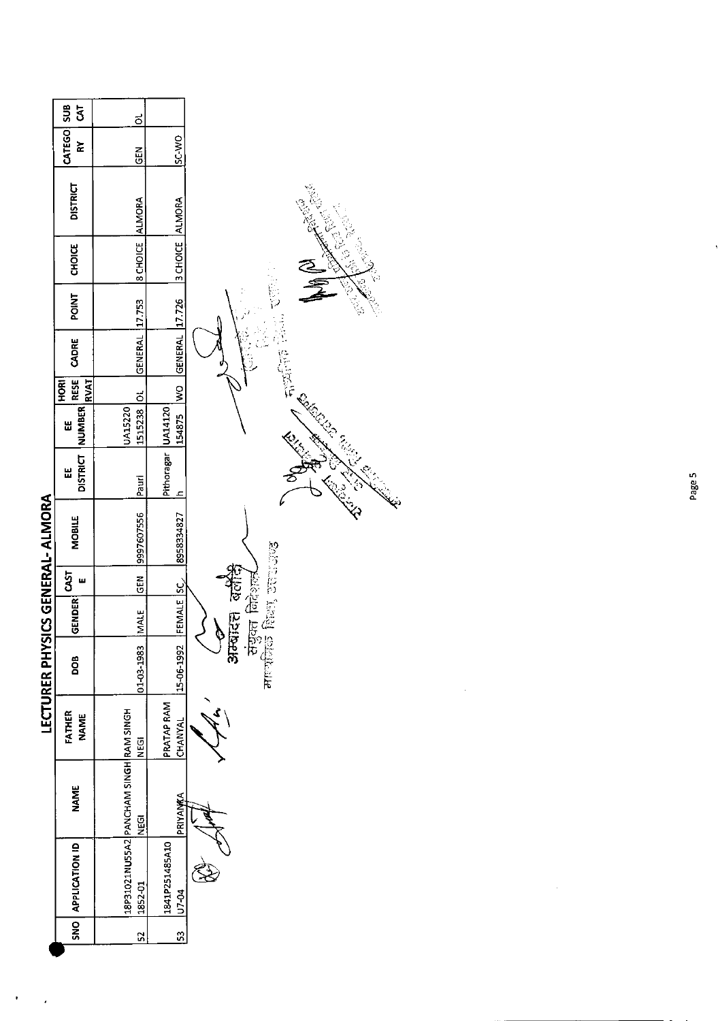|                                  | SUB<br>$\overline{5}$               | ಕ                                                    |                         |                                                        |
|----------------------------------|-------------------------------------|------------------------------------------------------|-------------------------|--------------------------------------------------------|
|                                  | CATEGO<br>č                         | <b>GEN</b>                                           | <b>OW-2S</b>            |                                                        |
|                                  | <b>DISTRICT</b>                     | <b>ALMORA</b>                                        | <b>ALMORA</b>           |                                                        |
|                                  | CHOICE                              | 8 CHOICE                                             | 3 CHOICE                |                                                        |
|                                  | <b>POINT</b>                        | 17.753                                               | 17.726                  |                                                        |
|                                  | CADRE                               | GENERAL                                              | <b>GENERAL</b>          | 石以下                                                    |
|                                  | <b>RVAT</b><br>HORI                 | $\vec{0}$                                            | $\frac{8}{2}$           |                                                        |
|                                  | NUMBER RESE<br>出                    | 1515238<br><b>UA15220</b>                            | 154875                  | <b>Collage Report Collaps</b>                          |
|                                  | <b>DISTRICT</b><br>Ш                | Pauri                                                | Pithoragar UA14120<br>c |                                                        |
| LECTURER PHYSICS GENERAL- ALMORA | MOBILE                              | 9997607556                                           | 8958334827              |                                                        |
|                                  | ш                                   | $rac{2}{5}$                                          |                         |                                                        |
|                                  | $ \texttt{GENDER} $ $\texttt{CAST}$ | <b>INNIE</b>                                         | FEMALE SC               | the fact county<br>संयुक्त निदेशल<br>स<br>अन्यादत<br>P |
|                                  | <b>BOO</b>                          | 0103-1983                                            | 15-06-1992              |                                                        |
|                                  | FATHER<br><b>NAME</b>               | <b>NEGI</b>                                          | PRATAP RAM<br>CHANYAL   |                                                        |
|                                  | <b>NAME</b>                         | 18P31021NU55A2 PANCHAM SINGH RAM SINGH<br><b>Dan</b> | PRIYANKA                |                                                        |
|                                  | SNO APPLICATION ID                  | 1852-01                                              | 1841P251485A10<br>U7-04 |                                                        |
|                                  |                                     | $\overline{52}$                                      | 53                      |                                                        |

 $\epsilon_{\rm{max}}$ 

 $\label{eq:2.1} \frac{1}{\sqrt{2}}\int_{\mathbb{R}^3}\frac{1}{\sqrt{2}}\left(\frac{1}{\sqrt{2}}\right)^2\frac{1}{\sqrt{2}}\left(\frac{1}{\sqrt{2}}\right)^2\frac{1}{\sqrt{2}}\left(\frac{1}{\sqrt{2}}\right)^2\frac{1}{\sqrt{2}}\left(\frac{1}{\sqrt{2}}\right)^2.$ 

 $\overline{\phantom{a}}$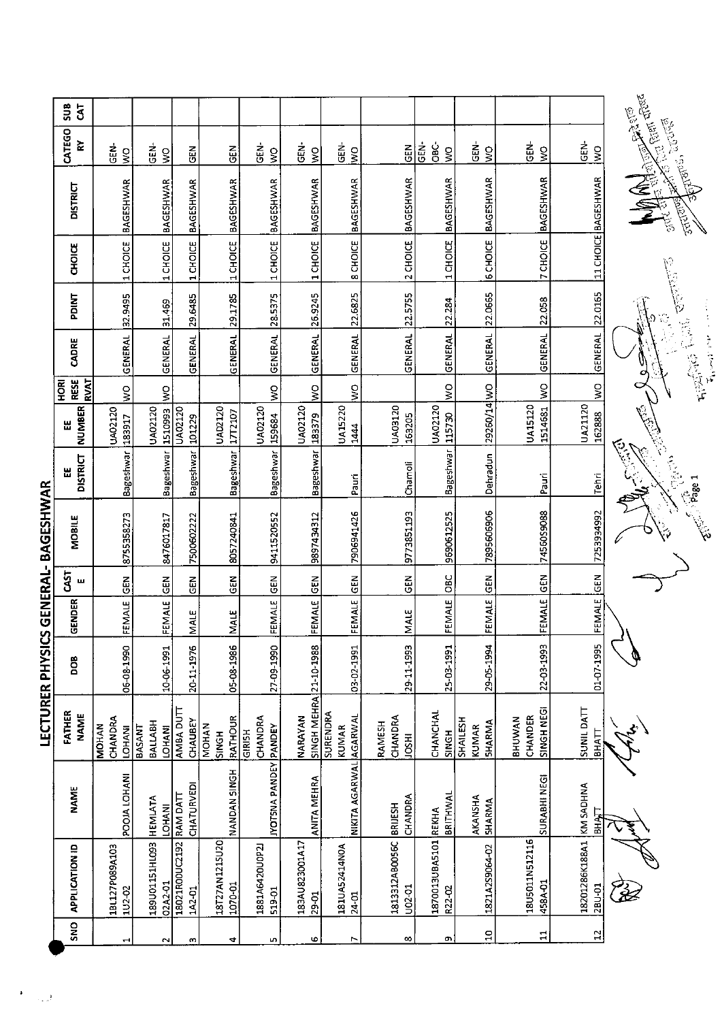|                  | $rac{1}{3}$                  |                                          |                                           |                          |                                  |                              |                         |                                   |                                     |                                |                                    |                                        |                                   |                                                                                                                                                                                                                                |
|------------------|------------------------------|------------------------------------------|-------------------------------------------|--------------------------|----------------------------------|------------------------------|-------------------------|-----------------------------------|-------------------------------------|--------------------------------|------------------------------------|----------------------------------------|-----------------------------------|--------------------------------------------------------------------------------------------------------------------------------------------------------------------------------------------------------------------------------|
|                  | CATEGO<br>숪                  | <b>GEN-</b><br>Ş                         | <b>GEN-</b><br>$\frac{1}{2}$              | <b>GEN</b>               | $rac{2}{5}$                      | GEN-<br>$\tilde{z}$          | ĠËN-<br>$\zeta$         | 굳<br>명<br>$\overline{\mathsf{x}}$ | <b>GEN</b>                          | Ġв<br>С<br>GEN-<br>$\tilde{S}$ | GEN-<br>$\zeta$                    | <b>GEN-</b><br>$\zeta$                 | GEN-<br>$\tilde{\mathbf{z}}$      | <b>CELEBRATE CERTA</b><br>Andres, cours                                                                                                                                                                                        |
|                  | <b>DISTRICT</b>              | BAGESHWAR                                | <b>BAGESHWAR</b>                          | BAGESHWAR                | <b>BAGESHWAR</b>                 | <b>BAGESHWAR</b>             | <b>BAGESHWAR</b>        | <b>BAGESHWAR</b>                  | BAGESHWAR                           | <b>BAGESHWAR</b>               | <b>BAGESHWAR</b>                   | <b>BAGESHWAR</b>                       | 11 CHOICE BAGESHWAR               | <b>MARINER RESERVE</b><br><b>Rubble</b>                                                                                                                                                                                        |
|                  | <b>CHOICE</b>                | 1 CHOICE                                 | 1 CHOICE                                  | 1 CHOICE                 | 1 CHOICE                         | 1 CHOICE                     | 1 CHOICE                | 8 CHOICE                          | 2 CHOICE                            | 1 CHOICE                       | <b>6 CHOICE</b>                    | <b>7 CHOICE</b>                        |                                   |                                                                                                                                                                                                                                |
|                  | PDINT                        | 32.9495                                  | 31.469                                    | 29.6485                  | 29.1785                          | 28.5375                      | 26.9245                 | 22.6825                           |                                     | 22.284                         | 22.0665                            | 22.058                                 | 22.0165                           | <b>Children</b>                                                                                                                                                                                                                |
|                  | CADRE                        | GENERAL                                  | <b>GENERAL</b>                            | <b>GENERAL</b>           | GENERAL                          | <b>GENERAL</b>               | <b>GENERAL</b>          | GENERAL                           | GENERAL 22.5755                     | <b>GENERAL</b>                 | <b>GENERAL</b>                     | <b>GENERAL</b>                         | GENERAL                           | <b>Report Follows</b>                                                                                                                                                                                                          |
|                  | RESE<br>RVAT<br><b>RIORI</b> | $\frac{1}{2}$                            | $\frac{8}{5}$                             |                          |                                  | $\mathsf{S}$                 | Ş                       | ş                                 |                                     | $\frac{1}{2}$                  |                                    | $\geq$                                 | $\frac{1}{2}$                     |                                                                                                                                                                                                                                |
|                  | <b>NUMBER</b><br>出           | UA02120<br>183917                        | UA02120<br>1510993                        | UA02120<br>101229        | UAD2120<br>17T2107               | UA02120<br>159684            | UA02120<br>183379       | <b>UA15220</b><br>1444            | UA03120<br>163205                   | UA02120<br>115730              | 29260/14 WO                        | UA15120<br>1514681                     | UA21120<br>162888                 |                                                                                                                                                                                                                                |
|                  | <b>DISTRICT</b><br>出         | Bageshwar                                | <b>Bageshwar</b>                          | Bageshwar                | Bageshwar                        | Bageshwar                    | Bageshwar               | Pauri                             | Chamoli                             | Bageshwar                      | Dehradun                           | Pauri                                  | Tehri                             | 2<br>第2                                                                                                                                                                                                                        |
| とて AA にゅいワてん     | MOBILE                       | 8755358273                               | 8476017817                                | 7500602222               | 8057240841                       | 9411520552                   | 9897434312              | 7906941426                        | 9773851193                          | 9690612525                     | 7895606906                         | 74560S9088                             | 7253934992                        | diversity of the control of the control of the control of the control of the control of the control of the control of the control of the control of the control of the control of the control of the control of the control of |
|                  | <b>GAST</b><br>ш             | GEN                                      | $rac{5}{65}$                              | $rac{2}{3}$              | <b>GEN</b>                       | $rac{5}{6}$                  | ទី<br>ច                 |                                   | $\frac{2}{5}$                       | OBC                            | <b>IGEN</b>                        | <b>K35</b>                             | <b>M3D</b>                        |                                                                                                                                                                                                                                |
| コインコフロワ          | GENDER                       | FEMALE                                   | <b>FEMALE</b>                             | <b>MALE</b>              | <b>MALE</b>                      | FEMALE                       | FEMALE                  | FEMALE GEN                        | <b>MALE</b>                         | FEMALE                         | FEMALE                             | <b>FEMALE</b>                          | <b>FEMALE</b>                     |                                                                                                                                                                                                                                |
| ノカニー             | <b>BOO</b>                   | 06-08-1990                               | 10-06-1991                                | 20-11-1976               | 05-08-1986                       | 27-09-1990                   | 21-10-1988              | 03-02-1991                        | 29-11-1993                          | 25-03-1991                     | 29-05-1994                         | 22-03-1993                             | 01-07-1995                        |                                                                                                                                                                                                                                |
| <b>רברו העבט</b> | FATHER<br><b>NAME</b>        | CHANDRA<br><b>MOHAN</b><br><b>LOHANI</b> | BALLABH<br><b>BASANT</b><br><b>LOHANI</b> | AMBA DUTT<br>CHAUBEY     | RATHOUR<br><b>MOHAN</b><br>SINGH | CHANDRA<br>GIRISH            | SINGH MEHRA<br>NARAYAN  | <b>SURENDRA</b><br><b>KUMAR</b>   | CHANDRA<br>RAMESH<br>$\overline{5}$ | CHANCHAL<br>SINGH              | SHAILESH<br><b>SHARMA</b><br>KUMAR | <b>SINGH NEGI</b><br>CHANDER<br>BHUWAN | <b>SUNIL DATT</b><br><b>BHATT</b> |                                                                                                                                                                                                                                |
|                  | <b>NAME</b>                  | POOJA LOHANI                             | <b>HEMIATA</b><br><b>LOHANI</b>           | CHATURVEDI<br>RAM DATT   | NANDAN SINGH                     | <b>IYOTSNA PANDEY PANDEY</b> | <b>ANITA MEHRA</b>      | NIKITA AGARWAL AGARWAL            | CHANDRA<br><b>BRIJESH</b>           | BRITHWAL                       | AKANSHA<br><b>SHARMA</b>           | SURABHI NEGI                           | KM SADHNA<br>БНАП                 |                                                                                                                                                                                                                                |
|                  | <b>APPLICATION ID</b>        | 1BL127P089A103<br>1U2-02                 | E601HI2110093<br>02A2-01                  | 18021R00UC2192<br>1A2-01 | 18T27AN1215U20<br>1070-01        | 1881A6420U0P2J<br>519-01     | 183AU823001A17<br>29-01 | 181UA52414NOA<br>$24 - 01$        | 1813312AB0056C<br>U02-01            | 1870013UBA5101 REKHA<br>R22 02 | 1821A2S9064-02                     | 18U5011N512116<br>458A-01              | 18201286K188A1<br>2BU-01          |                                                                                                                                                                                                                                |
|                  | SNO                          |                                          |                                           | m                        | 4                                | LO,                          | Φ                       |                                   | $\infty$                            | O)                             | $\Xi$                              | $\Xi$                                  | $\mathbf{1}^{\mathbf{2}}$         |                                                                                                                                                                                                                                |

**I ECTURER DHVSICS GENERAL- BAGESHWAR**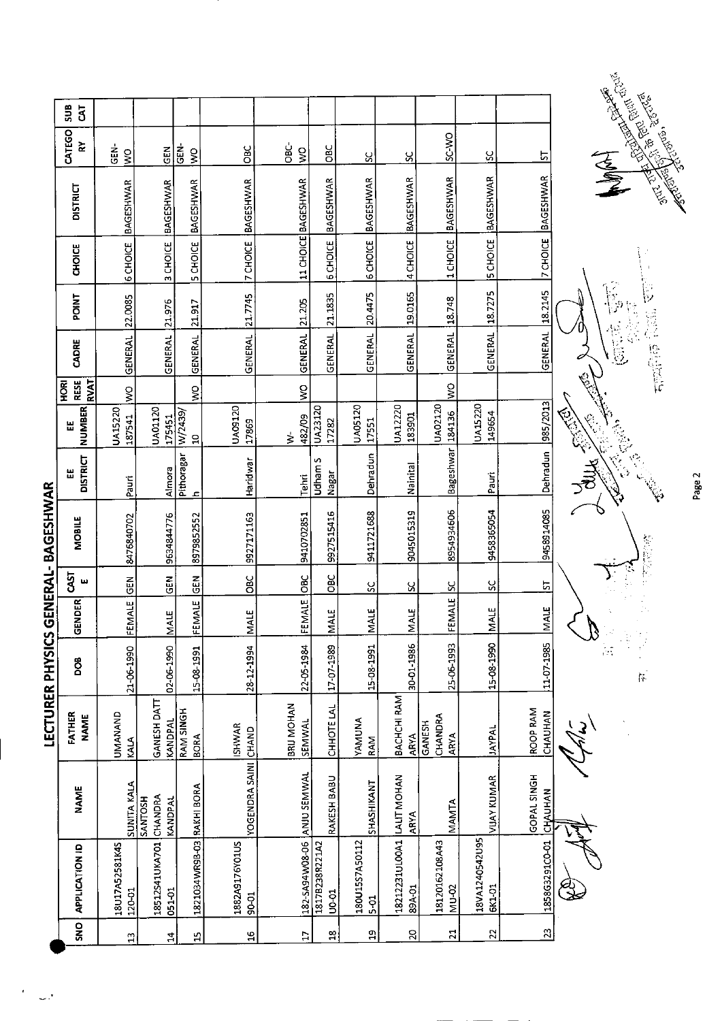|                            | <b>SUB</b><br>$\mathbf{\bar{5}}$          |                          |                                      |                            |                         |                            |                                |                         |                                      |                                |                          |                        |                                                                                                                |
|----------------------------|-------------------------------------------|--------------------------|--------------------------------------|----------------------------|-------------------------|----------------------------|--------------------------------|-------------------------|--------------------------------------|--------------------------------|--------------------------|------------------------|----------------------------------------------------------------------------------------------------------------|
|                            | CATEGO<br>$\approx$                       | GEN-<br>Š                | <b>GEN</b>                           | GEN-<br>$\mathsf{S}$       | OBC                     | <b>OBC</b><br>$\tilde{z}$  | OBC                            | ႘                       | ပ္က                                  | <b>C-MO</b>                    | ပ္တ                      | 5                      |                                                                                                                |
|                            | <b>DISTRICT</b>                           | <b>BAGESHWAR</b>         | <b>BAGESHWAR</b>                     | BAGESHWAR                  | <b>BAGESHWAR</b>        | 11 CHOICE BAGESHWAR        | BAGESHWAR                      | <b>BAGESHWAR</b>        | BAGESHWAR                            | <b>BAGESHWAR</b>               | <b>BAGESHWAR</b>         | 7 CHOICE BAGESHWAR     | Control of the Control of Control of Control of Control of Control of Control of Control of Control of Control |
|                            | CHOICE                                    | 6 CHOICE                 | 3 CHOICE                             | 5 CHOICE                   | <b>7 CHOICE</b>         |                            | 6 CHOICE                       | 6 CHOICE                | 4 CHOICE                             | 1 CHOICE                       | <b>5 CHOICE</b>          |                        |                                                                                                                |
|                            | POINT                                     | 22.0085                  | 21.976                               | 21.917                     | 21.7745                 | 21.205                     | 21.1835                        | 20.4475                 | 19.0165                              | 18.748                         | 18.7275                  | 18.2145                | $\bar{\mathbb{S}}$                                                                                             |
|                            | CADRE                                     | <b>GENERAL</b>           | <b>GENERAL</b>                       | <b>GENERAL</b>             | <b>GENERAL</b>          | GENERAL                    | <b>GENERAL</b>                 | <b>GENERAL</b>          | <b>GENERAL</b>                       | GENERAL                        | GENERAL                  | <b>GENERAL</b>         | 化自动管 的第三<br>管旨                                                                                                 |
|                            | <b>RVAT</b><br><b>RESE</b><br><b>HORI</b> | $\frac{8}{5}$            |                                      | $\frac{1}{2}$              |                         | $\tilde{\mathsf{s}}$       |                                |                         |                                      | $\frac{1}{2}$                  |                          |                        |                                                                                                                |
|                            | NUMBER<br>Ш                               | UA15220<br>187541        | UA01120<br>175451                    | W/2439/<br>$\Omega$        | UA09120<br>17869        | 482/09<br>$\frac{1}{2}$    | UA23120<br>17282               | UA05120<br>17551        | UA12220<br>183901                    | UA02120<br>184136              | UA15220<br>149654        |                        | EN LIST<br><b>Central</b>                                                                                      |
|                            | <b>DISTRICT</b><br>Ш                      | Pauri                    | Almora                               | Pithoragar<br>$\mathbf{r}$ | Haridwar                | Tehri                      | Udham S<br>Nagar               | Dehradun                | Nainital                             | <b>Bageshwar</b>               | Pauri                    | Dehradun 385/2013      |                                                                                                                |
| NERAL-BAGESHWAR            | <b>MOBILE</b>                             | 8476840702               | 9634844776                           | 8979852552                 | 9927171163              | 9410702851                 | 9927515416                     | 9411721688              | 9045015319                           | 8954934606                     | 9458365054               | 9458914085             | <b>如此的行</b>                                                                                                    |
|                            | CAST<br>ш                                 | $rac{1}{2}$              | $\tilde{c}$                          | GL                         | OBC                     |                            | <b>DBC</b>                     | ွှ                      | <u>ន</u>                             |                                | <u>ន</u>                 | <u>는</u>               |                                                                                                                |
|                            | $\overline{\epsilon}$<br>GEND             | FEMALE                   | MALE                                 | FEMALE                     | MALE                    | FEMALE OBC                 | <b>NALE</b>                    | MALE                    | ш<br>MALI                            | FEMALE SC                      | MALE                     | MALE                   |                                                                                                                |
| <b>LECTURER PHYSICS GE</b> | BOQ                                       | 21-06-1990               | 02-06-1990                           | 15-08-1991                 | 28-12-1994              | 22-05-1984                 | 17-07-1989                     | 15-08-1991              | 30-01-1986                           | 25-06-1993                     | 15-08-1990               | 11-07-1985             | i.<br>Pr<br>$\frac{1}{2}$                                                                                      |
|                            | FATHER<br><b>NAME</b>                     | UMANAND<br>KALA          | GANESH DATT<br>KANDPAL               | RAM SINGH<br><b>BORA</b>   | <b>ISHWAR</b>           | BRIJ MOHAN<br>SEMWAL       | CHHOTE LAL                     | YAMUNA<br>RAM           | BACHCHI RAM<br><b>ARYA</b>           | CHANDRA<br>GANESH<br>ARYA      | <b>IAYPAL</b>            | ROOP RAM<br>CHAUHAN    |                                                                                                                |
|                            | <b>NAME</b>                               | <b>SUNITA KALA</b>       | CHANDRA<br><b>HSOINKS</b><br>KANDPAL |                            | YOGENDRA SAINI CHAND    |                            | RAKESH BABU                    | SHASHIKANT              | ARYA                                 | MANTA                          | <b>VUAY KUMAR</b>        | GOPAL SINGH<br>CHAUHAN |                                                                                                                |
|                            | <b>APPLICATION ID</b>                     | 18U17A52581K45<br>120-01 | 18512541UKA701<br>051-01             | 1821034WR9B-03 RAKHI BORA  | 1882A9176Y01US<br>90-01 | 182-5A94W08-06 ANJU SEMWAL | 1817B238R221A2<br><b>UO-01</b> | 180U15S7A50112<br>$5-5$ | 18212231ULOOA1 LALIT MOHAN<br>89A-01 | 18120162108A43<br><b>NU-02</b> | 18VA1240542U95<br>6K1-01 | 1858G3291C0-01         |                                                                                                                |
|                            | <b>ONS</b>                                | $\mathfrak{a}$           | $\mathbf{z}$                         | 4                          | $\frac{6}{10}$          | 5Ē                         | $\mathbf{r}_2$                 | å                       | $\overline{a}$                       | $\overline{z}$                 | $\overline{2}$           | $\mathbf{z}$           |                                                                                                                |

Page 2

ł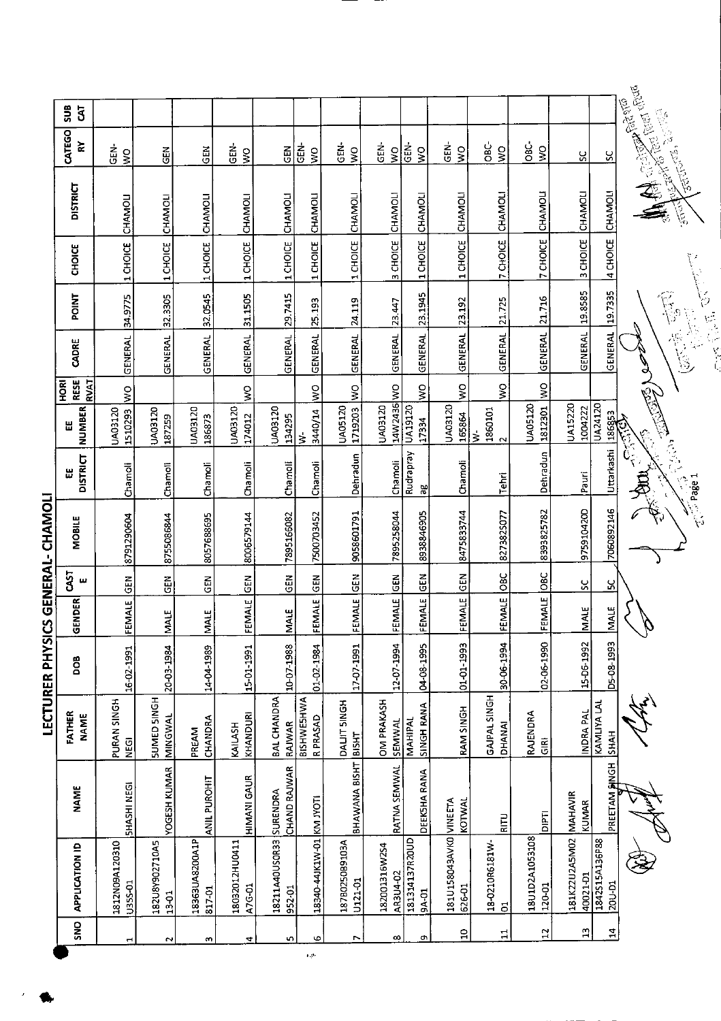|                       |                                  |                          |                                      |            |                   |                  | LECTURER PHYSICS GENERAL- CHAMOLI |                      |                                                                   |                             |                |                          |               |                                 |                                                                               |               |
|-----------------------|----------------------------------|--------------------------|--------------------------------------|------------|-------------------|------------------|-----------------------------------|----------------------|-------------------------------------------------------------------|-----------------------------|----------------|--------------------------|---------------|---------------------------------|-------------------------------------------------------------------------------|---------------|
| $\frac{1}{2}$         | <b>APPLICATION ID</b>            | <b>NAME</b>              | FATHER<br><b>NAME</b>                | <b>BOO</b> | GENDER            | <b>CAST</b><br>ш | MOBILE                            | <b>DISTRICT</b><br>Ш | NUMBER<br>Ш                                                       | RESE<br><b>RVAT</b><br>HORI | CADRE          | <b>POINT</b>             | <b>CHOICE</b> | <b>DISTRICT</b>                 | CATEGO<br>≿                                                                   | $\frac{6}{5}$ |
| $\blacktriangleright$ | 1812N09A120310<br>U355-01        | <b>SHASHI NEGI</b>       | PURAN SINGH<br><b>NEGI</b>           | 16-02-1991 | FEMALE            | $\tilde{5}$      | 8791290604                        | Chamoli              | UA03120<br>1510293                                                | $\sum_{i=1}^{n}$            | GENERAL        | 34.9775                  | 1 CHOICE      | CHAMOLI                         | ន់<br>ច<br>$\epsilon$                                                         |               |
| $\tilde{\phantom{0}}$ | 182U8Y902710A5<br>13-01          | YOGESH KUMAR             | <b>SUMED SINGH</b><br>MINGWAL        | 20-03-1984 | <b>MALE</b>       | <b>GEN</b>       | 8755086844                        | Chamoli              | UA03120<br>187259                                                 |                             | <b>GENERAL</b> | 32.3305                  | 1 CHOICE      | CHAMOLI                         | <b>GEN</b>                                                                    |               |
| w                     | 18363UA8200A1P<br>817-01         | ANIL PUROHIT             | CHANDRA<br>PREAM                     | 14-04-1989 | <b>MALE</b>       | <b>GEN</b>       | 8057688695                        | Chamoli              | UA03120<br>186873                                                 |                             | GENERAL        | 32.0545                  | 1 CHOICE      | CHAMOLI                         | $\frac{2}{5}$                                                                 |               |
| 4                     | 18032012HU0411<br>A7G-01         | HIMANI GAUR              | KHANDURI<br>KAILASH                  | 15-01-1991 | <b>EMALE</b><br>ட | $\overline{5}$   | 8006579144                        | Chamoli              | UA03120<br>174012                                                 | $\frac{8}{2}$               | GENERAL        | 31.1505                  | 1 CHOICE      | CHAMOLI                         | GEN-<br>$\frac{8}{5}$                                                         |               |
| 5                     | 18211A40US0R33<br>952-01         | CHAND RAJWAR<br>SURENDRA | <b>BAL CHANDRA</b><br>RAIWAR         | 10-07-1988 | <b>MALE</b>       | $\tilde{c}$      | 7895166082                        | Chamoli              | UA03120<br>134295                                                 |                             | <b>GENERAL</b> | 29.7415                  | 1 CHOICE      | CHAMOLI                         | GEN                                                                           |               |
| G                     | 18340-44JK1W-01 KM JYOTI         |                          | <b>BISHWESHWA</b><br><b>R PRASAD</b> | 01-02-1984 | EMALE<br>≝        | GEN              | 7500703452                        | Chamoli              | 3440/14<br>$\frac{1}{2}$                                          | $\frac{1}{2}$               | GENERAL        | 25.193                   | 1 CHOICE      | CHAMOLI                         | <b>GEN</b><br>$\frac{1}{2}$                                                   |               |
| Z                     | 187B0250B9103A<br>U121-01        | BHAWANA BISHT            | DALIT SINGH<br><b>BISHT</b>          | 17-07-1991 | <b>EMALE</b><br>ட | $\tilde{5}$      | 9058601791                        | Dehradun             | <b>UA05120</b><br>1719203                                         | ş                           | <b>GENERAL</b> | 24.119                   | 1 CHOICE      | CHAMOLI                         | GEN-<br>$\frac{1}{2}$                                                         |               |
| 8                     | 182001316W2S4<br><b>AR3U4-02</b> | RATNA SEMWAL             | <b>OM PRAKASH</b><br>SEMWAL          | 12-07-1994 | FEMALE            | <b>GEN</b>       | 7895258044                        | Chamoli              | 14W2436 WO<br>UA03120                                             |                             | <b>GENERAL</b> | 23.447                   | 3 CHOICE      | CHAMOLI                         | GEN-<br>$\zeta$                                                               |               |
| c                     | 181314137R20UD<br>9A-01          | DEEK5HA RANA             | SINGH RANA<br>MAHIPAL                | 04-08-1995 | FEMALE            | <b>GEN</b>       | 8938846905                        | Rudrapray<br>ಇ       | $\overline{UAD120}$<br>17334                                      | š                           | GENERAL        | 23.1945                  | 1 CHOICE      | CHAMOLI                         | $rac{1}{2}$<br>$\frac{1}{2}$                                                  |               |
| ុ                     | 181U158043AVKO VINEETA<br>626-01 | <b>KOTWAI</b>            | RAM SINGH                            | 01-01-1993 | FEMALE            | <b>GEN</b>       | 8475833744                        | Chamoli              | UA03120<br>155864                                                 | ş                           | <b>GENERAL</b> | 23.192                   | 1 CHOICE      | CHAMOLI                         | den-<br>$\frac{8}{5}$                                                         |               |
| 급                     | 18-0210R6181W-<br>5              | <b>RITU</b>              | GAJPAL SINGH<br>DHANAI               | 30-06-1994 | FEMALE            | $\frac{1}{2}$    | 8273825077                        | Tehri                | $\begin{array}{c} 1860101 \\ 2 \end{array}$<br>$\dot{\mathbf{z}}$ | Ş                           | GENERAL        | 21.725                   | 7 CHOICE      | CHAMOLI                         | ئ<br>86<br>$\frac{1}{5}$                                                      |               |
| $\mathfrak{a}$        | 18U1D2A1053108<br>120-01         | <b>TalQ</b>              | RAJENDRA<br>GIRI                     | 02-06-1990 | FEMALE            | $rac{1}{2}$      | 8393825782                        | Dehradun             | UA05120<br>1812301                                                | $rac{Q}{\geq}$              | GENERAL        | 21.716                   | 7 CHOICE      | CHAMOLI                         | <u>ئ</u><br>80<br>Ş                                                           |               |
| E,                    | 181K22U2A5M02<br>40021-D1        | MAHAVIR<br>KUMAR         | INDRA PAL                            | 15-06-1992 | <b>MALE</b>       | ပ္တ              | 975910420D                        | Pauri                | UA15220<br>1004222                                                |                             | <b>GENERAL</b> | 19.8585                  | 3 CHOICE      | CHAMOL                          | ပ္တ                                                                           |               |
| $\mathbf{a}$          | 1842S15A136P88<br>20U-D1         | <b>ANGH</b><br>PREETAM   | KAMLIYA LAL<br><b>HAH</b>            | D5-08-1993 | MALE              | ပ္တ              | 7060892146                        | Uttarkashi           | UA24120<br>Additional Incorner                                    |                             | GENERAL        | 19,7335                  | 4 CHOICE      | CHAMOLI                         | S.                                                                            |               |
|                       |                                  |                          |                                      |            | S                 |                  | $\sim$ Page 1                     | Ē                    | d<br>Ca<br>٧ċ                                                     | <b>CONTENT</b>              |                | Ø<br>Ę.<br>$\frac{1}{2}$ | Υź            | - 1907<br>$\blacktriangleright$ | Alexandrian College Read<br><b>CONTAINS SECTION</b><br><b>Carl Carl State</b> |               |
|                       |                                  |                          |                                      |            |                   |                  |                                   |                      |                                                                   |                             | y<br>C         |                          |               |                                 |                                                                               |               |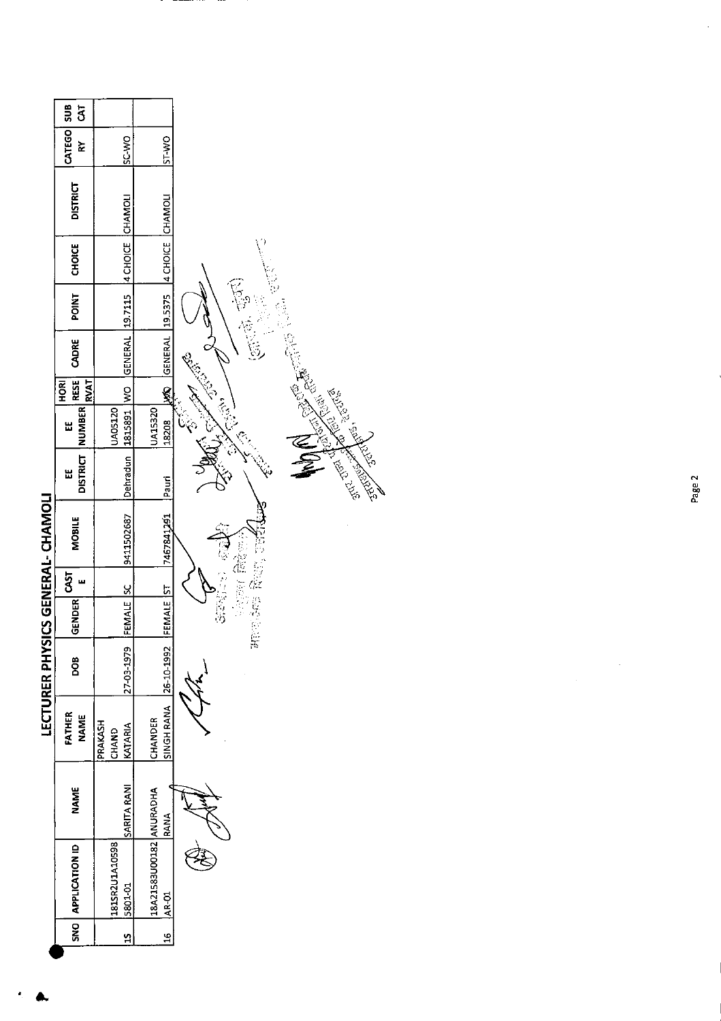|                                   | <b>კ</b>                           |                             |                                  |                                                                                                                                                                                                                                |
|-----------------------------------|------------------------------------|-----------------------------|----------------------------------|--------------------------------------------------------------------------------------------------------------------------------------------------------------------------------------------------------------------------------|
|                                   | CATEGO SUB                         |                             |                                  |                                                                                                                                                                                                                                |
|                                   | ⋩                                  | SC-VO                       | SI-WO                            |                                                                                                                                                                                                                                |
|                                   | <b>DISTRICT</b>                    | CHAMOLI                     | CHAMOLI                          |                                                                                                                                                                                                                                |
|                                   | <b>CHOICE</b>                      | 4 CHOICE                    | 4 CHOICE                         |                                                                                                                                                                                                                                |
|                                   | POINT                              | 19.7115                     | 19.5375                          |                                                                                                                                                                                                                                |
|                                   | CADRE                              | GENERAL                     | <b>GENERAL</b>                   |                                                                                                                                                                                                                                |
|                                   | RESE<br><b>RVAT</b><br><b>HORI</b> | Ş                           | Š                                |                                                                                                                                                                                                                                |
|                                   | <b>NUMBER</b><br>띫                 | <b>UA05120</b><br>1815891   | UA15320<br>18208                 |                                                                                                                                                                                                                                |
|                                   | <b>DISTRICT</b><br>出               | Dehradun                    | Pauri                            | And Control Control Report Control Control Control Control Control Control Control Control Control Control Control Control Control Control Control Control Control Control Control Control Control Control Control Control Con |
| LECTURER PHYSICS GENERAL- CHAMOLI | <b>MOBILE</b>                      | 9411502687                  | 7467841261                       |                                                                                                                                                                                                                                |
|                                   | <b>GST</b><br>ш                    | <u>ყ</u>                    |                                  |                                                                                                                                                                                                                                |
|                                   | <b>GENDER</b>                      | <b>FEMALE</b>               | FEMALE <sup>1</sup> ST           |                                                                                                                                                                                                                                |
|                                   | <b>BOO</b>                         | 27-03-1979                  | 26-10-1992                       | ۳þ                                                                                                                                                                                                                             |
|                                   | FATHER<br><b>NAME</b>              | PRAKASH<br>KATARIA<br>CHAND | SINGH RANA<br>CHANDER            |                                                                                                                                                                                                                                |
|                                   | <b>NAME</b>                        | SARITA RANI                 | RANA                             |                                                                                                                                                                                                                                |
|                                   | SNO   APPLICATION ID               | 181SR2U1A10598<br>5801-01   | 18A21583U00182 ANURADHA<br>AR-01 |                                                                                                                                                                                                                                |
|                                   |                                    | ¥,                          | $\frac{21}{16}$                  |                                                                                                                                                                                                                                |

л. --

 $\hat{\mathcal{A}}$ 

Page 2

 $\hat{\boldsymbol{\beta}}$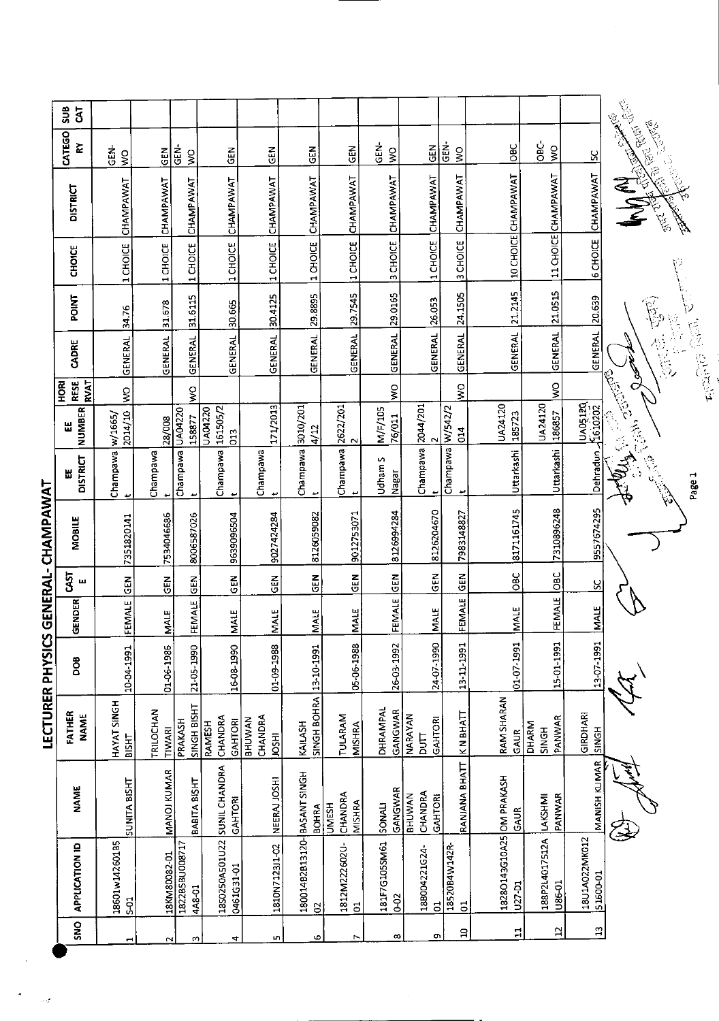|                                     | $\frac{8}{3}$                            |                                      |                            |                                                   |                                            |                                          |                                   |                                   |                      |                                               |                              |                                     |                                 |                                        |                                                                                                                                                                                                                                                                                                                                                                                                                                                                              |
|-------------------------------------|------------------------------------------|--------------------------------------|----------------------------|---------------------------------------------------|--------------------------------------------|------------------------------------------|-----------------------------------|-----------------------------------|----------------------|-----------------------------------------------|------------------------------|-------------------------------------|---------------------------------|----------------------------------------|------------------------------------------------------------------------------------------------------------------------------------------------------------------------------------------------------------------------------------------------------------------------------------------------------------------------------------------------------------------------------------------------------------------------------------------------------------------------------|
|                                     | CATEGO<br>č                              | $\frac{1}{2}$<br>$\frac{1}{2}$       | $rac{2}{5}$                | Ġ,<br>$\frac{1}{2}$                               | $rac{1}{9}$                                | 즈<br>5                                   | <b>GEN</b>                        | $rac{2}{5}$                       | ĞE)<br>$\frac{1}{2}$ | GEM                                           | $rac{1}{2}$<br>$\frac{1}{2}$ | $rac{6}{2}$                         | ĠВ<br>$\tilde{\mathbf{z}}$      | ပ္တ                                    |                                                                                                                                                                                                                                                                                                                                                                                                                                                                              |
|                                     | <b>DISTRICT</b>                          | CHAMPAWAT                            | CHAMPAWAT                  | CHAMPAWAT                                         | CHAMPAWAT                                  | CHAMPAWAT                                | CHAMPAWAT                         | CHAMPAWAT                         | CHAMPAWAT            | CHAMPAWAT                                     | 3 CHOICE CHAMPAWAT           | 10 CHOICE CHAMPAWAT                 | 11 CHOICE CHAMPAWAT             | CHAMPAWAT                              | MARCHER BOOK                                                                                                                                                                                                                                                                                                                                                                                                                                                                 |
|                                     | <b>CHOICE</b>                            | 1 CHOICE                             | 1 CHOICE                   | 1 CHOICE                                          | 1 CHOICE                                   | 1 CHOICE                                 | 1 CHOICE                          | 1 CHOICE                          | 3 CHOICE             | 1 CHOICE                                      |                              |                                     |                                 | <b>6 CHOICE</b>                        |                                                                                                                                                                                                                                                                                                                                                                                                                                                                              |
|                                     | <b>POINT</b>                             | 34.76                                | 31.678                     | 31.6115                                           | 30.665                                     | 30.4125                                  |                                   | 29.7545                           | 29.0165              | 26.053                                        | 24.1505                      | 21.2145                             | 21.0515                         | 20.639                                 | $\overline{\widetilde{\nu}}$                                                                                                                                                                                                                                                                                                                                                                                                                                                 |
|                                     | CADRE                                    | GENERAL                              | GENERAL                    | <b>GENERAL</b>                                    | <b>GENERAL</b>                             | <b>GENERAL</b>                           | GENERAL 29.8895                   | GENERAL                           | <b>GENERAL</b>       | GENERAL                                       | GENERAL                      | GENERAL                             | <b>GENERAL</b>                  | <b>GENERAL</b>                         | 医心管<br>$\frac{1}{\sqrt{2}}\left(\frac{1}{\sqrt{2}}\right)^{2}\left(\frac{1}{\sqrt{2}}\right)^{2}\left(\frac{1}{\sqrt{2}}\right)^{2}\left(\frac{1}{\sqrt{2}}\right)^{2}\left(\frac{1}{\sqrt{2}}\right)^{2}\left(\frac{1}{\sqrt{2}}\right)^{2}\left(\frac{1}{\sqrt{2}}\right)^{2}\left(\frac{1}{\sqrt{2}}\right)^{2}\left(\frac{1}{\sqrt{2}}\right)^{2}\left(\frac{1}{\sqrt{2}}\right)^{2}\left(\frac{1}{\sqrt{2}}\right)^{2}\left(\frac{1}{\sqrt{2}}\right)^{2}\left(\frac{1$ |
|                                     | <b>RVAT</b><br><b>RESE</b><br><b>ROH</b> | ş                                    |                            | $\mathop{\textstyle\sum}\limits_{\textstyle\sim}$ |                                            |                                          |                                   |                                   | $\frac{1}{2}$        |                                               | $\frac{0}{5}$                |                                     | $\frac{8}{5}$                   |                                        |                                                                                                                                                                                                                                                                                                                                                                                                                                                                              |
|                                     | <b>NUMBER</b><br>띲                       | 2014/10<br>w/1665/                   | 28/008                     | UA04220<br>158877                                 | 161505/2<br>UA04220<br>013                 | 171/2013                                 | 3010/201<br>4/12                  | $\frac{2622}{2}$                  | M/F/105<br>76/011    |                                               | W/542/2<br>014               | UA24120<br>185723                   | UA24120<br>186857               |                                        | Callyna Callyna (1919)<br>Callyna Callyna (1919)                                                                                                                                                                                                                                                                                                                                                                                                                             |
|                                     | <b>DISTRICT</b>                          | Champawa<br>$\overline{\phantom{a}}$ | Champawa                   | Champawa<br>٠                                     | Champawa                                   | Champawa                                 | Champawa<br>ىد                    | Champawa<br>ىپ                    | n<br>Udham<br>Nagar  | Champawa 2044/201<br>پ                        | Champawa<br>یو               | Uttarkashi                          | Uttarkashi                      | لاد كامبا<br>Dehradun<br>Dehradun مسلم | A Marie 1997<br>Charles Charles<br>Page 1                                                                                                                                                                                                                                                                                                                                                                                                                                    |
| LECTURER PHYSICS GENERAL- CHAMPAWAT | MOBILE                                   | 7351820141                           | 7534046686                 | 8006587026                                        | 9639096504                                 | 9027424284                               | 8126059082                        | 9012753071                        | 8126994284           | 8126204670                                    | 7983148827                   | 8171161745                          | 7310896248                      | 9557674295                             |                                                                                                                                                                                                                                                                                                                                                                                                                                                                              |
|                                     | 5ī<br>ш                                  | $\tilde{5}$                          | 딩                          | <b>ABS</b>                                        | ĞE                                         | <b>GEN</b>                               | 군<br>영                            | <b>SEN</b>                        | <b>ABS</b>           | $rac{2}{5}$                                   | GEN                          | OBC                                 | $rac{C}{C}$                     | $\infty$                               |                                                                                                                                                                                                                                                                                                                                                                                                                                                                              |
|                                     | GENDER                                   | FEMALE                               | MALE                       | <b>FEMALE</b>                                     | <b>NALE</b>                                | <b>MALE</b>                              | <b>MALE</b>                       | <b>MALE</b>                       | FEMALE               | <b>MALE</b>                                   | FEMALE                       | <b>MALE</b>                         | FEMALE                          | <b>MALE</b>                            |                                                                                                                                                                                                                                                                                                                                                                                                                                                                              |
|                                     | Ö0                                       | 10-04-1991                           | 01-06-1986                 | 21-05-1990                                        | 16-08-1990                                 | 01-09-1988                               |                                   | 05-06-1988                        | 26-03-1992           | 24-07-1990                                    | 13-11-1991                   | 01-70-1991                          | 15-01-1991                      | 13-07-1991                             |                                                                                                                                                                                                                                                                                                                                                                                                                                                                              |
|                                     | FATHER<br><b>NAME</b>                    | HAYAT SINGH<br><b>BISHT</b>          | TRILOCHAN<br><b>TIWARI</b> | PRAKASH                                           | SINGH BISHT<br>CHANDRA<br>GAHTORI          | CHANDRA<br><b>BHUWAN</b><br><b>IRSOL</b> | SINGH BOHRA 13-10-1991<br>KAILASH | TULARAM<br>MISHRA                 | DHRAMPAL<br>GANGWAR  | NARAYAN<br>GAHTORI<br>$\overline{\mathbf{B}}$ | KN BHATT                     | RAM SHARAN<br>GAUR                  | PANWAR<br><b>DHARM</b><br>SINGH | GIRDHARI<br>SINGH                      |                                                                                                                                                                                                                                                                                                                                                                                                                                                                              |
|                                     | <b>NAME</b>                              | SUNITA BISHT                         | MANOJ KUMAR                | BABITA BISHT                                      | GAHTORI                                    | NEERAJ JOSHI                             | BASANT SINGH<br><b>BOHRA</b>      | CHANDRA<br>MISHRA<br><b>UMESH</b> | GANGWAR<br>SONAL     | CHANDRA<br><b>BHUWAN</b><br>GAHTORI           | RANJANA BHATT                | GAUR                                | PANWAR<br>LAKSHMI               | MANISH KUMAR                           |                                                                                                                                                                                                                                                                                                                                                                                                                                                                              |
|                                     | APPLICATION ID                           | 18601w14260185<br>501                | 18KM80082-01               | 1822858U008717<br>4A8-01                          | 1850250A501U22 SUNIL CHANDRA<br>0461G31-01 | 1810N7123J1-02                           | 180014B2B13120-<br>$\approx$      | 1812M222602U-<br>$\mathbf{5}$     | 181F7G105SM61<br>62  | 18B004221G24<br>$\overline{5}$                | 18520B4W142R<br>$\mathbf{S}$ | 18280143G10A25 OM PRAKASH<br>U27-D1 | 188P2L4017512A<br>U86-01        | 18U1A022MK012<br>51600-01              |                                                                                                                                                                                                                                                                                                                                                                                                                                                                              |
|                                     | <b>SNS</b>                               | ↤                                    | $\sim$                     | ω                                                 | 4                                          | L.                                       | G                                 | r                                 | $\infty$             | ō                                             | g                            | $\Xi$                               | $\mathbf{a}$                    | $\mathbf{a}$                           |                                                                                                                                                                                                                                                                                                                                                                                                                                                                              |
|                                     |                                          |                                      |                            |                                                   |                                            |                                          |                                   |                                   |                      |                                               |                              |                                     |                                 |                                        |                                                                                                                                                                                                                                                                                                                                                                                                                                                                              |

 $\frac{1}{2}$ 

 $\begin{aligned} \mathbf{A} & = \frac{1}{2\sqrt{2}} \mathbf{I} \end{aligned}$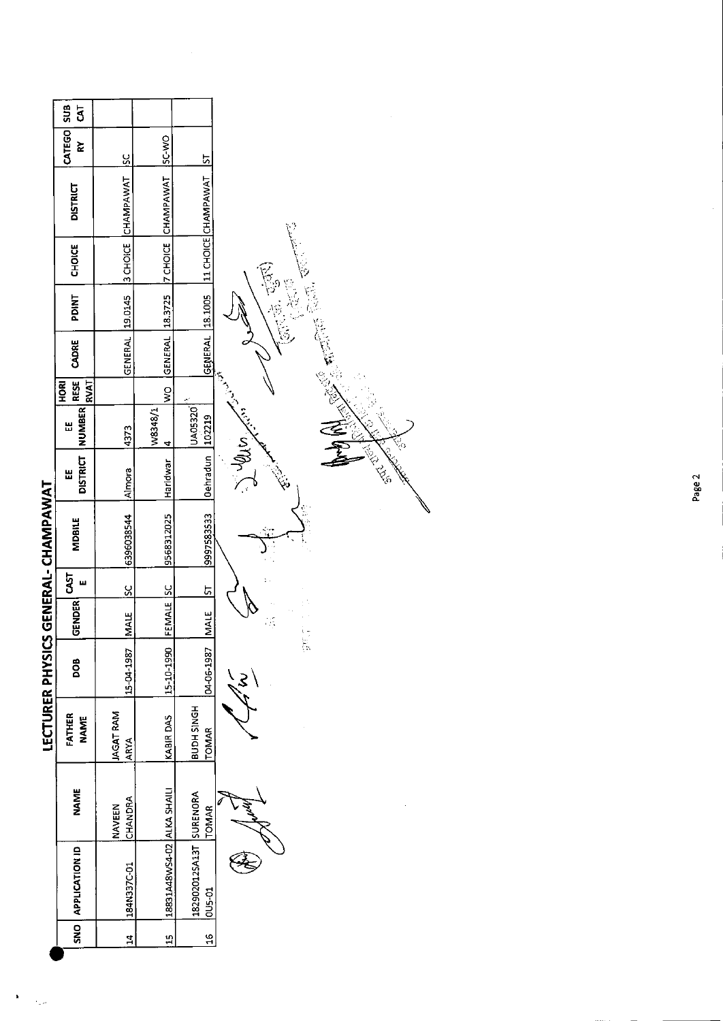|                                     | SUB<br>$\bar{\mathbf{5}}$          |                                 |                            |                                       |                           |
|-------------------------------------|------------------------------------|---------------------------------|----------------------------|---------------------------------------|---------------------------|
|                                     | CATEGO<br>š                        | <u>sc</u>                       | <b>SC WO</b>               | ᡃ                                     |                           |
|                                     | <b>DISTRICT</b>                    | CHAMPAWAT                       | 7 CHOICE CHAMPAWAT         | 11 CHOICE CHAMPAWAT                   |                           |
|                                     | CHOICE                             | 3 CHOICE                        |                            |                                       |                           |
|                                     | <b>PDINT</b>                       | 19.0145                         |                            | 18.1005                               | 屋                         |
|                                     | CADRE                              | <b>GENERAL</b>                  | GENERAL 18.3725            | GENERAL                               |                           |
|                                     | <b>RESE</b><br><b>RVAT</b><br>HORI |                                 | $\frac{1}{2}$              |                                       | s<br>E                    |
|                                     | <b>NUMBER</b><br>Ш                 | 4373                            | W8348/1<br>$\overline{4}$  | UA05320                               |                           |
|                                     | <b>DISTRICT</b><br>出               | Almora                          | Haridwar                   | Dehradun 102219                       | s velles<br>$\mathcal{A}$ |
| LECTURER PHYSICS GENERAL- CHAMPAWAT | <b>MDBILE</b>                      | 6396038544                      | 9568312025                 | 9997583533                            |                           |
|                                     | <b>GAST</b><br>ш                   | SC                              |                            | <u>51</u>                             |                           |
|                                     | <b>GENDER</b>                      | MALE                            | FEMALE SC                  | <b>MALE</b>                           | Ķ                         |
|                                     | DOB                                | 15-04-1987                      | 15-10-1990                 | 04-06-1987                            | Ģ,<br>$\mathbf{3}$        |
|                                     | FATHER<br><b>NAME</b>              | <b>JAGAT RAM</b><br><b>ARYA</b> | KABIR DAS                  | <b>HONIS HOUB</b><br><b>TOMAR</b>     |                           |
|                                     | <b>NAME</b>                        | CHANDRA<br><b>NAVEEN</b>        |                            | <b>TOMAR</b>                          |                           |
|                                     | <b>APPLICATION ID</b>              | 184N337C-01                     | 18831A48WS4-02 ALKA SHAILI | 182902012SA13T SURENORA<br>$0.5 - 01$ |                           |
|                                     | SN <sub>O</sub>                    | $\mathbf{z}$                    | 15                         | $\frac{9}{16}$                        |                           |
|                                     |                                    |                                 |                            |                                       |                           |

 $\hat{\mathcal{L}}$ 

 $\pmb{\cdot}$ 

Page 2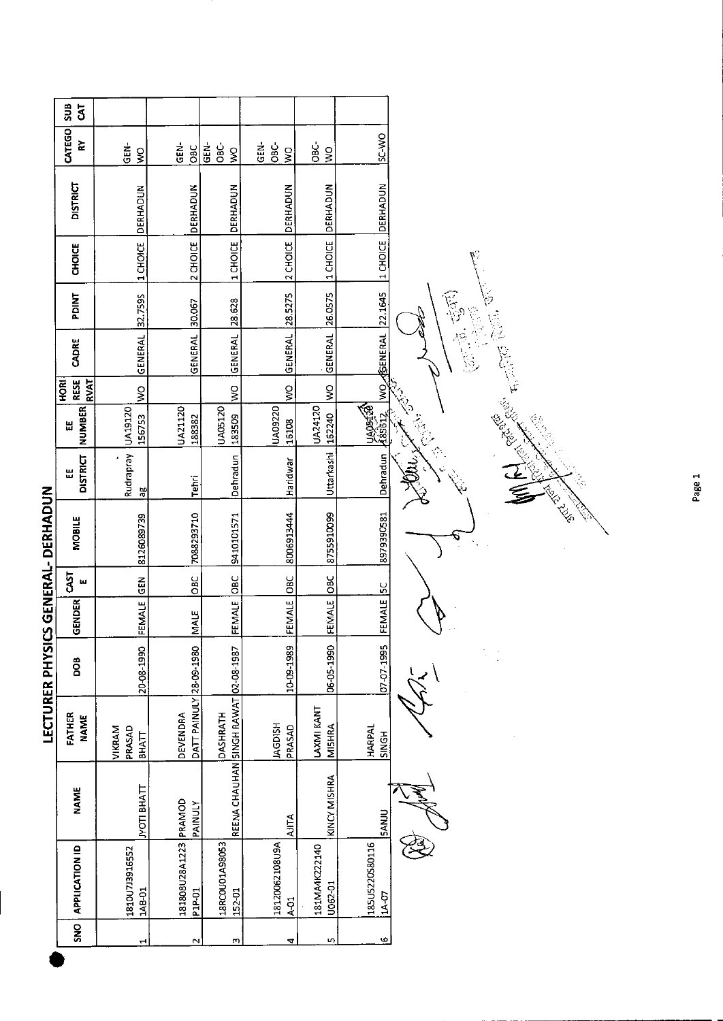|                       | 5UB<br>ჳ                                 |                                  |                                     |                                      |                                                |                            |                           |
|-----------------------|------------------------------------------|----------------------------------|-------------------------------------|--------------------------------------|------------------------------------------------|----------------------------|---------------------------|
|                       | CATEGO<br>š                              | <b>GEN</b><br>ş                  | GEN-<br><b>OBC</b>                  | GEN-<br>OBC-<br>Ş                    | GEN-<br>$rac{c}{\alpha}$<br>$\tilde{\epsilon}$ | ပ္တိ<br>Ş                  | OM-7S                     |
|                       | <b>DISTRICT</b>                          | DERHADUN                         | 2 CHOICE DERHADUN                   | DERHADUN                             | DERHADUN                                       | <b>DERHADUN</b>            | <b>DERHADUN</b>           |
|                       | <b>CHOICE</b>                            | 1 CHOICE                         |                                     | 1 CHOICE                             | 2 CHOICE                                       | 11CHOICE                   | 1 CHOICE                  |
|                       | PDINT                                    | 32.7595                          |                                     | 28.628                               |                                                |                            |                           |
|                       | CADRE                                    | GENERAL                          | GENERAL 30.067                      | <b>GENERAL</b>                       | GENERAL 28.5275                                | GENERAL 26.0575            | <b>ELNERAL</b> 22.1645    |
|                       | <b>RESE</b><br><b>RVAT</b><br><b>ROH</b> | ş                                |                                     | $\frac{1}{2}$                        | ş                                              | $\frac{8}{2}$              | $\frac{1}{2}$             |
|                       | <b>NUMBER</b><br>띲                       | UA19120<br>156753                | UA21120<br>188382                   | UA05120<br>183509                    | UA09220<br>16108                               | <b>JA24120</b><br>162240   | <b>POSTROAL</b><br>185612 |
|                       | <b>DISTRICT</b><br>w                     | Rudrapray<br>ЭB                  | <b>Tehri</b>                        | Dehradun                             | Haridwar                                       | Uttarkashi                 | Dehradun                  |
| ICS GENERAL- DERHADUN | <b>MOBILE</b>                            | 8126089739                       | 7088293710                          | 9410101571                           | 8006913444                                     | 8755910099                 | 8979390581                |
|                       | CAST<br>ш                                | <b>GEN</b>                       | $rac{C}{C}$                         | OBC                                  |                                                | OBC                        |                           |
|                       | <b>GENDER</b>                            | FEMALE                           | MALE                                | FEMALE                               | FEMALE OBC                                     | FEMALE                     | FEMALE SC                 |
| LECTURER PHYS         | <b>BOO</b>                               | 20-08-1990                       |                                     |                                      | 1009-1989                                      | 06-05-1990                 | 07-07-1995                |
|                       | FATHER<br><b>NAME</b>                    | PRASAD<br>VIKRAM<br><b>BHATT</b> | DATT PAINULY 28-09-1980<br>DEVENDRA | DASHRATH                             | <b>HSIGDAL</b><br>PRASAD                       | AXMI KANT<br><b>MISHRA</b> | HARPAL<br><b>SINGH</b>    |
|                       | <b>NAME</b>                              | JYOTI BHATT                      | PAINULY                             | REENA CHAUHAN SINGH RAWAT 02-08-1987 | <b>AITA</b>                                    | KINCY MISHRA               | <b>SANJU</b>              |
|                       | <b>APPLICATION ID</b>                    | 1810U713916552<br>148-01         | 181808U28A1223 PRAMOD<br>P1P-01     | 18RC0U01A98053<br>15201              | 18120062108U9A<br>$\frac{1}{2}$                | 181MA4K222140<br>U062-01   | 185U5220S80116<br>11A-07  |
|                       | $\frac{1}{2}$                            |                                  | $\sim$                              | S                                    | ⇆                                              | S                          | ဖ                         |
|                       |                                          |                                  |                                     |                                      |                                                |                            |                           |

्<br>८  $\epsilon$  $\stackrel{\iota}{\sim}$ 2) July 23

(三、高、高、

**ERIC ROAD** 

 $\frac{1}{2}$ 

 $\frac{1}{2}$ t,

C. Richard

Page 1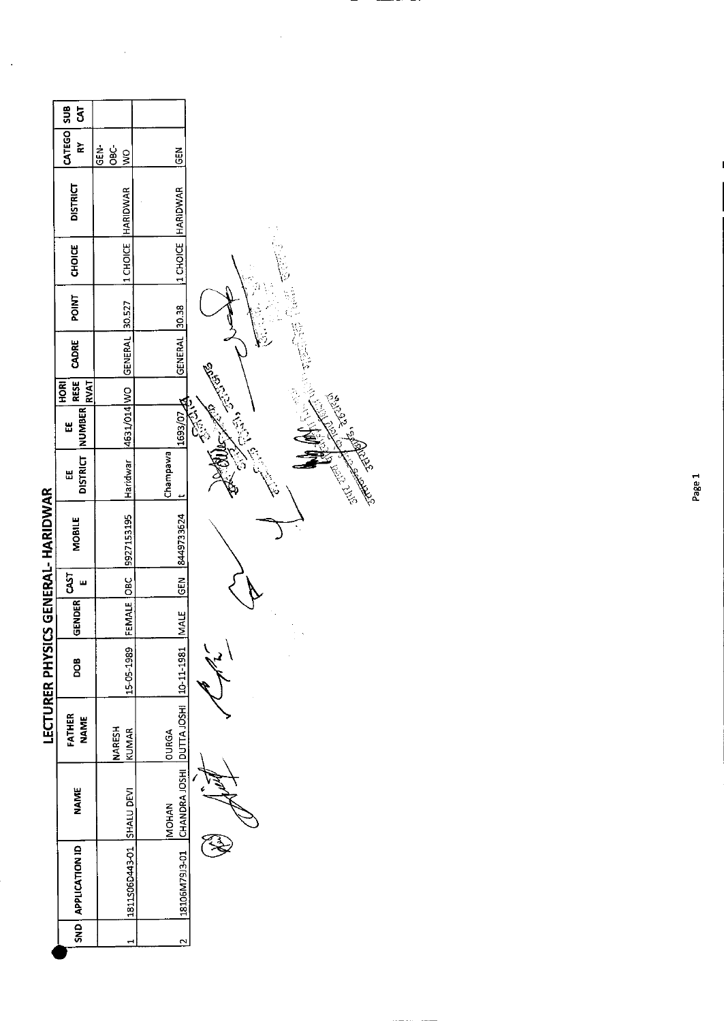|                      | <b>SUB</b><br>3                          |                                             |                                                           |                           |
|----------------------|------------------------------------------|---------------------------------------------|-----------------------------------------------------------|---------------------------|
|                      | CATEGO<br>È                              | <b>GEN-</b><br>$rac{c}{6}$<br>$\frac{8}{2}$ | Ğ.                                                        |                           |
|                      | <b>DISTRICT</b>                          | <b>HARIDWAR</b>                             | HARIDWAR                                                  |                           |
|                      | CHOICE                                   | 1 CHOICE                                    | 1 CHOICE                                                  |                           |
|                      | <b>POINT</b>                             | 30.527                                      | 30.38                                                     |                           |
|                      | CADRE                                    | GENERAL                                     | GENERAL                                                   |                           |
|                      | <b>RESE</b><br><b>RVAT</b><br><b>ROH</b> |                                             |                                                           |                           |
|                      | <b>NUMBER</b><br>出                       | 4631/014 WO                                 | 1693/07                                                   | <b>CENT</b><br>لي<br>الم  |
|                      | <b>DISTRICT</b><br>Ш                     | Haridwar                                    | Champawa                                                  | <b>1975-00-00</b><br>1992 |
| CS GENERAL- HARIDWAR | <b>MOBILE</b>                            | 9927153195                                  | 8449733624                                                |                           |
|                      | CAST<br>ш                                |                                             | GEN                                                       |                           |
|                      | GENDER                                   | FEMALE OBC                                  | <b>MALE</b>                                               |                           |
| LECTURER PHYSI       | DOB                                      | 15-05-1989                                  |                                                           |                           |
|                      | FATHER<br><b>NAME</b>                    | <b>NARESH</b><br><b>KUMAR</b>               | <b>OURGA</b>                                              |                           |
|                      | <b>NAME</b>                              |                                             | CHANDRA JOSHI   DUTTA JOSHI   10-11-1981<br><b>INOHAN</b> |                           |
|                      | SND   APPLICATION ID                     | IS11S06D443-01 SHALU DEVI                   | 18106M79J3-01                                             |                           |
|                      |                                          |                                             | $\sim$                                                    |                           |

<u>—</u>

 $\hat{\boldsymbol{\beta}}$ 

 $\overline{\phantom{a}}$ 

 $\hat{\boldsymbol{\beta}}$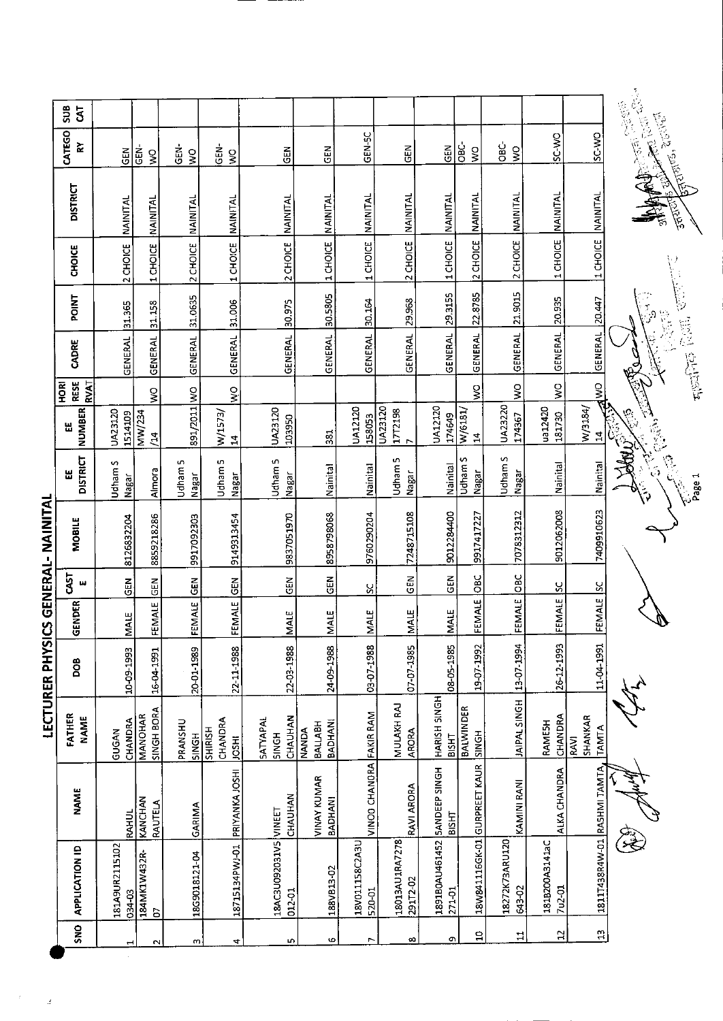| GEN-5C<br>SC-WO<br>SC-WO<br>$rac{c}{\sigma}$<br><u>يٰ</u><br>6<br>GEN-<br>GEN-<br>$rac{1}{65}$<br><b>GEN-</b><br>$rac{1}{2}$<br>ş<br>$rac{1}{2}$<br>$\boldsymbol{\mathsf{S}}$<br>$rac{1}{2}$<br><b>GEN</b><br>Ş<br>$\frac{8}{3}$<br>$\frac{8}{5}$<br><b>NAINITAL</b><br><b>NAINITAL</b><br>NAINITAL<br>NAINITAL<br>NAINITAL<br>1 CHOICE NAINITAL<br>NAINITAL<br>NAINITAL<br><b>NAINITAL</b><br>NAINITAL<br><b>NAINITAL</b><br>NAINITAL<br>NAINITAL<br>1 CHOICE<br>2 CHOICE<br>1 CHOICE<br>2 CHOICE<br>1 CHOICE<br>2 CHOICE<br>2 CHOICE<br>2 CHOICE<br>1 CHOICE<br>2 CHOICE<br>1 CHOICE<br>1 CHOICE<br>21.9015<br>29.3155<br>22.8785<br>30.5805<br>GENERAL 31.0635<br>20.447<br>20.935<br>30.164<br>29.968<br>31.006<br>30.975<br>31.158<br>GENERAL 31.365<br><b>GENERAL</b><br>GENERAL<br>GENERAL<br>GENERAL<br><b>GENERAL</b><br>GENERAL<br><b>GENERAL</b><br><b>GENERAL</b><br><b>GENERAL</b><br>GENERAL<br><b>GENERAL</b><br><b>OMPANO</b><br>$\tilde{\mathbf{z}}$<br>$rac{Q}{\geq}$<br>ş<br>$\frac{1}{2}$<br>$\mathsf{S}$<br>891/2011 WO<br>UA23220<br>UA23120<br>UA12120<br>$W$ 3184/<br>UA12120<br>ua12420<br>UA23120<br>UA23120<br>1772198<br>W/6181/<br>MW/234<br>W/1573/<br>1514109<br>181730<br>174367<br>158053<br>174649<br>103950<br>381<br>$\mathbf{z}$<br>$\overline{2}$<br>$\overline{4}$<br>$\mathbf{r}$<br>$\triangleright$<br>w | CS GENERAL- NAINITAL<br>MOBILE<br><b>GA5T</b><br>w<br>GENDER<br>LECTURER PHYSI<br>80a<br>FATHER<br><b>NAME</b><br><b>NAME</b><br><b>APPLICATION ID</b> |  |  |               |    |            | <b>DISTRICT</b><br>Ш | <b>NUMBER</b><br>出 | <b>RESE</b><br>RVAT<br><b>ROKI</b> | CADRE | POINT | <b>CHOICE</b> | <b>DISTRICT</b> | CATEGO<br>≿ | <b>SUB</b><br>$\overline{5}$ |
|----------------------------------------------------------------------------------------------------------------------------------------------------------------------------------------------------------------------------------------------------------------------------------------------------------------------------------------------------------------------------------------------------------------------------------------------------------------------------------------------------------------------------------------------------------------------------------------------------------------------------------------------------------------------------------------------------------------------------------------------------------------------------------------------------------------------------------------------------------------------------------------------------------------------------------------------------------------------------------------------------------------------------------------------------------------------------------------------------------------------------------------------------------------------------------------------------------------------------------------------------------------------------------------------------------------------------------------------------|--------------------------------------------------------------------------------------------------------------------------------------------------------|--|--|---------------|----|------------|----------------------|--------------------|------------------------------------|-------|-------|---------------|-----------------|-------------|------------------------------|
| Udham S<br>Udham S<br>Udham 5<br>Udham <sub>5</sub><br>Udham <sub>5</sub><br>Nainital<br>Istinial<br>Nainital<br>Nainital<br>Udham<br>Nainital<br>Almora<br>Nagar<br>Nagar<br>Nagar<br>Nagar<br>Nagar<br>Nagar<br>7409910623<br>9012062008<br>9012284400<br>7078312312<br>7248715108<br>8958798068<br>9760290204<br>9917417227<br>9837051970<br>8859218286<br>9149313454<br>9917092303<br><b>DBC</b><br>JOBC<br>GEN<br>$rac{1}{2}$<br>$rac{2}{5}$<br>GEN<br>FEMALE GEN<br><b>IGEN</b><br>$rac{2}{5}$<br>FEMALE SC<br><u>ყ</u><br>ပ္ပ<br>FEMALE<br>FEMALE<br><b>MALE</b><br><b>MALE</b>                                                                                                                                                                                                                                                                                                                                                                                                                                                                                                                                                                                                                                                                                                                                                             | 10-09-1993<br>CHANDRA<br>GUGAN<br><b>RAHUL</b><br>181A9UR2115102<br>034-03                                                                             |  |  | MAIE          | 65 | 8126832204 | Udham S<br>Nagar     |                    |                                    |       |       |               |                 |             |                              |
|                                                                                                                                                                                                                                                                                                                                                                                                                                                                                                                                                                                                                                                                                                                                                                                                                                                                                                                                                                                                                                                                                                                                                                                                                                                                                                                                                    | 16-04-1991<br>SINGH BORA<br><b>MANOHAR</b><br><b>KANCHAN</b><br>RAUTELA<br>184MK1W432R-<br><b>G</b>                                                    |  |  | FEMALE        |    |            |                      |                    |                                    |       |       |               |                 |             |                              |
|                                                                                                                                                                                                                                                                                                                                                                                                                                                                                                                                                                                                                                                                                                                                                                                                                                                                                                                                                                                                                                                                                                                                                                                                                                                                                                                                                    | 20-01-1989<br>PRANSHU<br>SINGH<br>GARIMA<br>18G9018121-04                                                                                              |  |  |               |    |            |                      |                    |                                    |       |       |               |                 |             |                              |
|                                                                                                                                                                                                                                                                                                                                                                                                                                                                                                                                                                                                                                                                                                                                                                                                                                                                                                                                                                                                                                                                                                                                                                                                                                                                                                                                                    | 22-11-1988<br>CHANDRA<br>SHIRISH<br><b>HSOL</b><br>PRIYANKA JOSHI<br>18715134PWJ-01                                                                    |  |  | <b>FEMALE</b> |    |            |                      |                    |                                    |       |       |               |                 |             |                              |
|                                                                                                                                                                                                                                                                                                                                                                                                                                                                                                                                                                                                                                                                                                                                                                                                                                                                                                                                                                                                                                                                                                                                                                                                                                                                                                                                                    | 22-03-1988<br>CHAUHAN<br>SATYAPAL<br><b>HDNIS</b><br>CHAUHAN<br>18AC3U092031V5 VINEET<br>012-01                                                        |  |  | MALE          |    |            |                      |                    |                                    |       |       |               |                 |             |                              |
|                                                                                                                                                                                                                                                                                                                                                                                                                                                                                                                                                                                                                                                                                                                                                                                                                                                                                                                                                                                                                                                                                                                                                                                                                                                                                                                                                    | 24-09-1988<br>BADHANI<br>BALLABH<br>NANDA<br>VINAY KUMAR<br>BADHANI<br>188VB13-02                                                                      |  |  | MALE          |    |            |                      |                    |                                    |       |       |               |                 |             |                              |
|                                                                                                                                                                                                                                                                                                                                                                                                                                                                                                                                                                                                                                                                                                                                                                                                                                                                                                                                                                                                                                                                                                                                                                                                                                                                                                                                                    | 03-07-1988<br><b>FAKIR RAM</b><br>VINOO CHANDRA<br>18V011158C2A3U<br>520-01                                                                            |  |  | MALE          |    |            |                      |                    |                                    |       |       |               |                 |             |                              |
|                                                                                                                                                                                                                                                                                                                                                                                                                                                                                                                                                                                                                                                                                                                                                                                                                                                                                                                                                                                                                                                                                                                                                                                                                                                                                                                                                    | 07-07-1985<br>MULAKH RAJ<br><b>ARORA</b><br>RAVI ARORA<br>18013AU1RA7278<br>291T2-02                                                                   |  |  |               |    |            |                      |                    |                                    |       |       |               |                 |             |                              |
|                                                                                                                                                                                                                                                                                                                                                                                                                                                                                                                                                                                                                                                                                                                                                                                                                                                                                                                                                                                                                                                                                                                                                                                                                                                                                                                                                    | 08-05-1985<br>HARISH SINGH<br><b>BISHT</b><br>1891B0AU461452 SANDEEP SINGH<br><b>BISHT</b><br>271-01                                                   |  |  |               |    |            |                      |                    |                                    |       |       |               |                 |             |                              |
|                                                                                                                                                                                                                                                                                                                                                                                                                                                                                                                                                                                                                                                                                                                                                                                                                                                                                                                                                                                                                                                                                                                                                                                                                                                                                                                                                    | 19-07-1992<br><b>BALWINDER</b><br>SINGH<br>18W841116GK-01 GURPREET KAUR                                                                                |  |  |               |    |            |                      |                    |                                    |       |       |               |                 |             |                              |
|                                                                                                                                                                                                                                                                                                                                                                                                                                                                                                                                                                                                                                                                                                                                                                                                                                                                                                                                                                                                                                                                                                                                                                                                                                                                                                                                                    | 13-07-1994<br>JAIPAL SINGH<br>KAMINI RANI<br>18272K73ARU120<br>643-02                                                                                  |  |  |               |    |            |                      |                    |                                    |       |       |               |                 |             |                              |
|                                                                                                                                                                                                                                                                                                                                                                                                                                                                                                                                                                                                                                                                                                                                                                                                                                                                                                                                                                                                                                                                                                                                                                                                                                                                                                                                                    | 26-12-1993<br>CHANDRA<br>RAMESH<br>ALKA CHANDRA<br>181B200A3141aC<br>7u2-01                                                                            |  |  | FEMALE        |    |            |                      |                    |                                    |       |       |               |                 |             |                              |
|                                                                                                                                                                                                                                                                                                                                                                                                                                                                                                                                                                                                                                                                                                                                                                                                                                                                                                                                                                                                                                                                                                                                                                                                                                                                                                                                                    | 11-04-1991<br>SHANKAR<br><b>TAMTA</b><br>RAVI<br>1811T438R4W-01 RASHMI TAMTA                                                                           |  |  |               |    |            |                      |                    |                                    |       |       |               |                 |             |                              |

 $\frac{1}{2}$ 

 $\frac{1}{2}$ 

**Company of Commandial Article Communication of the property section**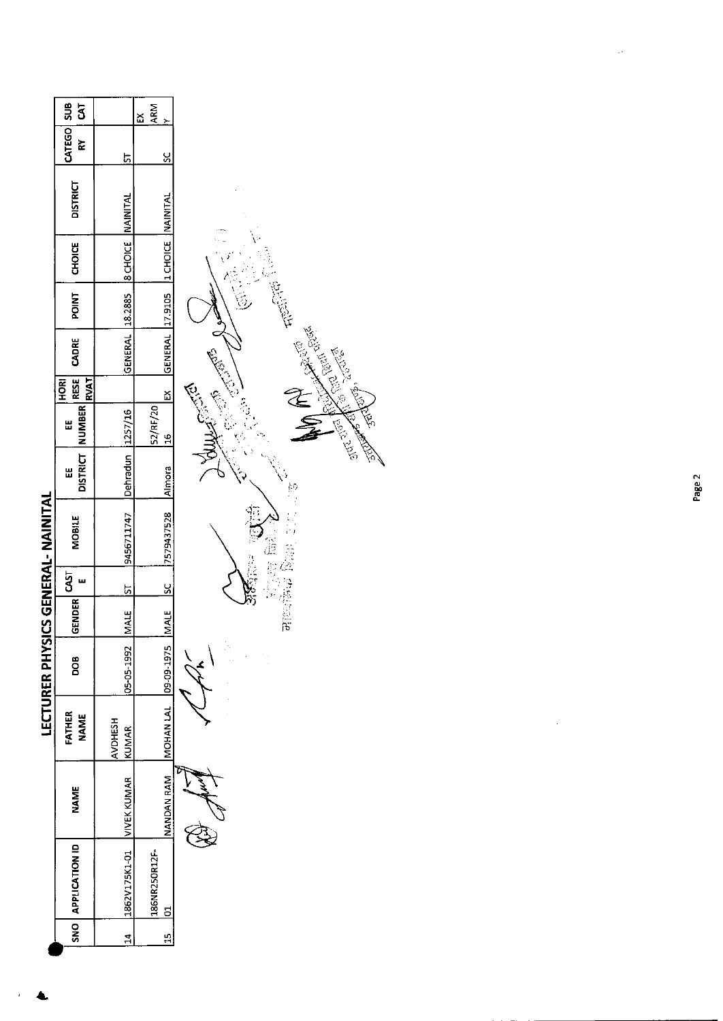|                                           | sus<br>ā                                       |                          | <b>ARM</b><br>X            |                                                                                                                                 |
|-------------------------------------------|------------------------------------------------|--------------------------|----------------------------|---------------------------------------------------------------------------------------------------------------------------------|
|                                           |                                                |                          |                            |                                                                                                                                 |
|                                           | CATEGO<br>È                                    | 5                        | <u>يا</u>                  |                                                                                                                                 |
|                                           | <b>DISTRICT</b>                                |                          |                            |                                                                                                                                 |
|                                           | <b>CHOICE</b>                                  | <b>8 CHOICE NAINITAL</b> | 12 CHOICE NAINITAL         |                                                                                                                                 |
|                                           | <b>POINT</b>                                   | 18.2885                  |                            |                                                                                                                                 |
|                                           | CADRE                                          | GENERAL                  | GENERAL 17.9105            | <b>Contract of Contract of Contract of Contract of Contract of Contract of Contract of Contract of Contract of Co</b><br>o<br>C |
|                                           | <b>RESE</b><br><b>RVAT</b><br>H <sub>ORI</sub> |                          | <u> ដ</u>                  | E                                                                                                                               |
|                                           | DISTRICT NUMBER<br>Ш                           | 1257/16                  | 52/RF/20<br>$\frac{6}{10}$ | <b>TANEWS</b>                                                                                                                   |
|                                           | Ш                                              | Dehradun                 | Almora                     | REAL PROPERTY                                                                                                                   |
| <b>LECTURER PHYSICS GENERAL- NAINITAL</b> | <b>MOBILE</b>                                  | 9456711747               | 7579437528                 |                                                                                                                                 |
|                                           | <b>GST</b><br>ш                                | <u>51</u>                | <u>sc</u>                  | ithia.                                                                                                                          |
|                                           | <b>GENDER</b>                                  | <b>MALE</b>              | <b>MALE</b>                | <b>Pile</b>                                                                                                                     |
|                                           | BOO                                            | 05-05-1992               | 09-09-1975                 |                                                                                                                                 |
|                                           | FATHER<br><b>NAME</b>                          | <b>AVDHESH</b><br>KUMAR  | MOHAN LAL                  |                                                                                                                                 |
|                                           | <b>NAME</b>                                    | <b>VIVEK KUMAR</b>       | <b>NANDAN RAM</b>          |                                                                                                                                 |
|                                           | SNO APPLICATION ID                             | 1862V175K1-01            | 186NR250R12F-<br>5         |                                                                                                                                 |
|                                           |                                                | $\mathbf{14}$            | $\frac{15}{11}$            |                                                                                                                                 |
|                                           |                                                |                          |                            |                                                                                                                                 |

 $\frac{1}{2} \left( \frac{1}{2} \right)$ 

 $\bar{\psi}$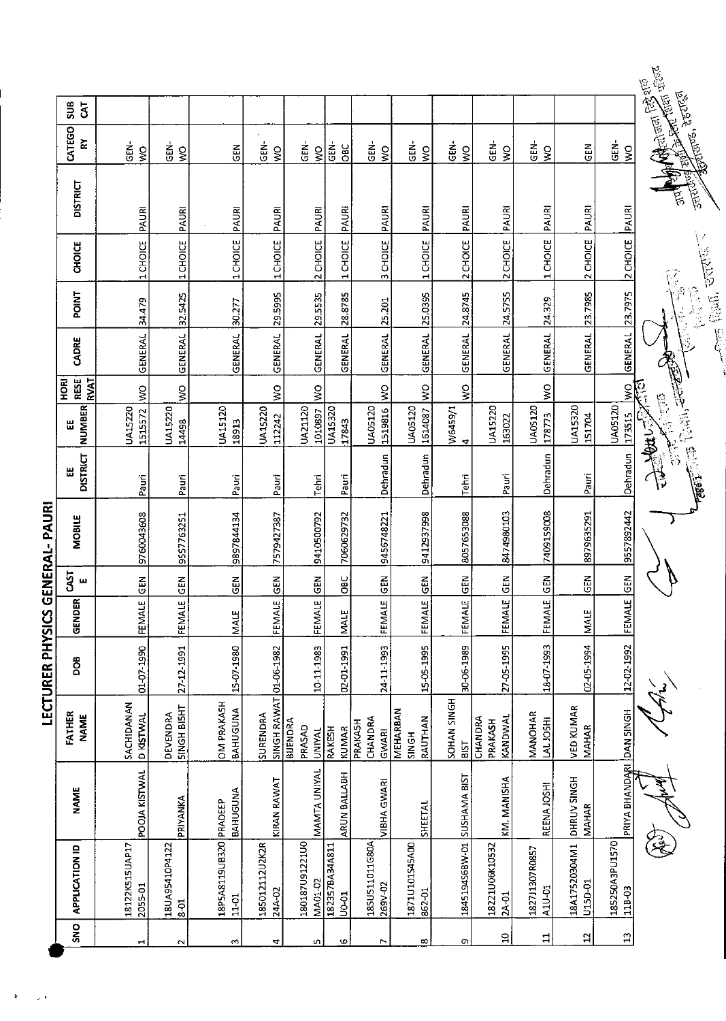|                       |                             |                          |                                     | LECTURER PHYSICS |                                  |             | GENERAL-PAURI |                      |                                 |                                                 |                |                  |               |                                                                                                                                       |                              |                      |  |
|-----------------------|-----------------------------|--------------------------|-------------------------------------|------------------|----------------------------------|-------------|---------------|----------------------|---------------------------------|-------------------------------------------------|----------------|------------------|---------------|---------------------------------------------------------------------------------------------------------------------------------------|------------------------------|----------------------|--|
| SN <sub>O</sub>       | <b>APPLICATION ID</b>       | <b>NAME</b>              | FATHER<br><b>NAME</b>               | 80g              | $\overline{\mathbf{r}}$<br>GENDE | CAST<br>ш   | <b>MOBILE</b> | <b>DISTRICT</b><br>Ш | <b>NUMBER</b><br>Ш              | RESE <sup>1</sup><br><b>RVAT</b><br><b>HORI</b> | CADRE          | <b>POINT</b>     | <b>CHOICE</b> | <b>DISTRICT</b>                                                                                                                       | CATEGO<br>$\bf \tilde{z}$    | ទី<br>$\overline{5}$ |  |
| $\mathbf{\mathbf{t}}$ | 18122K515UAP17<br>2055-01   | POOJA KISTWAL            | SACHIDANAN<br><b>D KISTWAL</b>      | 01-07-1990       | ω<br>FEMALI                      | $rac{2}{5}$ | 9760043608    | Pauri                | 1515572<br>UA15220              | $\frac{8}{2}$                                   | <b>GENERAL</b> | 34,479           | 1 CHOICE      | PAURI                                                                                                                                 | $\overline{5}$<br>ş          |                      |  |
| $\sim$                | 18UA95410P4122<br>$3-8$     | PRIYANKA                 | <b>SINGH BISHT</b><br>DEVENDRA      | 27-12-1991       | ωı<br><b>FEMAL</b>               | <b>GEN</b>  | 9557763251    | Pauri                | <b>UA15220</b><br>14498         | š                                               | <b>GENERAL</b> | 32.5425          | 1 CHOICE      | PAURI                                                                                                                                 | GEN-<br>$\frac{1}{2}$        |                      |  |
| $\sim$                | 18P5A8119UB320<br>$11 - 01$ | BAHUGUNA<br>PRADEEP      | <b>OM PRAKASH</b><br>BAHUGUNA       | 15-07-1980       | MALE                             | EN<br>GEN   | 9897844134    | Pauri                | UA15120<br>18913                |                                                 | GENERAL        | 30.277           | 1 CHOICE      | PAURI                                                                                                                                 | <b>GEN</b>                   |                      |  |
| 4                     | 185012112U2K2R<br>24A-02    | KIRAN RAWAT              | SINGH RAWAT<br>SURENDRA             | 01-06-1982       | ш<br>FEMALI                      | <b>GEN</b>  | 7579427387    | Pauri                | UA15220<br>112242               | ş                                               | GENERAL        | 29.5995          | 1 CHOICE      | PAURI                                                                                                                                 | GEN-<br>$\frac{1}{2}$        |                      |  |
| n,                    | 180187U91221U0<br>MA01-02   | MAMTA UNIYAL             | BIJENDRA<br>PRASAD<br><b>UNIYAL</b> | 10-11-1983       | ш<br>FEMALI                      | $rac{2}{5}$ | 9410500792    | Tehri                | UA21120<br>1010897              | $\frac{1}{2}$                                   | GENERAL        | 29.5535          | 2 CHOICE      | PAURI                                                                                                                                 | <b>GEN-</b><br>$\frac{1}{2}$ |                      |  |
| G                     | 182357BA34A811<br>U0-01     | ARUN BALLABH             | RAKESH<br>KUMAR                     | 02-01-1991       | <b>MALE</b>                      | OBC         | 7060629732    | Pauri                | <b>UA15320</b><br>17843         |                                                 | GENERAL        | 28.8785          | 1 CHOICE      | PAURI                                                                                                                                 | GEN-<br>ÖВ                   |                      |  |
| L                     | 185U511011G80A<br>269V-02   | <b>VIBHA GWARI</b>       | CHANDRA<br>PRAKASH<br>GWARI         | 24-11-1993       | ωį<br>FEMAL                      | $rac{2}{5}$ | 9456748221    | Dehradun             | UA05120<br>1519816              | š                                               | GENERAL        | 25.201           | 3 CHOICE      | PAURI                                                                                                                                 | GEN-<br>$\frac{1}{2}$        |                      |  |
| $\infty$              | 1871U101545A00<br>862-01    | <b>SHEETAL</b>           | MEHARBAN<br>RAUTHAN<br>SINGH        | 15-05-1995       | $\overline{\mathbf{u}}$<br>FEMAL | <b>SEN</b>  | 9412937998    | Dehradun             | UA05120<br>1614087              | $\frac{8}{2}$                                   | <b>GENERAL</b> | 25.0395          | 1 CHOICE      | PAURI                                                                                                                                 | GEN-<br>$\frac{1}{2}$        |                      |  |
| o                     | 1845194S68W-01 SUSHAMA BIST |                          | SOHAN SINGH<br><b>BIST</b>          | 30-06-1989       | щ<br><b>FEMAL</b>                | <b>ABD</b>  | 8057653088    | Tehri                | W6459/1<br>$\blacktriangledown$ | $\zeta$                                         | GENERAL        | 24.8745          | 2 CHOICE      | PAURI                                                                                                                                 | GEN-<br>$\frac{0}{5}$        |                      |  |
| $\mathbf{S}$          | 18221U06K10532<br>2A-01     | KM. MANISHA              | KANDWAL<br>CHANDRA<br>PRAKASH       | 27-05-1995       | FEMALE                           | <b>IGEN</b> | 8474980103    | Pauri                | <b>UA15220</b><br>163022        |                                                 | GENERAL        | 24.5755          | 2 CHOICE      | PAURI                                                                                                                                 | GEN-<br>$\frac{1}{2}$        |                      |  |
| 且                     | 182711307R0857<br>A1U-01    | REENA JOSHI              | MANOHAR<br>LAL JOSHI                | 18-07-1993       | ېدا<br>FEMAL                     | <b>GEN</b>  | 7409159008    | Dehradun             | <b>UA05120</b><br>178773        | ş                                               | GENERAL        | 24.329           | 1 CHOICE      | PAURI                                                                                                                                 | GEN-<br>$\frac{1}{2}$        |                      |  |
| $\mathfrak{a}$        | 18A17520304M1<br>u_50-01    | DHRUV SINGH<br>MAHAR     | <b>VED KUMAR</b><br><b>MAHAR</b>    | 02-05-1994       | <b>MALE</b>                      | $rac{1}{2}$ | 8979635291    | Pauri                | UA15320<br>151704               |                                                 | GENERAL        | 23.7985          | 2 CHOICE      | PAURI                                                                                                                                 | 준<br>연                       |                      |  |
| $\mathbf{r}$          | 185250A3PU1570<br>118-03    | PRIYA BHANDARI DAN SINGH |                                     | 12-02-1992       | FEMALE                           | <b>SEN</b>  | 9557892442    | Dehradun             | <b>UA05120</b><br>273515        | $\frac{1}{2}$                                   | <b>GENERAL</b> | 23.7975          | 2 CHOICE      | PAURI                                                                                                                                 | GEN-<br>$\frac{1}{2}$        |                      |  |
|                       |                             |                          |                                     |                  |                                  |             |               | <b>REAR POSTER</b>   | <b>Book</b>                     |                                                 | <b>CONTENT</b> | $\sum_{i=1}^{n}$ | <b>POTER</b>  | <b>Control Manual Control Control Control Control Control Control Control Control Control Control Control Control</b><br><b>Barca</b> | <b>Mares</b> , deutes        |                      |  |

 $\ddot{\mathbf{r}}$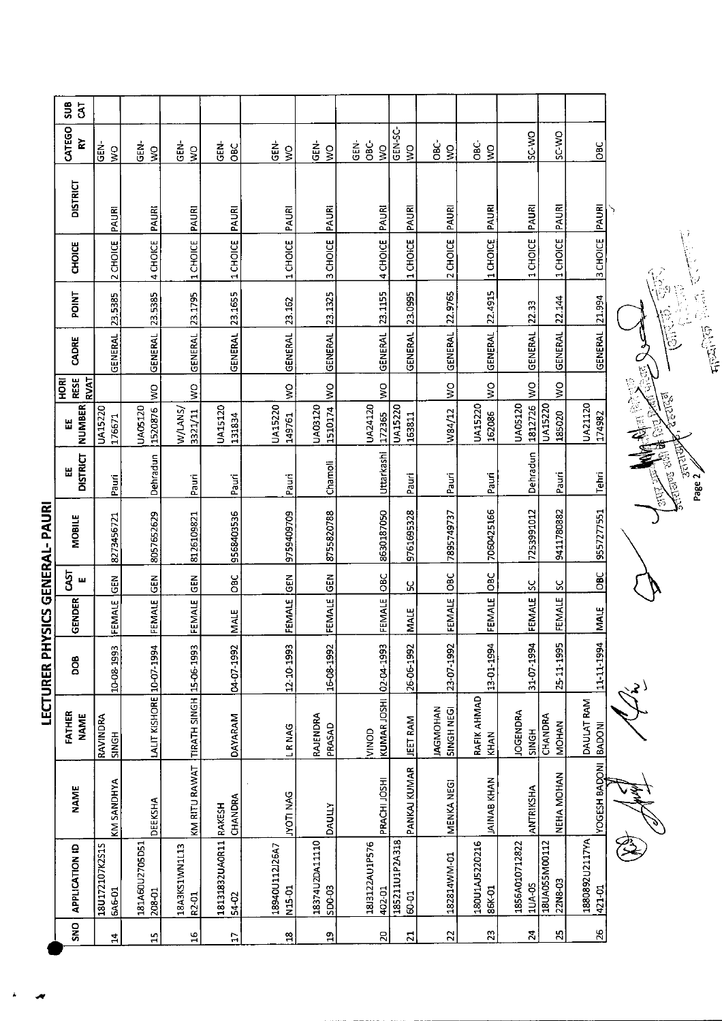|                                        | ទីប<br>$\overline{3}$              |                                 |                           |                                       |                                |                                      |                                      |                                 |                          |                                      |                          |                                 |                          |                             |  |
|----------------------------------------|------------------------------------|---------------------------------|---------------------------|---------------------------------------|--------------------------------|--------------------------------------|--------------------------------------|---------------------------------|--------------------------|--------------------------------------|--------------------------|---------------------------------|--------------------------|-----------------------------|--|
|                                        | CATEGO<br>$\gtrapprox$             | $\frac{1}{5}$<br>$\frac{0}{5}$  | .<br>동<br>$\frac{1}{2}$   | GEN-<br>$\frac{1}{2}$                 | さ<br>し<br>OBC                  | ន់<br>ច<br>Ş                         | $\tilde{\Xi}$<br>$\frac{0}{5}$       | පි<br>ĠEN-<br>$\frac{8}{5}$     | GEN-SC-<br>Š             | <b>OBC</b><br>$\frac{8}{5}$          | ÖВC-<br>$\frac{1}{2}$    | SC-WO                           | SC-WO                    | $rac{6}{1}$                 |  |
|                                        | <b>DISTRICT</b>                    | PAURI                           | PAURI                     | PAURI                                 | PAURI                          | PAURI                                | PAURI                                | <b>PAURI</b>                    | PAURI                    | PAURI                                | PAURI                    | PAURI                           | PAURI                    | PAURI                       |  |
|                                        | CHOICE                             | 2 CHOICE                        | 4 CHOICE                  | 1 CHOICE                              | 1 CHOICE                       | 1 CHOICE                             | 3 CHOICE                             | 4 CHOICE                        | 1 CHOICE                 | 2 CHOICE                             | 1 CHOICE                 | 1 CHOICE                        | 1 CHOICE                 | 3 CHOICE                    |  |
|                                        | POINT                              | 23.5385                         | 23.5385                   | 23.1795                               | 23.1655                        |                                      | 23.1325                              | 23.1155                         | 23.0995                  |                                      | 22.4915                  | 22.33                           | 22.144                   | 21.994                      |  |
|                                        | CADRE                              | <b>GENERAL</b>                  | <b>GENERAL</b>            | GENERAL                               | <b>GENERAL</b>                 | GENERAL 23.162                       | GENERAL                              | <b>GENERAL</b>                  | <b>GENERAL</b>           | GENERAL 22.9765                      | <b>GENERAL</b>           | <b>GENERAL</b>                  | GENERAL                  | <b>GENERAL</b>              |  |
|                                        | <b>RESE</b><br><b>RVAT</b><br>HORI |                                 | $\frac{8}{5}$             | Ş                                     |                                | $\tilde{\mathbf{z}}$                 | $\frac{8}{2}$                        | $\geq$                          |                          | $\geq$                               | $\frac{1}{2}$            | Š                               | $\frac{8}{5}$            |                             |  |
|                                        | <b>NUMBER</b><br>쎲                 | <b>UA15220</b><br>176671        | <b>UA05120</b><br>1520876 | W/LANS/<br>3321/11                    | <b>UA15120</b><br>131834       | UA15220<br>149761                    | UA03120<br>1510174                   | UA24120<br>172365               | <b>UA15220</b><br>163811 | W84/12                               | <b>UA15220</b><br>162086 | UA05120<br>1812726              | UA15220<br>185020        | UA21120<br>174982           |  |
|                                        | <b>DISTRICT</b><br>Ш               | Pauri                           | Dehradun                  | Pauri                                 | Pauri                          | Pauri                                | Channoli                             | Uttarkashi                      | Pauri                    | Pauri                                | Pauri                    | Dehradun                        | Pauri                    | Tehri                       |  |
| <b>LECTURER PHYSICS GENERAL- PAURI</b> | <b>MOBILE</b>                      | 8273456721                      | 8057652629                | 8126109821                            | 9568403536                     | 9759409709                           | 8755820788                           | 8630187050                      | 9761695328               | 7895749737                           | 7060425166               | 7253991012                      | 9411780882               | 9557277551                  |  |
|                                        | <b>GST</b><br>щ                    | $rac{1}{2}$                     | $rac{6}{5}$               | $rac{2}{5}$                           | OBC                            |                                      | $\Xi$                                | <b>OBC</b>                      | ሄ                        | <b>DBC</b>                           | OBC                      | $\mathcal{S}$                   | ပ္တ                      | <b>DBC</b>                  |  |
|                                        | <b>GENDER</b>                      | FEMALE                          | FEMALE                    | <b>FEMALE</b>                         | <b>NALE</b>                    | FEMALE GEN                           | FEMALE                               | FEMALE                          | MALE                     | <b>FEMALE</b>                        | <b>FEMALE</b>            | FEMALE                          | FEMALE                   | <b>NAIE</b>                 |  |
|                                        | <b>DOB</b>                         | 10-08-1993                      |                           |                                       | 04-07-1992                     | 12-10-1993                           | 16-08-1992                           |                                 | 26-06-1992               | 23-07-1992                           | 13-01-1994               | 31-07-1994                      | 25-11-1995               | 11-11-1994                  |  |
|                                        | FATHER<br><b>NAME</b>              | RAVINDRA<br><b>SINGH</b>        | LALIT KISHORE 10-07-1994  |                                       | <b>DAYARAM</b>                 | <b>LRNAG</b>                         | RAJENDRA<br>PRASAD                   | KUMAR JOSHI 02 04 1993<br>VINOD | JEET RAM                 | <b>IAGMOHAN</b><br><b>SINGH NEGI</b> | RAFIK AHMAD<br>KHAN      | <b>JOGENDRA</b><br><b>SINGH</b> | CHANDRA<br><b>MOHAN</b>  | DAULAT RAM<br><b>BADONI</b> |  |
|                                        | <b>NAME</b>                        | KM SANDHYA                      | DEEKSHA                   | KM RITU RAWAT TIRATH SINGH 15-06-1993 | CHANDRA                        | <b>DAN ILONT</b>                     | DAULLY                               | PRACHI JOSHI                    | PANKAJ KUMAR             | MENKA NEGI                           | <b>JAINAB KHAN</b>       | <b>ANTRIKSHA</b>                | NEHA MOHAN               | YOGESH BADONI               |  |
|                                        | <b>APPLICATION ID</b>              | 18U172107K2S1S<br><b>6A6-01</b> | 181A60U2705D51<br>208-01  | 18A3KS1WN1L13<br>R <sub>2-01</sub>    | 18131832UA0R11 RAKESH<br>54-02 | 18940U112J26A7<br>N <sub>15-01</sub> | 18374U2DA11110<br>SD <sub>0-03</sub> | 1813122AU1P576<br>402-01        | 185211U1P2A318<br>60-01  | 182814WM-01                          | 180U1AJ5220216<br>86K-01 | 1856A010712822<br>1UA-0S        | 18UA055M00112<br>22N8-03 | 1880892U2117YA<br>421-01    |  |
|                                        | SNO                                | $\mathbf{1}$                    | 박                         | $\frac{6}{1}$                         | $\overline{17}$                | $\mathbf{a}$                         | $\mathbf{a}$                         | $\mathbf{z}$                    | $\overline{21}$          | 22                                   | 23                       | $\mathbf{z}$                    | $\mathbf{z}$             | $\frac{26}{5}$              |  |

JAPAN 5, **CONTROVERS SCREEP** 

大西 小学

Á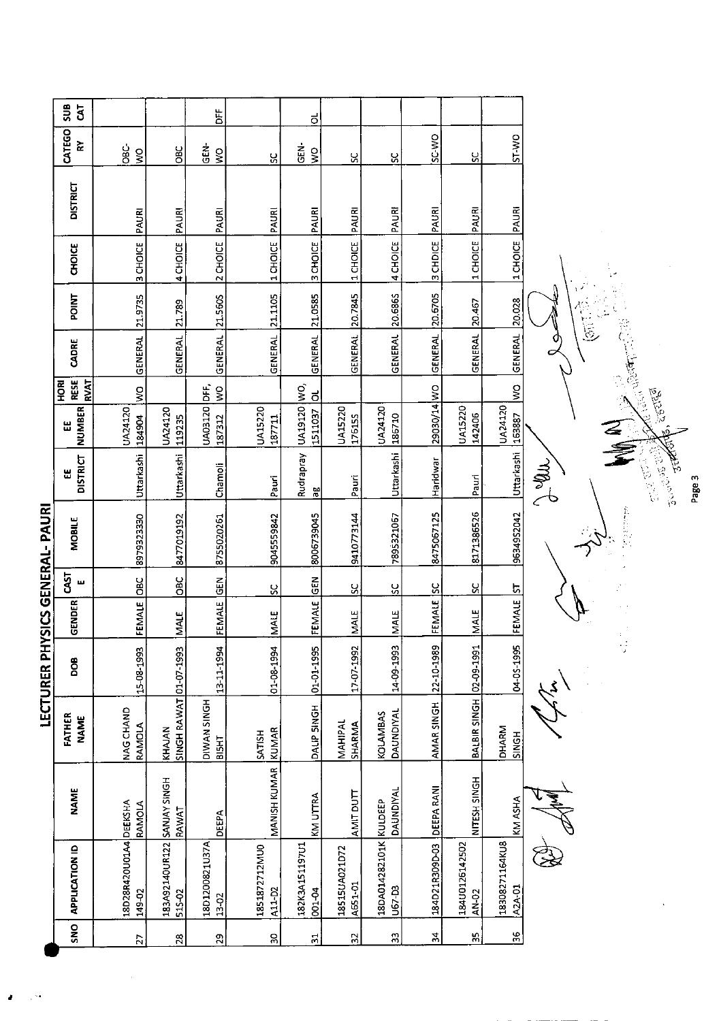| CATEGO<br>SC-WO<br><b>CM-LS</b><br>$\approx$<br>GEN-<br>ĠС-<br>GEN-<br>ЭEC<br>$\frac{1}{2}$<br>Ş<br>$\frac{8}{3}$<br>ပ္တ<br>ပ္ပ<br>ပ္တ<br>ಀೢ<br><b>DISTRICT</b><br>PAURI<br>PAURI<br>PAURI<br>PAURI<br>PAURI<br>PAURI<br>PAURI<br>PAURI<br>PAURI<br>PAURI<br>2 CHOICE<br>1 CHOICE<br>3 CHOICE<br>4 CHOICE<br>1 CHOICE<br>1 CHOICE<br>3 CHOICE<br>3 CHDICE<br>1 CHOICE<br>4 CHOICE<br><b>CHOICE</b><br>ŗ,<br>20.5865<br>20.6705<br>21.1105<br>21.0585<br>20.7845<br><b>POINT</b><br>21.9735<br>21.5605<br>20.028<br>20.467<br>21.789<br>i<br>C<br><b>GENERAL</b><br><b>GENERAL</b><br><b>GENERAL</b><br><b>GENERAL</b><br>GENERAL<br>GENERAL<br><b>GENERAL</b><br><b>GENERAL</b><br><b>GENERAL</b><br><b>GENERAL</b><br>CADRE<br><b>Cash discounts</b><br><b>RESE</b><br>RVAT<br><b>ROH</b><br>UA19120 WO,<br>$\tilde{g}$<br>E 9<br>N<br>N<br>29030/14 WO<br>ş<br>321.22<br><u>ನ</u><br>UA03120<br>UA24120<br><b>NUMBER</b><br>UA15220<br><b>UA15220</b><br><b>UA15220</b><br>UA24120<br>UA24120<br>UA24120<br>1511037<br>142406<br>186710<br>176155<br>153887<br>119235<br>184904<br>187312<br>187711<br>Ш<br>Uttarkashi<br>Rudrapray<br>Uttarkashi<br>್ಯಾತ್ಮ ಪ <sup>್ರ</sup><br>ಕಾರ್<br>أحكم<br>Uttarkashi<br>Uttarkashi<br><b>DISTRICT</b><br>Haridwar<br>∌ัืน<br>Chamoli<br>出<br>Pauri<br>Pauri<br>Pauri<br>96<br>YSICS GENERAL-PAURI<br>第12回 100<br>8171386526<br>8475067125<br>9634952042<br>8006739045<br>9410773144<br>7895321067<br>8979323330<br>8477019192<br>9045559842<br>8755020261<br>MOBILE<br>5l<br>OBC<br><b>DBC</b><br><b>ICEN</b><br><b>GEN</b><br>ш<br><u>ប</u><br>ပ္တ<br>ပ္ပ<br><u>ပ</u><br>ပ္တ<br><u>ភ</u><br>FEMALE<br>FEMALE<br><b>GENDER</b><br>FEMALE<br>FEMALE<br>FEMALE<br>MALE<br><b>INALE</b><br><b>MALE</b><br><b>MALE</b><br><b>MALE</b><br>5<br>LECTURER PH<br>02-09-1991<br>04-05-1995<br>14-09-1993<br>22-10-1989<br>01-08-1994<br>01-01-1995<br>17-07-1992<br>15-08-1993<br>SINGH RAWAT 01-07-1993<br>13-11-1994<br>DOB <sub></sub><br>BALBIR SINGH<br>DIWAN SINGH<br>AMAR SINGH<br>DALIP SINGH<br>NAG CHAND<br><b>DAUNDIYAL</b><br><b>KOLAMBAS</b><br>FATHER<br><b>NAME</b><br>MAHIPAL<br><b>SHARMA</b><br>RAMOLA<br><b>DHARM</b><br>KHAJAN<br>KUMAR<br><b>SATISH</b><br>SINGH<br>315H<br><b>MANISH KUMAR</b><br>183A92140UR122 SANJAY SINGH<br>NITESH SINGH<br>DEEPA RANI<br>DAUNDIYAL<br><b>NAME</b><br>AMIT DUTT<br>KM UTTRA<br>KM ASHA<br>18DA014282101K KULDEEP<br>18D28R420U01A4 DEEKSHA<br>RAMOLA<br>RAWAT<br>DEEPA<br>18D1200821U37A<br>18308271164KU8<br>184U0125142502<br>182K3A151197U1<br>184D21R309D-03<br>1851872712MU0<br><b>APPLICATION ID</b><br>18515UA021D72<br>A651-01<br>A2A-01<br>U67-D3<br>A11-D2<br>001-04<br>AN-02<br>149-02<br>515-02<br>13-02<br>SNO<br>$36\,$<br>54<br>55<br>$33\,$<br>$\bf{S}$<br>32<br>29<br>$\Xi$<br>$28$<br>$\overline{2}$ | ទី<br>$\overline{5}$ |  | ă | ಕ |  |  |        |
|-----------------------------------------------------------------------------------------------------------------------------------------------------------------------------------------------------------------------------------------------------------------------------------------------------------------------------------------------------------------------------------------------------------------------------------------------------------------------------------------------------------------------------------------------------------------------------------------------------------------------------------------------------------------------------------------------------------------------------------------------------------------------------------------------------------------------------------------------------------------------------------------------------------------------------------------------------------------------------------------------------------------------------------------------------------------------------------------------------------------------------------------------------------------------------------------------------------------------------------------------------------------------------------------------------------------------------------------------------------------------------------------------------------------------------------------------------------------------------------------------------------------------------------------------------------------------------------------------------------------------------------------------------------------------------------------------------------------------------------------------------------------------------------------------------------------------------------------------------------------------------------------------------------------------------------------------------------------------------------------------------------------------------------------------------------------------------------------------------------------------------------------------------------------------------------------------------------------------------------------------------------------------------------------------------------------------------------------------------------------------------------------------------------------------------------------------------------------------------------------------------------------------------------------------------------------------------------------------------------------------------------------------------------------------------------------------------------------------------------------------------------------------------------------------------------------|----------------------|--|---|---|--|--|--------|
|                                                                                                                                                                                                                                                                                                                                                                                                                                                                                                                                                                                                                                                                                                                                                                                                                                                                                                                                                                                                                                                                                                                                                                                                                                                                                                                                                                                                                                                                                                                                                                                                                                                                                                                                                                                                                                                                                                                                                                                                                                                                                                                                                                                                                                                                                                                                                                                                                                                                                                                                                                                                                                                                                                                                                                                                                 |                      |  |   |   |  |  |        |
|                                                                                                                                                                                                                                                                                                                                                                                                                                                                                                                                                                                                                                                                                                                                                                                                                                                                                                                                                                                                                                                                                                                                                                                                                                                                                                                                                                                                                                                                                                                                                                                                                                                                                                                                                                                                                                                                                                                                                                                                                                                                                                                                                                                                                                                                                                                                                                                                                                                                                                                                                                                                                                                                                                                                                                                                                 |                      |  |   |   |  |  |        |
|                                                                                                                                                                                                                                                                                                                                                                                                                                                                                                                                                                                                                                                                                                                                                                                                                                                                                                                                                                                                                                                                                                                                                                                                                                                                                                                                                                                                                                                                                                                                                                                                                                                                                                                                                                                                                                                                                                                                                                                                                                                                                                                                                                                                                                                                                                                                                                                                                                                                                                                                                                                                                                                                                                                                                                                                                 |                      |  |   |   |  |  |        |
|                                                                                                                                                                                                                                                                                                                                                                                                                                                                                                                                                                                                                                                                                                                                                                                                                                                                                                                                                                                                                                                                                                                                                                                                                                                                                                                                                                                                                                                                                                                                                                                                                                                                                                                                                                                                                                                                                                                                                                                                                                                                                                                                                                                                                                                                                                                                                                                                                                                                                                                                                                                                                                                                                                                                                                                                                 |                      |  |   |   |  |  |        |
|                                                                                                                                                                                                                                                                                                                                                                                                                                                                                                                                                                                                                                                                                                                                                                                                                                                                                                                                                                                                                                                                                                                                                                                                                                                                                                                                                                                                                                                                                                                                                                                                                                                                                                                                                                                                                                                                                                                                                                                                                                                                                                                                                                                                                                                                                                                                                                                                                                                                                                                                                                                                                                                                                                                                                                                                                 |                      |  |   |   |  |  |        |
|                                                                                                                                                                                                                                                                                                                                                                                                                                                                                                                                                                                                                                                                                                                                                                                                                                                                                                                                                                                                                                                                                                                                                                                                                                                                                                                                                                                                                                                                                                                                                                                                                                                                                                                                                                                                                                                                                                                                                                                                                                                                                                                                                                                                                                                                                                                                                                                                                                                                                                                                                                                                                                                                                                                                                                                                                 |                      |  |   |   |  |  |        |
|                                                                                                                                                                                                                                                                                                                                                                                                                                                                                                                                                                                                                                                                                                                                                                                                                                                                                                                                                                                                                                                                                                                                                                                                                                                                                                                                                                                                                                                                                                                                                                                                                                                                                                                                                                                                                                                                                                                                                                                                                                                                                                                                                                                                                                                                                                                                                                                                                                                                                                                                                                                                                                                                                                                                                                                                                 |                      |  |   |   |  |  |        |
|                                                                                                                                                                                                                                                                                                                                                                                                                                                                                                                                                                                                                                                                                                                                                                                                                                                                                                                                                                                                                                                                                                                                                                                                                                                                                                                                                                                                                                                                                                                                                                                                                                                                                                                                                                                                                                                                                                                                                                                                                                                                                                                                                                                                                                                                                                                                                                                                                                                                                                                                                                                                                                                                                                                                                                                                                 |                      |  |   |   |  |  | Page 3 |
|                                                                                                                                                                                                                                                                                                                                                                                                                                                                                                                                                                                                                                                                                                                                                                                                                                                                                                                                                                                                                                                                                                                                                                                                                                                                                                                                                                                                                                                                                                                                                                                                                                                                                                                                                                                                                                                                                                                                                                                                                                                                                                                                                                                                                                                                                                                                                                                                                                                                                                                                                                                                                                                                                                                                                                                                                 |                      |  |   |   |  |  |        |
|                                                                                                                                                                                                                                                                                                                                                                                                                                                                                                                                                                                                                                                                                                                                                                                                                                                                                                                                                                                                                                                                                                                                                                                                                                                                                                                                                                                                                                                                                                                                                                                                                                                                                                                                                                                                                                                                                                                                                                                                                                                                                                                                                                                                                                                                                                                                                                                                                                                                                                                                                                                                                                                                                                                                                                                                                 |                      |  |   |   |  |  |        |
|                                                                                                                                                                                                                                                                                                                                                                                                                                                                                                                                                                                                                                                                                                                                                                                                                                                                                                                                                                                                                                                                                                                                                                                                                                                                                                                                                                                                                                                                                                                                                                                                                                                                                                                                                                                                                                                                                                                                                                                                                                                                                                                                                                                                                                                                                                                                                                                                                                                                                                                                                                                                                                                                                                                                                                                                                 |                      |  |   |   |  |  |        |
|                                                                                                                                                                                                                                                                                                                                                                                                                                                                                                                                                                                                                                                                                                                                                                                                                                                                                                                                                                                                                                                                                                                                                                                                                                                                                                                                                                                                                                                                                                                                                                                                                                                                                                                                                                                                                                                                                                                                                                                                                                                                                                                                                                                                                                                                                                                                                                                                                                                                                                                                                                                                                                                                                                                                                                                                                 |                      |  |   |   |  |  |        |
|                                                                                                                                                                                                                                                                                                                                                                                                                                                                                                                                                                                                                                                                                                                                                                                                                                                                                                                                                                                                                                                                                                                                                                                                                                                                                                                                                                                                                                                                                                                                                                                                                                                                                                                                                                                                                                                                                                                                                                                                                                                                                                                                                                                                                                                                                                                                                                                                                                                                                                                                                                                                                                                                                                                                                                                                                 |                      |  |   |   |  |  |        |
|                                                                                                                                                                                                                                                                                                                                                                                                                                                                                                                                                                                                                                                                                                                                                                                                                                                                                                                                                                                                                                                                                                                                                                                                                                                                                                                                                                                                                                                                                                                                                                                                                                                                                                                                                                                                                                                                                                                                                                                                                                                                                                                                                                                                                                                                                                                                                                                                                                                                                                                                                                                                                                                                                                                                                                                                                 |                      |  |   |   |  |  |        |
|                                                                                                                                                                                                                                                                                                                                                                                                                                                                                                                                                                                                                                                                                                                                                                                                                                                                                                                                                                                                                                                                                                                                                                                                                                                                                                                                                                                                                                                                                                                                                                                                                                                                                                                                                                                                                                                                                                                                                                                                                                                                                                                                                                                                                                                                                                                                                                                                                                                                                                                                                                                                                                                                                                                                                                                                                 |                      |  |   |   |  |  |        |
|                                                                                                                                                                                                                                                                                                                                                                                                                                                                                                                                                                                                                                                                                                                                                                                                                                                                                                                                                                                                                                                                                                                                                                                                                                                                                                                                                                                                                                                                                                                                                                                                                                                                                                                                                                                                                                                                                                                                                                                                                                                                                                                                                                                                                                                                                                                                                                                                                                                                                                                                                                                                                                                                                                                                                                                                                 |                      |  |   |   |  |  |        |

 $\lambda$ 

 $\mathbb{R}^2$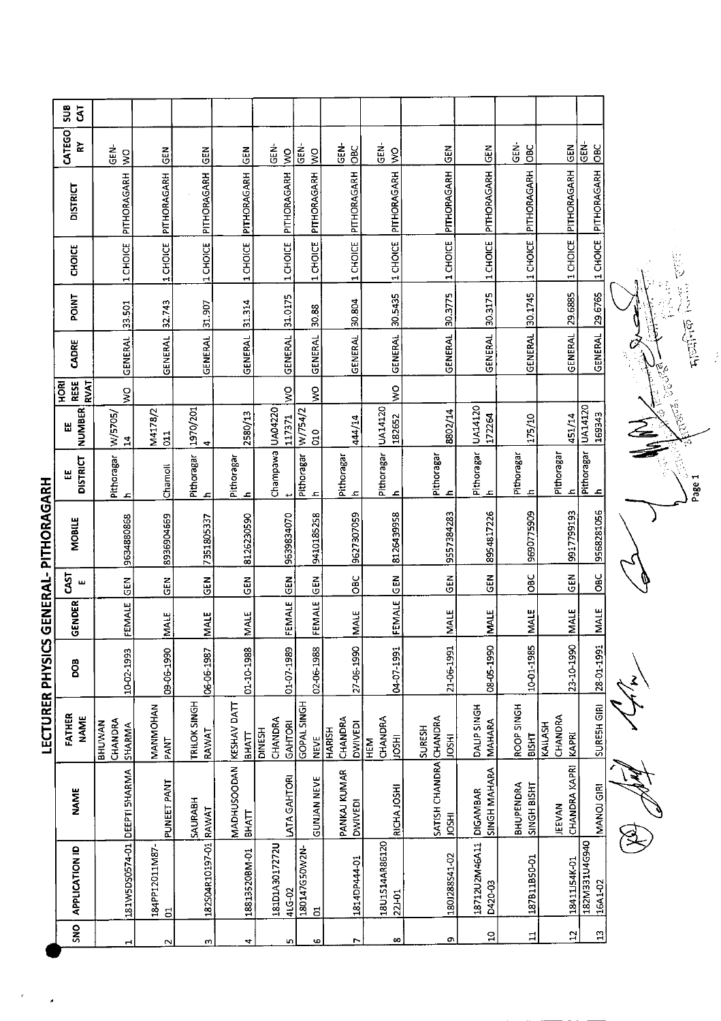| SU <sub>8</sub><br>$\overline{5}$     |                                    |                           |                            |                                    |                                     |                                |                                            |                              |                                        |                                        |                          |                             |                          |
|---------------------------------------|------------------------------------|---------------------------|----------------------------|------------------------------------|-------------------------------------|--------------------------------|--------------------------------------------|------------------------------|----------------------------------------|----------------------------------------|--------------------------|-----------------------------|--------------------------|
| <b>CATEGO</b><br>$\tilde{\mathbf{z}}$ | GEN-                               | $rac{1}{2}$               | $rac{E}{C}$                | $rac{5}{2}$                        | .<br>5<br>$\frac{8}{3}$             | GEN-<br>$\frac{1}{2}$          | GEN-<br>DBC                                | $\frac{1}{6}$<br>$\geq$      | $\frac{2}{5}$                          | $rac{1}{2}$                            | <b>SEN-</b><br>OBC       | $rac{2}{5}$                 | GEN-<br>$rac{C}{C}$      |
| <b>DISTRICT</b>                       | 1 CHOICE PITHORAGARH WO            | PITHORAGARH               | PITHORAGARH                | 1 CHOICE PITHORAGARH               | PITHORAGARH                         | PITHORAGARH                    | PITHORAGARH                                | 1 CHOICE PITHORAGARH         | 1 CHOICE PITHORAGARH                   | PITHORAGARH                            | 1 CHOICE PITHORAGARH     | PITHORAGARH                 | 1 CHOICE PITHORAGARH     |
| <b>CHOICE</b>                         |                                    | 1 CHOICE                  | 1 CHOICE                   |                                    | 1 CHOICE                            | 1 CHOICE                       | 1 CHOICE                                   |                              |                                        | 1 CHOICE                               |                          | 1 CHOICE                    |                          |
| POINT                                 |                                    | 32.743                    | 31.907                     |                                    | 31.0175                             | 30.88                          | 30.804                                     |                              | 30.3775                                | 30.3175                                |                          | 29.6885                     |                          |
| CADRE                                 | GENERAL 33.501                     | GENERAL                   | GENERAL                    | GENERAL 31.314                     | GENERAL                             | GENERAL                        | <b>GENERAL</b>                             | GENERAL 30.5435              | GENERAL                                | <b>GENERAL</b>                         | GENERAL 30.1745          | GENERAL                     | GENERAL 29.6765          |
| <b>RESE</b><br>HORI                   | <b>RVAT</b><br>ş                   |                           |                            |                                    | $\frac{1}{2}$                       | $\geq$                         |                                            | $\frac{1}{2}$                |                                        |                                        |                          |                             |                          |
| <b>NUMBER</b><br>쎲                    | W/5705/<br>$\overline{1}$          | M4178/2<br>$\overline{a}$ | 1970/201<br>4              | 2580/13                            | 117371                              | W/754/2<br>δp                  | 44/14                                      | UA14120<br>182652            | 8802/14                                | 172264                                 | 175/10                   | 451/14                      | <b>UA14120</b><br>169343 |
| <b>DISTRICT</b><br>뜺                  | Pithoragar<br>ء                    | Chamoli                   | Pithoragar<br>$\mathbf{r}$ | Pithoragar<br>£,                   | Champawa UA04220                    | Pithoragar<br>후                | Pithoragar<br>고                            | Pithoragar<br>4              | Pithoragar<br>£                        | Pithoragar   UA14120<br>ᅐ              | Pithoragar<br>ᅩ          | Pithoragar<br>고             | Pithoragar<br><u>ء</u>   |
| <b>MOBILE</b>                         | 9634880868                         | 8936904669                | 7351805337                 | 8126230590                         | 9639834070                          | 9410185258                     | 9627307059                                 | 8126439958                   | 9557384283                             | 8954817226                             | 9690775909               | 9917799193                  | 9568281056               |
| <b>CAST</b><br>さらこり<br>$\mathbf{u}$   | $rac{2}{9}$                        | GEN                       | $rac{5}{2}$                | <b>GEN</b>                         | $\frac{1}{6}$                       | $rac{5}{6}$                    | <b>OBC</b>                                 | $rac{5}{2}$                  | <b>GEN</b>                             | $\frac{2}{5}$                          | OBC                      | <b>GEN</b>                  | $rac{C}{C}$              |
| GENDER                                | FEMALE                             | <b>MALE</b>               | MALE                       | <b>MALE</b>                        | FEMALE                              | FEMALE                         | MALE                                       | <b>FEMALE</b>                | <b>MALE</b>                            | <b>IMALE</b>                           | <b>MALE</b>              | <b>MALE</b>                 | <b>MALE</b>              |
| こうこし ヒロコンココ<br><b>BOO</b>             | 10-02-1993                         | 09-06-1990                | 06-06-1987                 | 01-10-1988                         | 01-07-1989                          | 02-06 1988                     | 27-06-1990                                 | 04-07-1991                   | 21-06-1991                             | 08-05-1990                             | 10-01-1985               | 23-10-1990                  | 28-01-1991               |
| FATHER<br><b>NAME</b>                 | CHANDRA<br><b>BHUWAN</b><br>SHARMA | MANMOHAN<br>PANT          | TRILOK SINGH<br>RAWAT      | KESHAV DATT<br><b>BHATT</b>        | CHANDRA<br>GAHTORI<br><b>DINESH</b> | GOPAL SINGH<br><b>NEVE</b>     | CHANDRA<br><b>DWIVED!</b><br><b>HARISH</b> | CHANDRA<br><b>HSOL</b><br>EM | SURESH<br><b>HSQL</b>                  | DALIP SINGH<br><b>MAHARA</b>           | ROOP SINGH<br>BISHT      | CHANDRA<br>KAILASH<br>KAPRI | SURESH GIRI              |
| NAME                                  |                                    | PUNEET PANT               | SAURABH                    | <b>MADHUSOODAN</b><br><b>BHATT</b> | LATA GAHTORI                        | <b>GUNJAN NEVE</b>             | PANKAJ KUMAR<br><b>DWIVEDI</b>             | RICHA JOSHI                  | SATISH CHANDRA CHANDRA<br><b>INSCI</b> | <b>SINGH MAHARA</b><br><b>DIGAMBAR</b> | BHUPENDRA<br>SINGH BISHT | CHANDRA KAPRI<br>JEEVAN     | MANOJ GIRI               |
| <b>APPLICATION ID</b>                 | 181W5DS0574-01 DEEPTI SHARMA       | 184PP12011M87<br>$\Xi$    | 182504R10197-01 RAWAT      | 18813520BM-01                      | 18101A3017272U<br>4LG-02            | 180147G50W2N<br>$\overline{5}$ | 1814DP444-01                               | 18U1S14AR86120<br>22-01      | 1801288541-02                          | 18712U2M46A11<br>D420-03               | 187B11B50-01             | 18411J54K-01                | 182M331U4G940<br>16A1-02 |
| SN <sub>O</sub>                       |                                    | $\sim$                    | $\sim$                     | 4                                  | w                                   | <b>G</b>                       | Z                                          | œ                            | G)                                     | $\Omega$                               | $\Xi$                    | <b>Z</b>                    | $\mathbf{r}$             |

**I FCTURER DHVSICS GENERAL- DITHORAGARH** 

j.

一个 化学 人名 Č Cocco. **Guelo** ∑<br>∕<br>≦ Page 1

The Angle B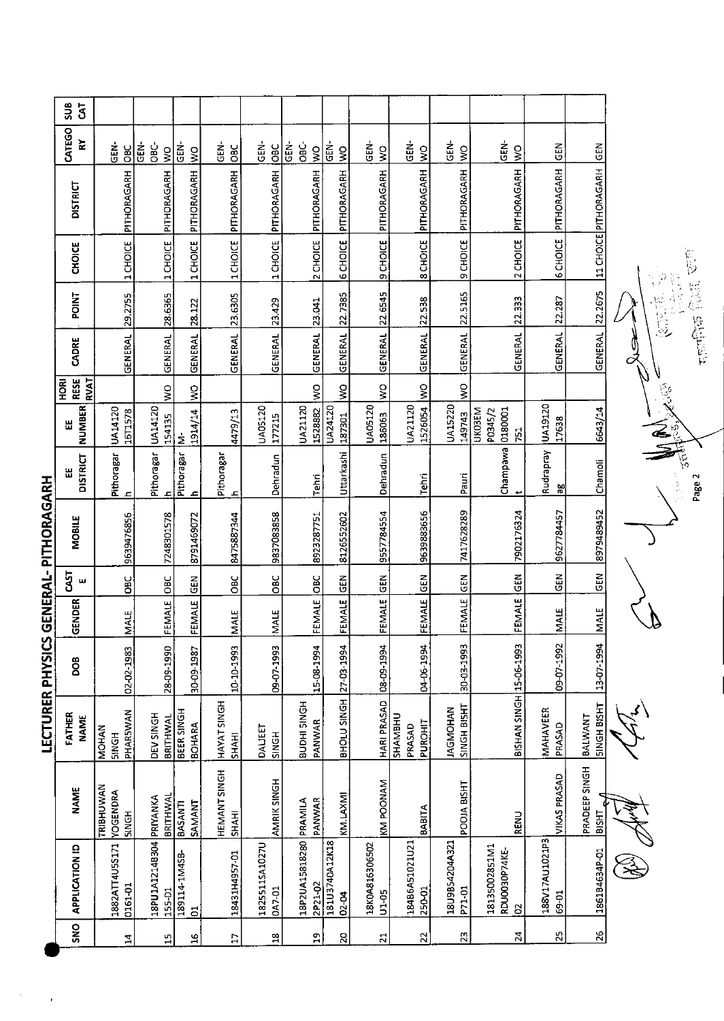| SUB<br>$\overline{5}$                     |                                              |                         |               |                             |                              |                          |      |                                   |                         |                          |                                     |                                |                                                |                         |                                    |
|-------------------------------------------|----------------------------------------------|-------------------------|---------------|-----------------------------|------------------------------|--------------------------|------|-----------------------------------|-------------------------|--------------------------|-------------------------------------|--------------------------------|------------------------------------------------|-------------------------|------------------------------------|
| CATEGO<br>Š                               | GEN-<br>$rac{C}{D}$                          | នូ<br>ن<br>86           | Ş             | dEN-<br>$\geq$              | GEN-<br><b>DBC</b>           | さ<br>0<br>$rac{C}{C}$    | ĠĒN- | ෂි<br>$\frac{1}{2}$               | GEN-<br>$\frac{8}{15}$  | di<br>U<br>$\frac{1}{2}$ | ូតី<br>ប<br>$\frac{1}{2}$           | GEN-<br>$\frac{8}{15}$         | GEN-<br>$\frac{8}{15}$                         | <b>SEN</b>              |                                    |
| <b>DISTRICT</b>                           | PITHORAGARH                                  |                         | PITHORAGARH   | PITHORAGARH                 | 1 CHOICE PITHORAGARH         | 1 CHOICE PITHORAGARH     |      | PITHORAGARH                       | PITHORAGARH             | PITHORAGARH              | PITHORAGARH                         | PITHORAGARH                    | PITHORAGARH                                    | PITHORAGARH             | 11 CHOICE PITHORAGARH GEN          |
| <b>CHOICE</b>                             | 1 CHOICE                                     |                         | 1 CHOICE      | 1 CHOICE                    |                              |                          |      | 2 CHOICE                          | <b>6 CHOICE</b>         | 9 CHOICE                 | 8 CHOICE                            | <b>PICHOICE</b>                | 2 CHOICE                                       | <b>6 CHOICE</b>         |                                    |
| <b>POINT</b>                              |                                              |                         | 28.6365       | 28.122                      | 23.6305                      | 23.429                   |      | 23.041                            | 22.7385                 |                          | 22.538                              | 22.5165                        | 22.333                                         | 22.287                  | 22.2675                            |
| CADRE                                     | GENERAL 29.2755                              |                         | GENERAL       | GENERAL                     | GENERAL                      | GENERAL                  |      | GENERAL                           | <b>GENERAL</b>          | GENERAL 22.6545          | <b>GENERAL</b>                      | GENERAL                        | GENERAL                                        | GENERAL                 | GENERAL                            |
| <b>RESE</b><br><b>RVAT</b><br><b>HORI</b> |                                              |                         | Ş             | $\frac{8}{2}$               |                              |                          |      | $\frac{1}{2}$                     | ş                       | $\tilde{\mathbf{z}}$     | $\frac{8}{2}$                       | $\frac{1}{2}$                  |                                                |                         |                                    |
| <b>NUMBER</b><br>出                        | UA14120<br>16T1578                           | UA14120                 | 154135        | 1914/14<br><u>έ</u>         | 4479/13                      | UA05120<br>177215        |      | UA21120<br>1528882                | UA24120<br>187301       | UA05120<br>186063        | UA21120<br>1526054                  | UA15220<br>149743              | <b>UXO3EM</b><br>0180001<br>P0345/2<br>751     | UA19120<br>17638        | 6643/14                            |
| <b>DISTRICT</b><br>Ш                      | Pithoragar<br>£,                             | Pithoragar              | 흐             | Pithoragar<br>£             | Pithoragar<br>Æ              | Dehradun                 |      | <b>Tehri</b>                      | Uttarkashi              | Dehradun                 | <b>Tehri</b>                        | Pauri                          | champawa<br>پ                                  | Rudrapray<br>꾑          | Chamoli                            |
| <b>MOBILE</b>                             | 9639476856                                   |                         | 7248301578    | 8791469072                  | 8475887344                   | 9837083858               |      | 8923287751                        | 8126552602              | 9557784554               | 9639883656                          | 7417628289                     | 7902176324                                     | 9627784457              | 8979489452                         |
| <b>GAST</b><br>ш                          | <b>BC</b>                                    |                         | <b>OBC</b>    | $rac{2}{5}$                 | OBC                          | <b>OBC</b>               |      | $rac{6}{5}$                       | <b>GEN</b>              |                          | $rac{2}{5}$                         |                                |                                                | <b>GEN</b>              | GEN                                |
| GENDER                                    | <b>MALE</b>                                  |                         | FEMALE        | FEMALE                      | MALE                         | <b>MALE</b>              |      | FEMALE                            | FEMALE                  | FEMALE GEN               | FEMALE                              | FEMALE GEN                     | FEMALE GEN                                     | <b>NALE</b>             | <b>MALE</b>                        |
| 80g                                       | 02-02-1983                                   |                         | 28-09-1990    | 10-09-1987                  | 10-10-1993                   | 09-07-1993               |      | 15-08-1994                        | 27-03-1994              | 08-09-1994               | 04-06-1994                          | 30-03-1993                     |                                                | 09-07-1992              | 13-07-1994                         |
| FATHER<br><b>NAME</b>                     | PHARSWAN<br><b>MOHAN</b><br><b>HDNGH</b>     | <b>DEV SINGH</b>        | BRITHWAL      | <b>BEER SINGH</b><br>BOHARA | HAYAT SINGH<br>SHAHI         | DAUEET<br>SINGH          |      | BUDHI SINGH<br>PANWAR             | BHOLU SINGH             | HARI PRASAD              | SHAMBHU<br><b>PUROHIT</b><br>PRASAD | SINGH BISHT<br><b>IAGMOHAN</b> | BISHAN SINGH 15-06-1993                        | MAHAVEER<br>PRASAD      | <b>SINGH BISHT</b><br>BALWANT      |
| <b>NAME</b>                               | TRIBHUWAN<br><b>YOGENDRA</b><br><b>SINGH</b> |                         | BRITHWAI      | SAMANT<br><b>BASANTI</b>    | HEMANT SINGH<br><b>SHAHI</b> | AMRIK SINGH              |      | PANWAR                            | KM.LAXMI                | KM POONAM                | BABITA                              | POOJA BISHT                    | <b>RENU</b>                                    | <b>VIKAS PRASAD</b>     | PRADEEP SINGH<br>₹<br><b>EHSIB</b> |
| APPLICATION ID                            | 1882ATT4U5S171<br>0161-01                    | 18PU1A1214B304 PRIYANKA | 155-D1        | 189114-1M4SB-<br>S,         | 18431H4957-01                | 18255115A1027U<br>DA7-01 |      | 18P2UA15818280 PRAMILA<br>2P21-02 | 181U3740A12K18<br>02-04 | 18K0A816306502<br>U1-05  | 18486A51021U21<br>250-01            | 18U9B54204A321<br>P71-01       | 18135002851M1<br>RDUO030P74KE-<br>$\mathbf{S}$ | E4I201UA/17881<br>69-01 | 1861B4634P-01                      |
| SNO                                       | 24                                           |                         | $\frac{1}{2}$ | ٩                           | E                            | $\overline{a}$           |      | $\mathbf{a}$                      | 20                      | $\overline{2}$           | $\overline{2}$                      | 23                             | $\mathbb{Z}$                                   | 25                      | $\frac{26}{5}$                     |

LECTURER PHYSICS GENERAL- PITHORAGARH

 $\ddot{\phantom{0}}$ 

**The Second Control Control** 河西岛 V,  $\frac{156}{56}$ Page 2

 $\tilde{z}$ 

 $\hat{\mathbb{Z}}$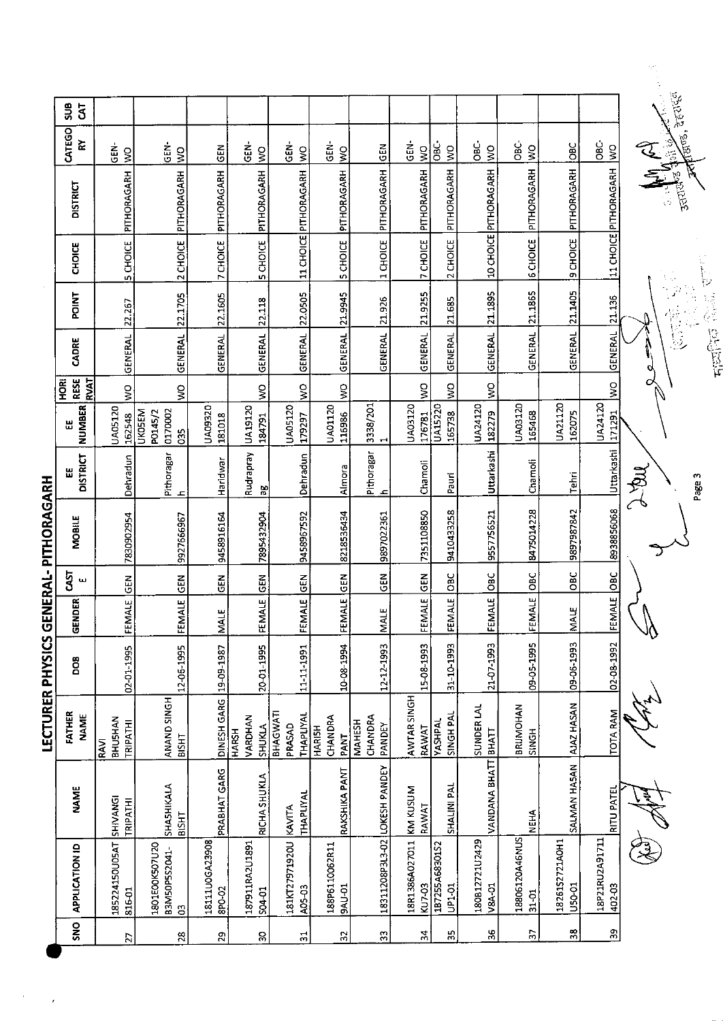| l<br>I |
|--------|

 $\frac{1}{2}$ 

 $\frac{1}{\sqrt{2}}$ 

|                                       |                             |                                            |                          |                                   |                                        |                                         |                                            |                          |                                 |                            |                             |                          |                          | M,                         |
|---------------------------------------|-----------------------------|--------------------------------------------|--------------------------|-----------------------------------|----------------------------------------|-----------------------------------------|--------------------------------------------|--------------------------|---------------------------------|----------------------------|-----------------------------|--------------------------|--------------------------|----------------------------|
| SU <sub>S</sub><br>$\bar{s}$          |                             |                                            |                          |                                   |                                        |                                         |                                            |                          |                                 |                            |                             |                          |                          | <b>ZEVES</b>               |
| CATEGO<br>⋩                           | GEN-<br>$\mathsf{S}$        | ទី<br>ច<br>$\frac{1}{2}$                   | $rac{5}{5}$              | ģ<br>$\frac{1}{2}$                | ទំ<br>ច<br>$\mathop{\mathsf{S}}$       | $\frac{1}{5}$<br>$\frac{1}{2}$          | $rac{5}{5}$                                | ទី<br>ច<br>$\frac{1}{2}$ | င်<br>$\frac{1}{2}$             | မ္ထံ<br>$\sum_{i=1}^{n}$   | ن<br>86<br>$\frac{1}{3}$    | <b>BC</b>                | ن<br>86<br>$\frac{8}{2}$ | <b>TAN</b><br>E            |
| <b>DISTRICT</b>                       | PITHORAGARH                 | PITHORAGARH                                | PITHORAGARH              | PITHORAGARH                       | 11 CHOICE PITHORAGARH                  | PITHORAGARH                             | PITHORAGARH                                | PITHORAGARH              | PITHORAGARH                     | 10 CHOICE PITHORAGARH      | PITHORAGARH                 | PITHORAGARH              | 11 CHOICE PITHORAGARH    | <b>FEB</b>                 |
| <b>CHOICE</b>                         | 5 CHOICE                    | 2 CHOICE                                   | 7 CHOICE                 | <b>SCHOICE</b>                    |                                        | <b>SCHOICE</b>                          | 1 CHOICE                                   | 7 CHOICE                 | 2 CHOICE                        |                            | <b>6 CHOICE</b>             | 9 CHOICE                 |                          | $\mathcal{C}$              |
| <b>POINT</b>                          | 22.267                      | 22.1705                                    | 22.1605                  | 22.118                            | 22.0505                                | 21.9945                                 | 21.926                                     | 21.9255                  | 21.685                          | 21 1895                    | 21.1865                     | 21.1405                  | 21.136                   | $\mathcal{P}$<br>k,<br>管区  |
| CADRE                                 | <b>GENERAL</b>              | <b>GENERAL</b>                             | <b>GENERAL</b>           | <b>GENERAL</b>                    | <b>GENERAL</b>                         | <b>GENERAL</b>                          | <b>GENERAL</b>                             | <b>GENERAL</b>           | <b>GENERAL</b>                  | <b>GENERAL</b>             | <b>GENERAL</b>              | <b>GENERAL</b>           | GENERAL                  | <b>Fielling</b><br>q       |
| <b>RESE</b><br><b>EKVAT</b><br>로<br>모 | $\frac{1}{2}$               | ş                                          |                          | ş                                 | Ş                                      | ş                                       |                                            | $\frac{1}{2}$            | $\frac{8}{5}$                   | ş                          |                             |                          | $\frac{8}{3}$            | ο                          |
| <b>NUMBER</b><br>Ш                    | <b>UA05120</b><br>162548    | <b>UKOSEM</b><br>0170002<br>P0145/2<br>035 | UA09320<br>181018        | UA19120<br>184791                 | <b>UA05120</b><br>179297               | UA01120<br>116986                       | 3338/201<br>$\mathbf{\mathbf{\mathbf{r}}}$ | UA03120<br>176781        | <b>UA15220</b><br>165738        | UA24120<br>182279          | UA03120<br>165468           | UA21120<br>162075        | UA24120<br>171291        |                            |
| <b>DISTRICT</b><br>Ш                  | Dehradun                    | Pithoragar<br>ᅩ                            | Haridwar                 | Rudrapray<br>9g                   | Dehradun                               | Almora                                  | Pithoragar<br>ᅺ                            | Chamoli                  | Pauri                           | Uttarkashi                 | Chamoli                     | Tehri                    | Uttarkashi               | $\sum_{i=1}^{n}$<br>Page 3 |
| MOBILE                                | 7830902954                  | 9927666967                                 | 9458916164               | 7895432904                        | 9458967592                             | 8218536434                              | 9897022361                                 | 7351108850               | 9410433258                      | 9557756521                 | 8475014228                  | 9897987842               | 8938856068               |                            |
| 5j<br>ш                               | $\tilde{E}$                 | $rac{5}{5}$                                | $rac{2}{5}$              | GEN                               | $rac{2}{5}$                            | <b>SEN</b>                              | $rac{2}{5}$                                | $rac{2}{5}$              | <b>DEC</b>                      | $rac{C}{D}$                | OBC                         | OBC                      | $rac{c}{\sigma}$         |                            |
| GENDER                                | FEMALE                      | FEMALE                                     | <b>MALE</b>              | FEMALE                            | FEMALE                                 | FEMALE                                  | <b>MALE</b>                                | FEMALE                   | FEMALE                          | FEMALE                     | FEMALE                      | MALE                     | FEMALE                   |                            |
| <b>BOO</b>                            | 02-01-1995                  | 12-06-1995                                 | 19-09-1987               | 20-01-1995                        | 11-11-1991                             | 10-08-1994                              | 12-12-1993                                 | 15-08-1993               | 31-10-1993                      | 21-07-1993                 | 09-05-1995                  | 09-06-1993               | 02-08-1992               |                            |
| FATHER<br><b>NAME</b>                 | BHUSHAN<br>TRIPATHI<br>RAVI | ANAND SINGH<br>візнт                       | DINESH GARG              | VARDHAN<br>SHUKLA<br><b>HARSH</b> | BHAGWATI<br><b>THAPLIYAL</b><br>PRASAD | CHANDRA<br><b>HARISH</b><br><b>TNAd</b> | CHANDRA<br><b>MAHESH</b><br>PANDEY         | AWTAR SINGH<br>RAWAT     | SINGH PAL<br>YASHPAL            | SUNDER LAL<br><b>BHATT</b> | <b>BRIJMOHAN</b><br>SINGH   | AJAZ HASAN               | TOTA RAM                 |                            |
| <b>NAME</b>                           | SHIVANGI<br>TRIPATHI        | SHASHIKALA<br><b>BISHT</b>                 | PRABHAT GARG             | <b>RICHA SHUKLA</b>               | THAPLIYAL                              | RAKSHIKA PANT                           |                                            | KM KUSUM<br>RAWAT        | SHALINI PAL                     | VANDANA BHATT              | <b>NEHA</b>                 | SALMAN HASAN             | RITU PATEL               |                            |
| APPLICATION ID                        | 185224150U05AT<br>816-01    | 1801E00K507U20<br>B3M50P5S2041-<br>පි      | 18111U0GA23908<br>8PO-02 | 187911RA2U1891<br><b>S04 01</b>   | 181KT27971920U KAVITA<br>A05-03        | 188P6110062R11<br><b>BAU-01</b>         | 18311208P3L3-02 LOKESH PANDEY              | 18R1386A027011<br>KU7-03 | 1B7255A68301S2<br><b>UP1-01</b> | 180B12721U2429<br>V8A-01   | 18806120A46NUS<br>$31 - 01$ | 18261S2721AOH1<br>U50-01 | 18P21RU2A91711<br>402-03 |                            |
| <b>SNO</b>                            | $\overline{2}$              | 28                                         | 29                       | 8                                 | 24                                     | $\mathfrak{L}$                          | S                                          | $\frac{1}{2}$            | స్                              | $\frac{1}{2}$              | Ľ.                          | 33                       | S.                       |                            |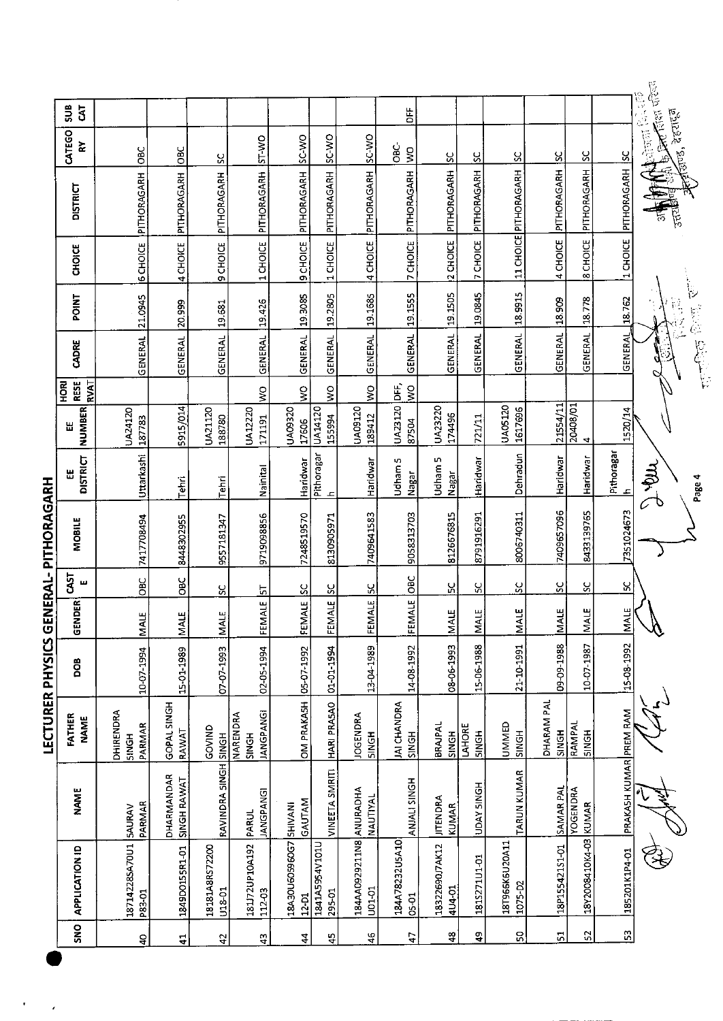|         | <b>APPLICATION ID</b>   | <b>NAME</b>                     | FATHER<br><b>NAME</b>                 | <b>BOO</b> | <b>GENDER</b> | CAST<br>ш     | <b>MOBILE</b> | <b>DISTRICT</b>            | <b>NUMBER</b><br>Ш    | <b>RESE</b><br><b>RVAT</b><br><b>ROM</b> | CADRE           | POINT       | <b>CHOICE</b>   | <b>DISTRICT</b>       | CATEGO<br>ੇਟ                          | ទី<br>$\overline{5}$ |
|---------|-------------------------|---------------------------------|---------------------------------------|------------|---------------|---------------|---------------|----------------------------|-----------------------|------------------------------------------|-----------------|-------------|-----------------|-----------------------|---------------------------------------|----------------------|
| P83-01  | 18714228SA70U1          | PARMAR<br>SAURAV                | <b>DHIRENDRA</b><br>PARMAR<br>SINGH   | 10-07-1994 | MALE          | $rac{C}{C}$   | 7417708494    | Uttarkashi                 | UA24120<br>187783     |                                          | GENERAL 21.0945 |             |                 | 6 CHOICE PITHORAGARH  | 10BC                                  |                      |
|         | 1849D0155R1-01          | DHARMANDAR<br>SINGH RAWAT       | GOPAL SINGH<br>RAWAT                  | 15-01-1989 | MALE          | <b>DBC</b>    | 8448302955    | Tehri                      | 5915/014              |                                          | <b>GENERAL</b>  | 20.999      | 4 CHOICE        | PITHORAGARH           | <b>DBC</b>                            |                      |
| U18-01  | 18181A8RS72200          | RAVINDRA SINGH SINGH            | GOVIND                                | 07-07-1993 | <b>MALE</b>   | ပ္တ           | 9557181347    | Tehri                      | UA21120<br>188780     |                                          | <b>GENERAL</b>  | 19.681      | 9 CHOICE        | PITHORAGARH           | ပ္တ                                   |                      |
| 112-03  | 181J72UP10A192          | <b>JANGPANGI</b><br>PARUL       | <b>JANGPANGI</b><br>NARENDRA<br>SINGH | 02-05-1994 | FEMALE        | 5             | 9719098856    | Nainital                   | UA12220<br>171191     | ş                                        | <b>GENERAL</b>  | 19.426      | 1 CHOICE        | PITHORAGARH           | <b>OW LS</b>                          |                      |
| 12 D1   | 18A30U605960G7          | <b>GAUTAM</b><br><b>SHIVANI</b> | OM PRAKASH 05-07-1992                 |            | FEMALE        | <u>ა</u>      | 7248519570    | Haridwar                   | UA09320<br>17606      | ş                                        | <b>GENERAL</b>  | 19.3085     |                 | 9 CHOICE PITHORAGARH  | <b>CW-32</b>                          |                      |
| 295-01  | 1841A5954V101U          | VINEETA SMRITI                  | HARI PRASAO                           | 01-01-1994 | FEMALE        | <u>ប្ដ</u>    | 8130905971    | Pithoragar<br>$\mathbf{r}$ | UA14120<br>155994     | $\frac{8}{5}$                            | GENERAL         | 19.2805     | 1 CHOICE        | PITHORAGARH           | <b>CM-3S</b>                          |                      |
| 101-01  | 184AA0929211N8 ANURADHA | <b>NAUTIYAL</b>                 | <b>JOGENDRA</b><br><b>SINGH</b>       | 13-04-1989 | FEMALE        | $\frac{6}{5}$ | 7409641583    | Haridwar                   | UA09120<br>189412     | Ş                                        | <b>GENERAL</b>  | 19.1685     | 4 CHOICE        | PITHORAGARH           | SC-WO                                 |                      |
| 05-01   | 184A78232U5A10          | ANJALI SINGH                    | JAI CHANDRA<br>SINGH                  | 14-08-1992 | FEMALE        | 10BC          | 9058313703    | Udham 5<br><b>Nagar</b>    | UA23120 DFF,<br>87504 | $\frac{1}{2}$                            | <b>GENERAL</b>  | 19.1555     | 7 CHOICE        | PITHORAGARH           | ප්<br>$\geq$                          | άŧ                   |
| 4U4-01  | 18322690J7AK12          | <b>JITENDRA</b><br><b>KUMAR</b> | BRAIPAL<br><b>HONIS</b>               | 08-06-1993 | MALE          | ပ္က           | 8126676815    | Udham 5<br>Nagar           | UA23220<br>174496     |                                          | <b>GENERAL</b>  | 19.1505     | 2 CHOICE        | PITHORAGARH           | ပ္တ                                   |                      |
|         | 181S271U1-01            | UDAY SINGH                      | <b>LAHORE</b><br><b>SINGH</b>         | 15-06-1988 | MALE          | ပ္ပ           | 8791916291    | Haridwar                   | 721/11                |                                          | <b>GENERAL</b>  | 19.0845     | <b>7 CHOICE</b> | PITHORAGARH           | <u>پ</u>                              |                      |
| 1075-02 | 18T966K6U20A11          | <b>TARUN KUMAR</b>              | <b>UMMED</b><br><b>HDNIS</b>          | 21-10-1991 | <b>MALE</b>   | ပ္တ           | 8006740311    | Dehradun                   | UA05120<br>1617696    |                                          | GENERAL         | 18.9915     |                 | 11 CHOICE PITHORAGARH | <u>ي</u>                              |                      |
|         | 18P155421S1-01          | <b>SAMAR PAL</b>                | <b>DHARAMPAL</b><br>SINGH             | 09-09-1988 | <b>MALE</b>   | ပ္တ           | 7409657096    | Haridwar                   | 21554/11              |                                          | <b>GENERAL</b>  | 18.909      | 4 CHOICE        | PITHORAGARH           | <u>ي</u>                              |                      |
|         | 18Y2008410K4-03 KUMAR   | YOGENDRA                        | RAMPAL<br><b>BINGH</b>                | 10-07-1987 | MALE          | ွ             | 8433139765    | Haridwar                   | 20408/01<br>4         |                                          | GENERAL         | 18.778      | 8 CHOICE        | PITHORAGARH           | <u>sc</u>                             |                      |
|         | 185201K1P4-01           | PRAKASH KUMAR PREM RAM          |                                       | 15-08-1992 | <b>MALE</b>   | ჯ             | 7351024673    | Pithoragar                 | 1520/14               |                                          | <b>GENERAL</b>  | 18.762      | 1 CHOICE        | PITHORAGARH SC        |                                       |                      |
|         |                         |                                 |                                       |            | Y)            |               |               | <b>HORA</b><br>Page 4      |                       |                                          |                 | 智智之<br>E CA |                 | तत्त                  | <b>King Comparison</b><br>केली रहराइन |                      |

LECTURER PHYSICS GENERAL- PITHORAGARH

 $\mathbf{r}$  $\epsilon$  .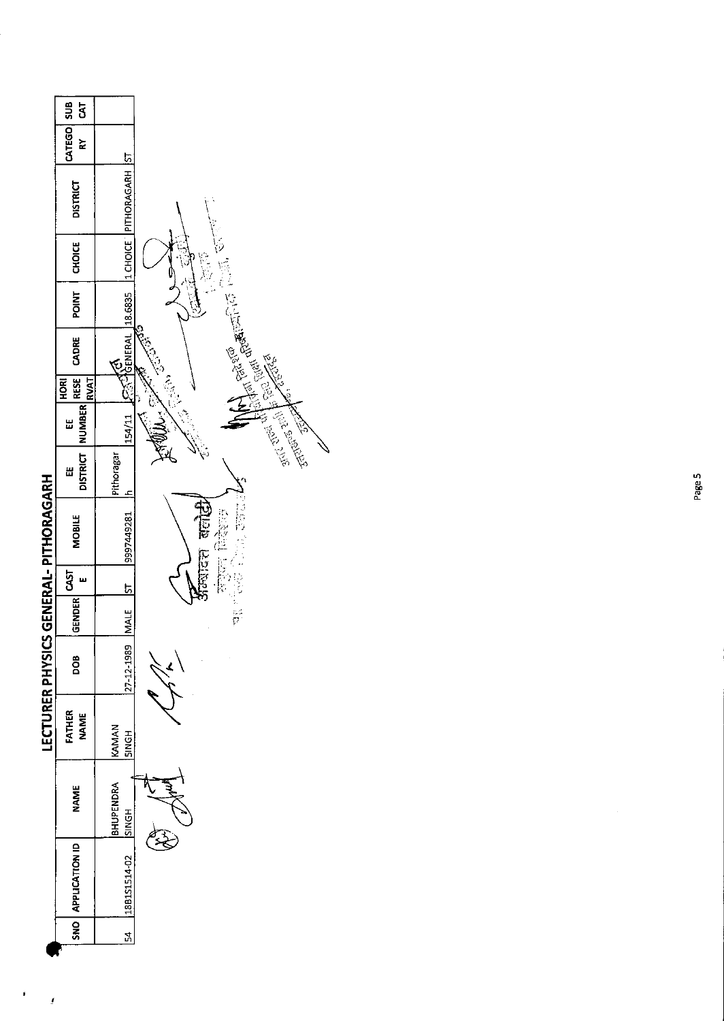

 $\pmb{\ast}$ 

 $\pmb{i}$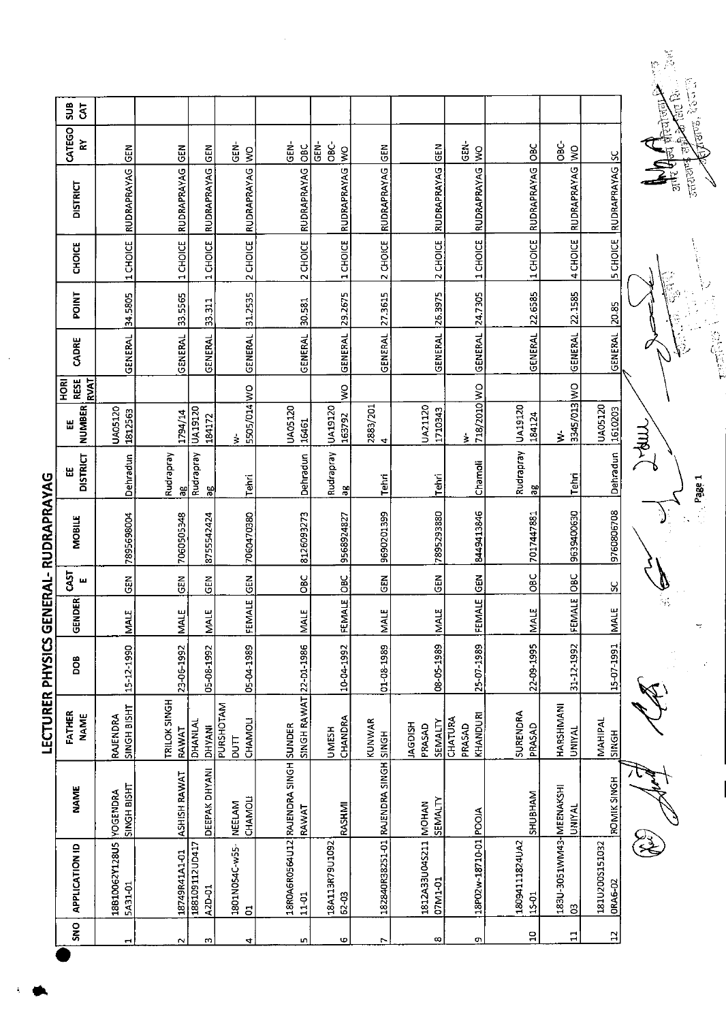|                         | SUB<br>5 <sub>5</sub>              |                                    |                       |                          |                                  |                                               |                                      |                                      |                                           |                               |                         |                                         |                                  |              |
|-------------------------|------------------------------------|------------------------------------|-----------------------|--------------------------|----------------------------------|-----------------------------------------------|--------------------------------------|--------------------------------------|-------------------------------------------|-------------------------------|-------------------------|-----------------------------------------|----------------------------------|--------------|
|                         | CATEGO<br>숪                        | GEM                                | GEN                   | $rac{2}{5}$              | <u>ទី</u><br>$\frac{1}{2}$       | GEN-<br>$rac{C}{C}$                           | ပ္ပံ<br>$\tilde{e}$<br>$\frac{1}{2}$ | <b>M3D</b>                           | <b>SEN</b>                                | GEN-<br>$\frac{1}{2}$         | OBC                     | 380<br>$\frac{1}{3}$                    |                                  | 中国中国国家       |
|                         | <b>DISTRICT</b>                    | RUDRAPRAYAG                        | RUDRAPRAYAG           | RUDRAPRAYAG              | <b>RUDRAPRAYAG</b>               | RUDRAPRAYAG                                   | RUDRAPRAYAG                          | <b>RUDRAPRAYAG</b>                   | <b>RUDRAPRAYAG</b>                        | RUDRAPRAYAG                   | RUDRAPRAYAG             | RUDRAPRAYAG                             | RUDRAPRAYAG SC                   |              |
|                         | <b>CHOICE</b>                      | 1 CHOICE                           | 1 CHOICE              | 1 CHOICE                 | 2 CHOICE                         | 2 CHOICE                                      | 1 CHOICE                             | 2 CHOICE                             | 2 CHOICE                                  | 1 CHOICE                      | 1 CHOICE                | 4 CHOICE                                | <b>SCHOICE</b>                   |              |
|                         | <b>POINT</b>                       | 34.5805                            | 33.5565               | 33.311                   | 31.2535                          | 30.581                                        | 29.2675                              | 27.3615                              | 26.3975                                   | 24.7305                       | 22.6585                 | 22.1585                                 | 20.85                            |              |
|                         | CADRE                              | GENERAL                            | GENERAL               | GENERAL                  | <b>GENERAL</b>                   | <b>GENERAL</b>                                | GENERAL                              | GENERAL                              | <b>GENERAL</b>                            | GENERAL                       | <b>GENERAL</b>          | GENERAL                                 | GENERAL                          |              |
|                         | <b>RESE</b><br>RVAT<br><b>HORI</b> |                                    |                       |                          |                                  |                                               | ş                                    |                                      |                                           |                               |                         |                                         |                                  |              |
|                         | <b>NUMBER</b><br>出                 | UA05120<br>1812563                 | 1794/14               | UA19120<br>184172        | 5505/014 WO<br>ż                 | <b>UA05120</b><br>16461                       | UA19120<br>163792                    | 2883/201<br>4                        | UA21120<br>1710343                        | 718/2010 WO<br>ξ              | UA19120<br>184124       | 3345/013 WO<br>$\geq$                   | <b>UA05120</b><br>1610203        | <b>THAN!</b> |
|                         | <b>DISTRICT</b><br>٣               | Dehradun                           | Rudrapray<br>аg       | Rudrapray<br>æ           | Tehri                            | Dehradun                                      | Rudrapray<br>as                      | Tehri                                | Itehri                                    | Chamoli                       | Rudrapray<br>ã          | Tehri                                   | Dehradun                         |              |
| GENERAL-RUDRAPRAYAG     | MOBILE                             | 7895698004                         | 7060505348            | 8755542424               | 7060470380                       | 8126093273                                    | 9568924827                           | 9690201399                           | 7895293880                                | 8449413846                    | 7017447881              | 9639400630                              | 9760806708                       |              |
|                         | <b>GAST</b><br>ш                   | <b>GEN</b>                         | <b>SEN</b>            | <b>GEN</b>               | <b>ISEN</b>                      | OBC                                           | <b>DEC</b>                           | $rac{1}{2}$                          | $rac{2}{5}$                               | <b>GEN</b>                    | <b>SC</b>               | <b>Dac</b>                              | X                                |              |
|                         | <b>GENDER</b>                      | <b>MALE</b>                        | <b>MALE</b>           | <b>MALE</b>              | FEMALE                           | <b>MALE</b>                                   | FEMALE                               | MALE                                 | <b>NALE</b>                               | FEMALE                        | <b>MALE</b>             | FEMALE                                  | <b>NALE</b>                      |              |
| <b>LECTURER PHYSICS</b> | <b>BOO</b>                         | 15-12-1990                         | 23-06-1992            | 05-08-1992               | 05-04-1989                       |                                               | 10-04-1992                           | 01-08-1989                           | 08-05-1989                                | 25-07-1989                    | 22-09-1995              | 31-12-1992                              | 15-07-1991                       |              |
|                         | FATHER<br><b>NAME</b>              | SINGH BISHT<br>RAJENDRA            | TRILOK SINGH<br>RAWAT | DHANIAL<br><b>DHYANI</b> | PURSHOTAM<br>CHAMOLI<br>DUT      | SINGH RAWAT 22-D1-1986                        | CHANDRA<br><b>UMESH</b>              | KUNWAR                               | <b>SEMALTY</b><br><b>HSIOPY</b><br>PRASAD | KHANDURI<br>CHATURA<br>PRASAD | SURENDRA<br>PRASAD      | HARSHMANI<br>UNIYAL                     | MAHIPAL<br>SINGH                 |              |
|                         | <b>NAME</b>                        | SINGH BISHT                        | ASHISH RAWAT          | DEEPAK DHYANI            | CHAMOLI<br><b>NEELAM</b>         | 18ROA6RO564U12 RAJENDRA SINGH SUNDER<br>RAWAT | RASHMI                               | 182840R382S1-01 RAJENDRA SINGH SINGH | SEMALTY                                   |                               | SHUBHAM                 | <b>UNIYAL</b>                           | ROMIK SINGH                      |              |
|                         | <b>APPLICATION ID</b>              | 18810062Y128US YOGENDRA<br>5A31-01 | 18749R41A1-01         | 188109112UD417<br>A2D-01 | 1801N054C-w55-<br>$\overline{5}$ | 11-01                                         | 18A113R79U1092<br>62-03              |                                      | 1812A33U04S211 MOHAN<br>07M1-01           | 18P02w-18710-01 POOJA         | 18094111824UA2<br>15-01 | 183U-3051WM43-MEENAKSHI<br>$\mathbf{S}$ | 181U200S151032<br><b>ORA6-02</b> |              |
|                         | SNO <sub>1</sub>                   |                                    |                       |                          |                                  |                                               | ŧΩ                                   |                                      | $\infty$                                  | ጣ                             | $\mathbf{a}$            | $\mathbf{1}$                            | $\mathbf{L}$                     |              |

ŧ

is.<br>Po ņ 自信 نج<br>پاک  $\frac{2}{3}$ **AND THEORY** 

一定的话

÷,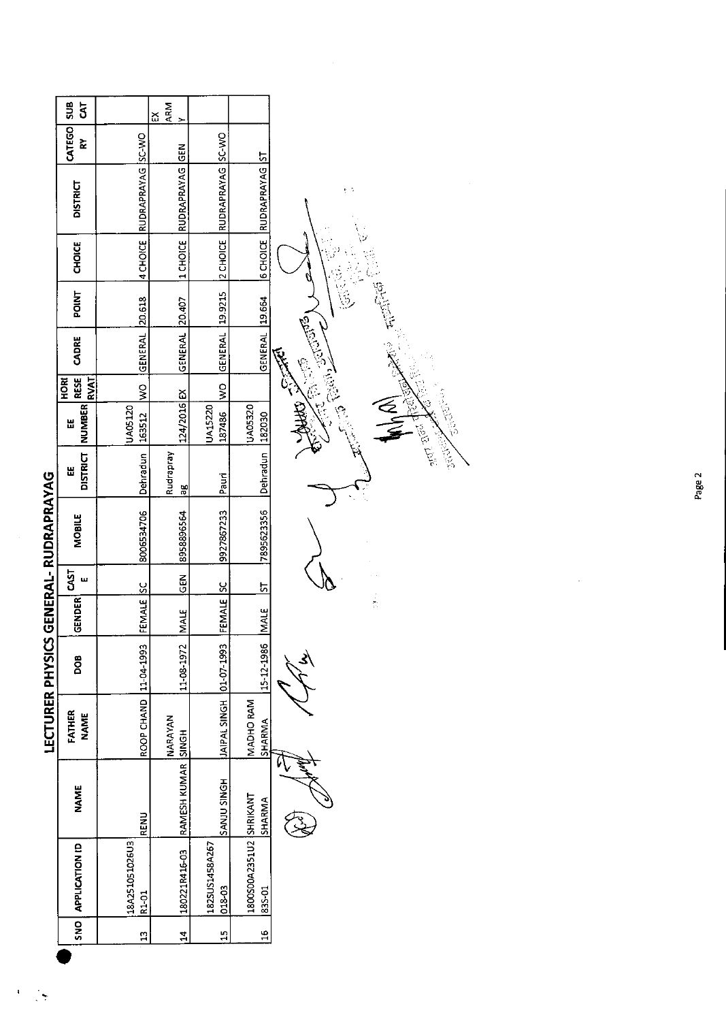|                                       | sus<br>$\bar{s}$                         |                            | ARM<br>ద<br>$\overline{ }$ |                          |                                   |                                      |
|---------------------------------------|------------------------------------------|----------------------------|----------------------------|--------------------------|-----------------------------------|--------------------------------------|
|                                       | CATEGO<br>⋩                              |                            | <b>GEN</b>                 |                          |                                   |                                      |
|                                       | <b>DISTRICT</b>                          | 4 CHOICE RUDRAPRAYAG SC-WO | <b>RUDRAPRAYAG</b>         | RUDRAPRAYAG SC-WO        | RUDRAPRAYAG ST                    | e N                                  |
|                                       | <b>CHOICE</b>                            |                            | 1 CHOICE                   | 2 CHOICE                 | <b>GCHOICE</b>                    |                                      |
|                                       | <b>POINT</b>                             | 20.618                     |                            |                          |                                   | <b>British</b>                       |
|                                       | CADRE                                    | GENERAL                    | GENERAL 20.407             | GENERAL 19.9215          | GENERAL 19.664                    | <b>REDUCTION</b>                     |
|                                       | <b>RESE</b><br><b>RVAT</b><br><b>ROH</b> | $\geq$                     |                            | $\tilde{\mathbf{z}}$     |                                   | E.                                   |
|                                       | <b>NUMBER</b><br>出                       | UA05120<br>163512          | 124/2016 EX                | UA15220<br>187486        | UA05320<br>182030                 | ≶<br>∡                               |
|                                       | <b>DISTRICT</b><br>出                     | Dehradun                   | Rudrapray<br>æ             | Paun                     | Dehradun                          | <b>Silici</b><br>2<br><b>Section</b> |
| LECTURER PHYSICS GENERAL- RUDRAPRAYAG | MOBILE                                   | 8006534706                 | 8958896564                 | 9927867233               | 7895623356                        |                                      |
|                                       | CAST<br>$\mathbf{u}$                     | <u>sc</u>                  | <b>GEN</b>                 | <u>پ</u>                 | 5                                 |                                      |
|                                       | GENDER                                   | FEMALE                     | <b>MAIE</b>                | FEMALE                   | <b>MALE</b>                       |                                      |
|                                       | DOB                                      | 11-04-1993                 | 11-08-1972                 | 01-07-1993               | 15 12 1986                        |                                      |
|                                       | FATHER<br><b>NAME</b>                    | ROOP CHAND                 | <b>NARAYAN</b>             | <b>JAIPAL SINGH</b>      | MADHO RAM<br>SHARMA               |                                      |
|                                       | <b>NAME</b>                              | <b>RENU</b>                | RAMESH KUMAR SINGH         | <b>HONIS ULNAS</b>       | SHARMA                            |                                      |
|                                       | APPLICATION ID                           | 18A251051026U3<br>R1-01    | 180221R416-03              | 1825US1458A267<br>018-03 | 1800S00A2351U2 SHRIKANT<br>835-01 |                                      |
|                                       | $rac{1}{2}$                              | $\mathbf{u}$               | $\mathbf{1}$               | 15                       | $\frac{6}{11}$                    |                                      |
|                                       |                                          |                            |                            |                          |                                   |                                      |

ï  $\frac{1}{2}$   $\ddot{\phantom{a}}$ 

 $\frac{1}{\sqrt{2}}$ 

ia<br>So

**BROWN**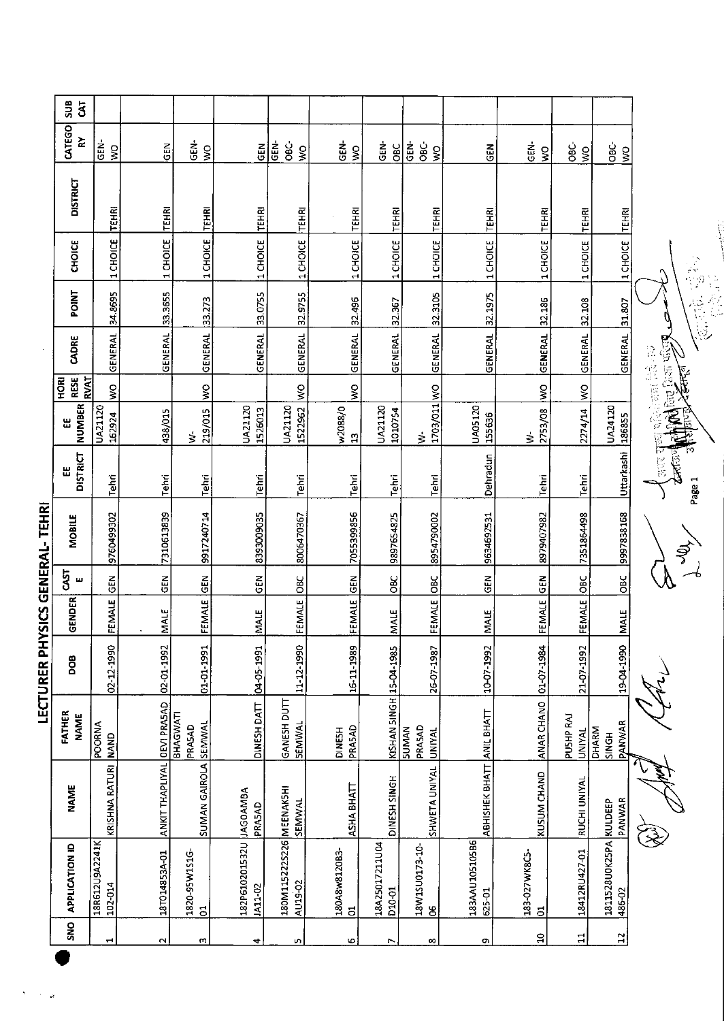|                     | SUB<br>$\mathbf{\tilde{5}}$               |                                     |                             |                                 |                                    |                                                     |                           |                          |                                         |                           |                                       |                            |                                        |             |
|---------------------|-------------------------------------------|-------------------------------------|-----------------------------|---------------------------------|------------------------------------|-----------------------------------------------------|---------------------------|--------------------------|-----------------------------------------|---------------------------|---------------------------------------|----------------------------|----------------------------------------|-------------|
|                     | CATEGO<br>≿                               | ່<br>ຮ<br>$\mathsf{S}^{\mathsf{O}}$ | <b>GEN</b>                  | GEN-<br>$\frac{1}{2}$           | GEN                                | $rac{c}{\cos \theta}$<br><u>ទី</u><br>$\frac{8}{5}$ | GEN-<br>$\frac{8}{5}$     | GEN-<br>OBC              | ēB,<br>ප්<br>$\frac{1}{2}$              | <b>GEN</b>                | $\frac{1}{5}$<br>$\tilde{\mathbf{z}}$ | ෂ<br>$\frac{8}{5}$         | -<br>OBC-<br>$\frac{1}{2}$             |             |
|                     | <b>DISTRICT</b>                           | TEHRI                               | <b>TEHRI</b>                | TEHRI                           | <b>TEHRI</b>                       | TEHRI                                               | TEHRI                     | <b>TEHRI</b>             | <b>TEHRI</b>                            | TEHRI                     | TEHRI                                 | <b>TEHRI</b>               | <b>TEHRI</b>                           |             |
|                     | CHOICE                                    | 1 CHOICE                            | 1 CHOICE                    | 1 CHOICE                        | 1 CHOICE                           | 1 CHOICE                                            | 1 CHOICE                  | 1 CHOICE                 | 1 CHOICE                                | 1 CHOICE                  | 1 CHOICE                              | 1 CHOICE                   | 1 CHOICE                               |             |
|                     | <b>POINT</b>                              | 34.8695                             | 33.3655                     | 33.273                          | 33.0755                            | 32.9755                                             | 32.496                    | 32.367                   |                                         | 32.1975                   | 32.186                                | 32.108                     | 31.807                                 |             |
|                     | CADRE                                     | GENERAL                             | GENERAL                     | <b>GENERAL</b>                  | <b>GENERAL</b>                     | GENERAL                                             | <b>GENERAL</b>            | GENERAL                  | <b>GENERAL</b> 32.3105                  | GENERAL                   | GENERAL                               | GENERAL                    | <b>GENERAL</b>                         | 24、他是一个人 人名 |
|                     | <b>RVAT</b><br><b>RESE</b><br><b>FORD</b> | $\frac{1}{2}$                       |                             | $\frac{8}{2}$                   |                                    |                                                     | ş                         |                          |                                         |                           |                                       |                            |                                        |             |
|                     | <b>NUMBER</b><br>出                        | UA21120<br>162924                   | 438/015                     | 219/015<br>₹                    | UA21120<br>1526013                 | 1522962 WO<br>UA21120                               | w2088/0<br>$\mathfrak{D}$ | UA21120<br>1010754       | DM 103/011<br>$\dot{\ge}$               | UA05120<br>155636         | 2753/08 WO<br>$\dot{\mathbf{z}}$      | 2274/14 WO                 | UA24120<br>186855                      |             |
|                     | <b>DISTRICT</b><br>出                      | Tehri                               | Tehri                       | Tehri                           | Tehri                              | Tehri                                               | Tehri                     | Tehri                    | Tehri                                   | Dehradun                  | Tehn                                  | Tehri                      | Uttarkashi                             |             |
| YSICS GENERAL-TEHRI | <b>MOBILE</b>                             | 9760499302                          | 7310613839                  | 9917240714                      | 8393009035                         | 8006470367                                          | 7055399856                | 9897654825               | 8954790002                              | 9634692531                | 8979407982                            | 7351864498                 | 9997838168                             |             |
|                     | <b>GAST</b><br>ш                          | $rac{6}{5}$                         | ĞΕ<br>Ο                     | $rac{E}{2}$                     | $rac{1}{2}$                        | $rac{6}{5}$                                         |                           | ÖВС                      |                                         | $rac{1}{2}$               | $rac{2}{5}$                           | loвc                       | OBC                                    |             |
|                     | <b>GENDER</b>                             | FEMALE                              | <b>MALE</b>                 | FEMALE                          | <b>MALE</b>                        | FEMALE                                              | FEMALE GEN                | <b>MALE</b>              | FEMALE OBC                              | <b>MALE</b>               | FEMALE                                | FEMALE                     | <b>MALE</b>                            |             |
| <b>LECTURER PH</b>  | <b>BOO</b>                                | 02-12-1990                          | 02-01-1992                  | 01-01-1991                      | 04-05-1991                         | 11-12-1990                                          | 16-11-1989                |                          | 26-07-1987                              | 10-07-1992                | 01-07-1984                            | 21-07-1992                 | 19-04-1990                             |             |
|                     | FATHER<br><b>NAME</b>                     | <b>ANYOOd</b><br><b>NAND</b>        |                             | BHAGWATI<br>PRASAD              | <b>DINESH DATT</b>                 | GANESH DUTT<br><b>SEMWAL</b>                        | PRASAD<br><b>DINESH</b>   | KISHAN 5INGH 15-04-1985  | PRASAD<br><b>SUMAN</b><br><b>UNIYAL</b> |                           | ANAR CHANO                            | PUSHP RAJ<br><b>UNIYAL</b> | PANWAR<br><b>DHARM</b><br><b>HDNIS</b> |             |
|                     | <b>NAME</b>                               | KRISHNA RATURI                      | ANKIT THAPLIYAL OEVI PRASAD | SUMAN GAIROLA SEMWAL            | PRASAD                             | SEMWAL                                              | ASHA BHATT                | DINESH SINGH             | <b>SHWETA UNIYAL</b>                    | ABHISHEK BHATT ANIL BHATT | KUSUM CHAND                           | RUCHI UNIYAL               | PANWAR                                 |             |
|                     | APPLICATION ID                            | 18R612U9A2241K<br>102-014           | 18T014853A-01               | 1820-95W151G-<br>$\overline{5}$ | 182P610201532U JAG0AMBA<br>JA11-02 | 180M1152225226 MEENAK5HI<br>AU19-02                 | 180A8w8120B3-<br>S.       | 18A25017211U04<br>010-01 | 18W1SU0173-10-<br>႘                     | 183AAU10510586<br>625-01  | 183-027WK8C5-<br>$\overline{5}$       | 18412RU427-01              | 1811528U0K25PA KULDEEP<br>486-02       |             |
|                     | SNO                                       | $\mathbf{\mathbf{t}}$               | $\mathbf{\Omega}$           | w                               | 4                                  | ю                                                   | φ                         | r                        | ∞                                       | c                         | $\mathbf{a}$                          | $\Xi$                      | $\overline{a}$                         |             |
|                     |                                           |                                     |                             |                                 |                                    |                                                     |                           |                          |                                         |                           |                                       |                            |                                        |             |

 $\hat{\mathbf{r}}$  $\hat{\boldsymbol{\beta}}$ l.

Contractor of the contractor of the same of the same of the same of the same of the same of the same of the same of the same of the same of the same of the same of the same of the same of the same of the same of the same o

大人之

may take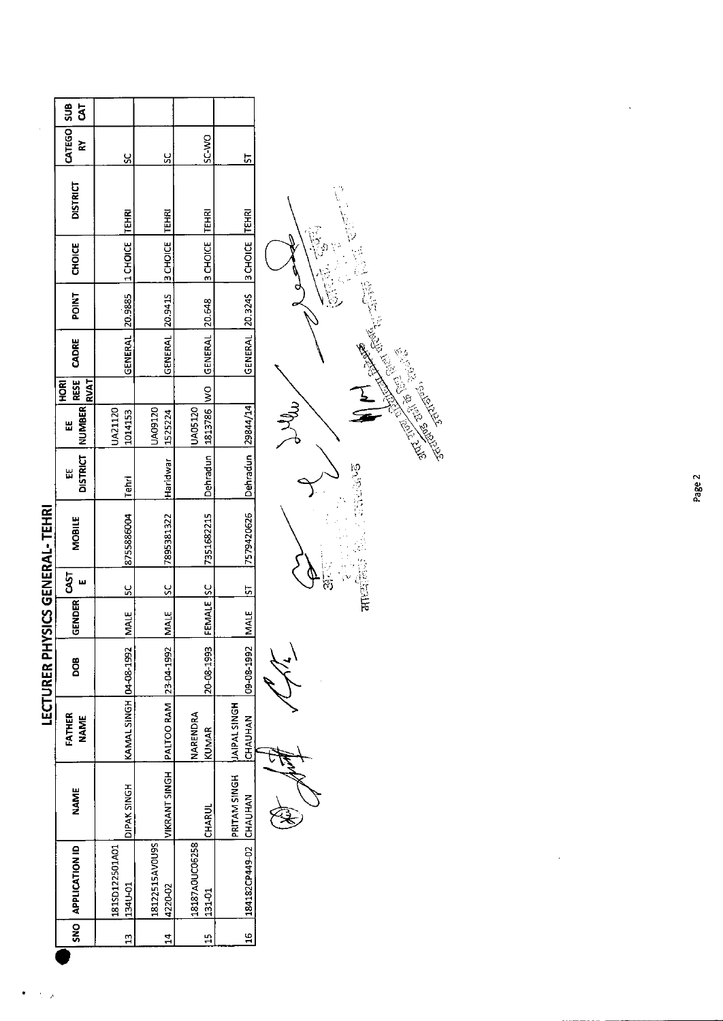|                            | $\overline{5}$                                                                                                                                                                                                                                                                                                                                                         |                |                                                                                                                                                   |                                                                                      |                                                                                                                                                                                                                                                                                                           |  |
|----------------------------|------------------------------------------------------------------------------------------------------------------------------------------------------------------------------------------------------------------------------------------------------------------------------------------------------------------------------------------------------------------------|----------------|---------------------------------------------------------------------------------------------------------------------------------------------------|--------------------------------------------------------------------------------------|-----------------------------------------------------------------------------------------------------------------------------------------------------------------------------------------------------------------------------------------------------------------------------------------------------------|--|
|                            | š                                                                                                                                                                                                                                                                                                                                                                      | š              | <u>ي</u>                                                                                                                                          | SC-WO                                                                                | 5                                                                                                                                                                                                                                                                                                         |  |
|                            | <b>DISTRICT</b>                                                                                                                                                                                                                                                                                                                                                        |                |                                                                                                                                                   |                                                                                      |                                                                                                                                                                                                                                                                                                           |  |
|                            | CATEGO SUB<br><b>B CHOICE TEHRI</b><br><b>TEHRI</b><br><b>TEHRI</b><br>$ 1$ CHOICE<br>3 CHOICE<br><b>CHOICE</b><br>GENERAL 20.9885<br>GENERAL 20.9415<br>POINT<br>GENERAL 20.648<br>CADRE<br><b>RESE</b><br>RVAT<br>HORI<br>Dehradun   1813786   WO<br>DISTRICT   NUMBER <br>JA05120<br>JA09120<br>UA21120<br>1525224<br>1014153<br>出<br>Haridwar<br>出<br><b>Tehri</b> |                |                                                                                                                                                   |                                                                                      |                                                                                                                                                                                                                                                                                                           |  |
|                            |                                                                                                                                                                                                                                                                                                                                                                        |                |                                                                                                                                                   |                                                                                      | GENERAL 20.3245 3 CHOICE TEHRI<br>Dehradun   29844/14<br>7579420626<br>7351682215<br>FEMALE ISC<br>$\frac{1}{2}$<br>MALE<br>09-08-1992<br>20-08-1993<br><b>JAIPAL SINGH</b><br>CHAUHAN<br>KUNNAR<br>PRITAM SINGH<br>184182CP449-02 CHAUHAN<br><b>CHARUI</b><br>131.01<br>$\frac{16}{16}$<br>$\frac{1}{1}$ |  |
|                            |                                                                                                                                                                                                                                                                                                                                                                        |                |                                                                                                                                                   | 7895381322<br>$rac{2}{2}$<br>MALE<br>VIKRANT SINGH PALTOO RAM 23-04-1992<br>NARENDRA |                                                                                                                                                                                                                                                                                                           |  |
|                            |                                                                                                                                                                                                                                                                                                                                                                        |                |                                                                                                                                                   |                                                                                      |                                                                                                                                                                                                                                                                                                           |  |
|                            |                                                                                                                                                                                                                                                                                                                                                                        |                |                                                                                                                                                   |                                                                                      |                                                                                                                                                                                                                                                                                                           |  |
|                            |                                                                                                                                                                                                                                                                                                                                                                        |                |                                                                                                                                                   |                                                                                      |                                                                                                                                                                                                                                                                                                           |  |
| <b>YSICS GENERAL-TEHRI</b> | <b>MOBILE</b>                                                                                                                                                                                                                                                                                                                                                          | 8755886004     | <u>يا</u><br>MALE<br>KAMAL SINGH 04-08-1992<br><b>NBNK SINGH</b><br>18187A0UC06258<br>18122515AVOU9S<br>134U-01<br>4220-02<br>ä,<br>$\frac{4}{1}$ |                                                                                      |                                                                                                                                                                                                                                                                                                           |  |
|                            | 5T                                                                                                                                                                                                                                                                                                                                                                     |                |                                                                                                                                                   |                                                                                      |                                                                                                                                                                                                                                                                                                           |  |
|                            | <b>GENDER</b>                                                                                                                                                                                                                                                                                                                                                          |                |                                                                                                                                                   |                                                                                      |                                                                                                                                                                                                                                                                                                           |  |
| <b>LECTURER PHY</b>        | <b>DOB</b>                                                                                                                                                                                                                                                                                                                                                             |                |                                                                                                                                                   |                                                                                      |                                                                                                                                                                                                                                                                                                           |  |
|                            | FATHER<br><b>NAME</b>                                                                                                                                                                                                                                                                                                                                                  |                |                                                                                                                                                   |                                                                                      |                                                                                                                                                                                                                                                                                                           |  |
|                            | <b>NAME</b>                                                                                                                                                                                                                                                                                                                                                            |                |                                                                                                                                                   |                                                                                      |                                                                                                                                                                                                                                                                                                           |  |
|                            | SNO APPLICATION ID                                                                                                                                                                                                                                                                                                                                                     | 181SD122501A01 |                                                                                                                                                   |                                                                                      |                                                                                                                                                                                                                                                                                                           |  |
|                            |                                                                                                                                                                                                                                                                                                                                                                        |                |                                                                                                                                                   |                                                                                      |                                                                                                                                                                                                                                                                                                           |  |
|                            |                                                                                                                                                                                                                                                                                                                                                                        |                |                                                                                                                                                   |                                                                                      |                                                                                                                                                                                                                                                                                                           |  |

 $\langle \hat{\gamma} \rangle$  ).  $\bullet$ 

All Company of the Company of the Company of the Company of the Company of the Company of the Company of the Company of the Company of the Company of the Company of the Company of the Company of the Company of the Company E

 $\sqrt{\frac{1}{15}}$ Settle Barbara Recording Jelly  $\rightarrow$ 

**1999-09-10** 

Page 2

 $\frac{1}{2}$ 

 $\ddot{\phantom{1}}$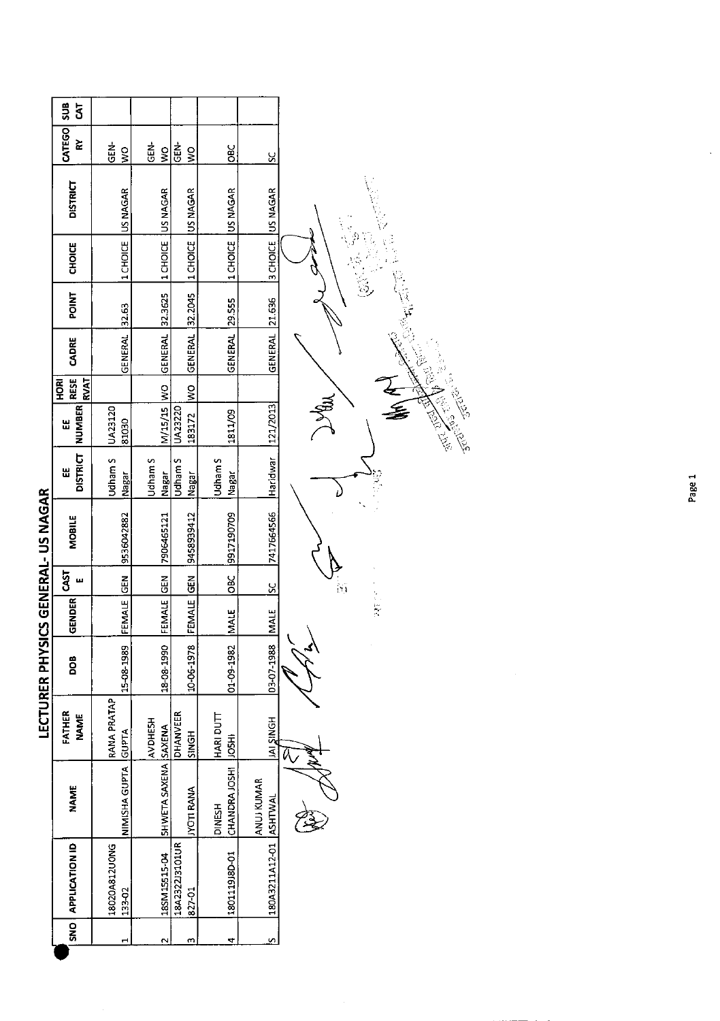|                                    | HORI <sup>-</sup>                         |                   |
|------------------------------------|-------------------------------------------|-------------------|
|                                    |                                           |                   |
|                                    | OISTRICT NUMBER RESE CADRE   POINT CHOICE | Udham S   UA23120 |
| LECTURER PHYSICS GENERAL- US NAGAR | <b>MOBILE</b>                             |                   |
|                                    | $\overline{5}$                            |                   |
|                                    | GENDER                                    |                   |
|                                    | ខ្លួ                                      |                   |
|                                    | FATHER<br><b>NAME</b>                     | RANA PRATAP       |
|                                    | <b>NAME</b>                               |                   |
|                                    | $\frac{1}{5}$                             | <b>DNG</b>        |

| $\bar{\mathbf{3}}$              |                         |                              |                          |                               |                        |  |
|---------------------------------|-------------------------|------------------------------|--------------------------|-------------------------------|------------------------|--|
| CATEGO SUB<br>š                 | GEN-<br>$\frac{1}{2}$   | ded.<br>$\tilde{\mathbf{z}}$ | <b>GEN-</b><br>$\geq$    | оeс<br>О                      | <u>ა</u>               |  |
| <b>DISTRICT</b>                 | US NAGAR                | US NAGAR                     | <b>US NAGAR</b>          | US NAGAR                      |                        |  |
| CHOICE                          | 1 CHOICE                | 1 CHOICE                     | $ 1$ CHOICE              | 1 CHOICE                      | 3 CHOICE US NAGAR      |  |
| <b>POINT</b>                    |                         |                              |                          | 29.555                        |                        |  |
| CADRE                           | GENERAL 132.63          | GENERAL 32.3625              | GENERAL 32.2045          | GENERAL                       | GENERAL 21.636         |  |
| <b>RESE</b><br>Ş<br><b>RVAT</b> |                         |                              |                          |                               |                        |  |
| <b>NUMBER</b><br>띮              | UA23120<br>81030        | M/15/15 WO                   | 183172 WO<br>UA23220     | 1811/09                       | 121/2013               |  |
| <b>DISTRICT</b><br>出            | Udham S<br>Nagar        | Udham S<br>Nagar             | Udham S<br>Nagar         | <b>Jdham</b> S<br>Nagar       | <b>IFAridwar</b>       |  |
| <b>MOBILE</b>                   | 9536042882              | 7906465121                   | 9458939412               | 9917190709                    | 7417664566             |  |
| <b>GST</b>                      |                         |                              |                          | $rac{6}{5}$                   | $rac{2}{5}$            |  |
| <b>GENDER</b>                   | FEMALE GEN              | FEMALE GEN                   | FEMALE GEN               | <b>MALE</b>                   | <b>MALE</b>            |  |
| 80g                             | 15-08-1989              | 18-08-1990                   | 10-06-1978               | 01-09-1982                    | 03-07-1988             |  |
| FATHER<br><b>NAME</b>           | RANA PRATAP             | <b>AVDHESH</b>               | DHANVEER<br>SINGH        | HARI DUTT<br><b>HSOL</b>      | <b>HONISIN</b>         |  |
| <b>NAME</b>                     | NIMISHA GUPTA GUPTA     | SHWETA SAXENA SAXENA         | <b>IYOTI RANA</b>        | CHANDRA JOSHI<br><b>HSHIC</b> | <b>JANUJ KUMAR</b>     |  |
| SNO   APPLICATION ID            | 18020A812U0NG<br>133-02 | 18SM15515-04                 | 18A2322J3101UR<br>827-01 | 1801119J8D-01                 | 180A3211A12-01 ASHTWAL |  |
|                                 |                         |                              |                          |                               |                        |  |
|                                 |                         |                              |                          |                               |                        |  |

That Hold S

 $\geq 1$  $\sum_{i=1}^{n}$  $rac{1}{\sqrt{2}}$ 

,<br>S

Jr Ke

L. Ash **CONSCRIPTION** 

 $\sqrt{2}$ 

Page 1